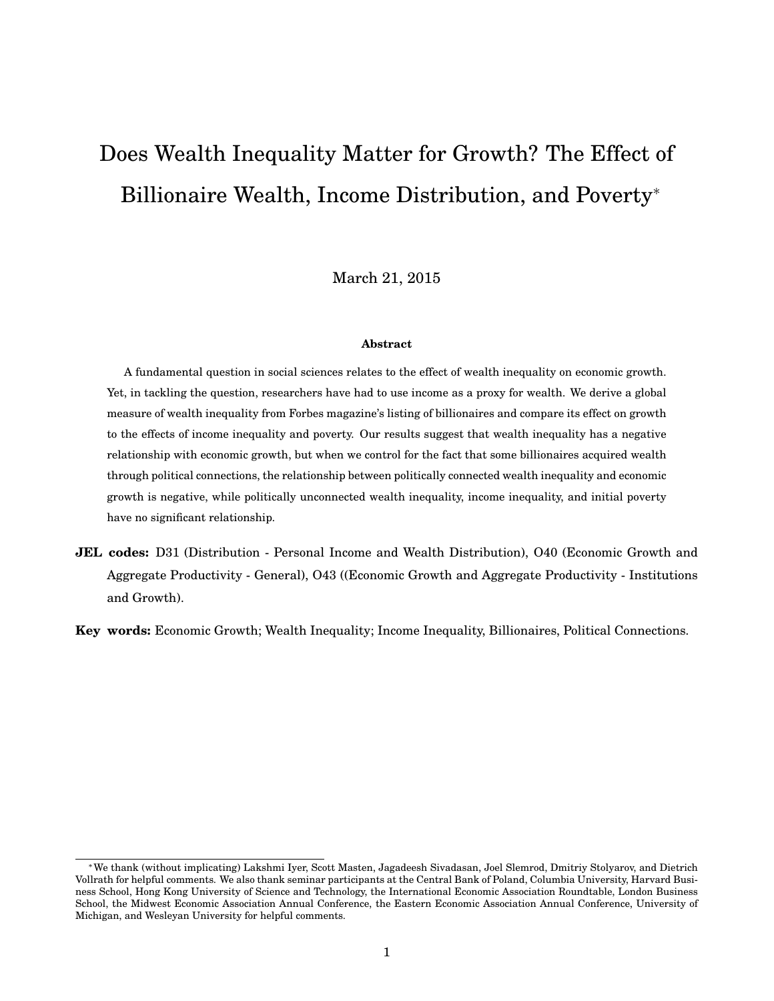# Does Wealth Inequality Matter for Growth? The Effect of Billionaire Wealth, Income Distribution, and Poverty<sup>∗</sup>

March 21, 2015

#### **Abstract**

A fundamental question in social sciences relates to the effect of wealth inequality on economic growth. Yet, in tackling the question, researchers have had to use income as a proxy for wealth. We derive a global measure of wealth inequality from Forbes magazine's listing of billionaires and compare its effect on growth to the effects of income inequality and poverty. Our results suggest that wealth inequality has a negative relationship with economic growth, but when we control for the fact that some billionaires acquired wealth through political connections, the relationship between politically connected wealth inequality and economic growth is negative, while politically unconnected wealth inequality, income inequality, and initial poverty have no significant relationship.

- **JEL codes:** D31 (Distribution Personal Income and Wealth Distribution), O40 (Economic Growth and Aggregate Productivity - General), O43 ((Economic Growth and Aggregate Productivity - Institutions and Growth).
- **Key words:** Economic Growth; Wealth Inequality; Income Inequality, Billionaires, Political Connections.

<sup>∗</sup>We thank (without implicating) Lakshmi Iyer, Scott Masten, Jagadeesh Sivadasan, Joel Slemrod, Dmitriy Stolyarov, and Dietrich Vollrath for helpful comments. We also thank seminar participants at the Central Bank of Poland, Columbia University, Harvard Business School, Hong Kong University of Science and Technology, the International Economic Association Roundtable, London Business School, the Midwest Economic Association Annual Conference, the Eastern Economic Association Annual Conference, University of Michigan, and Wesleyan University for helpful comments.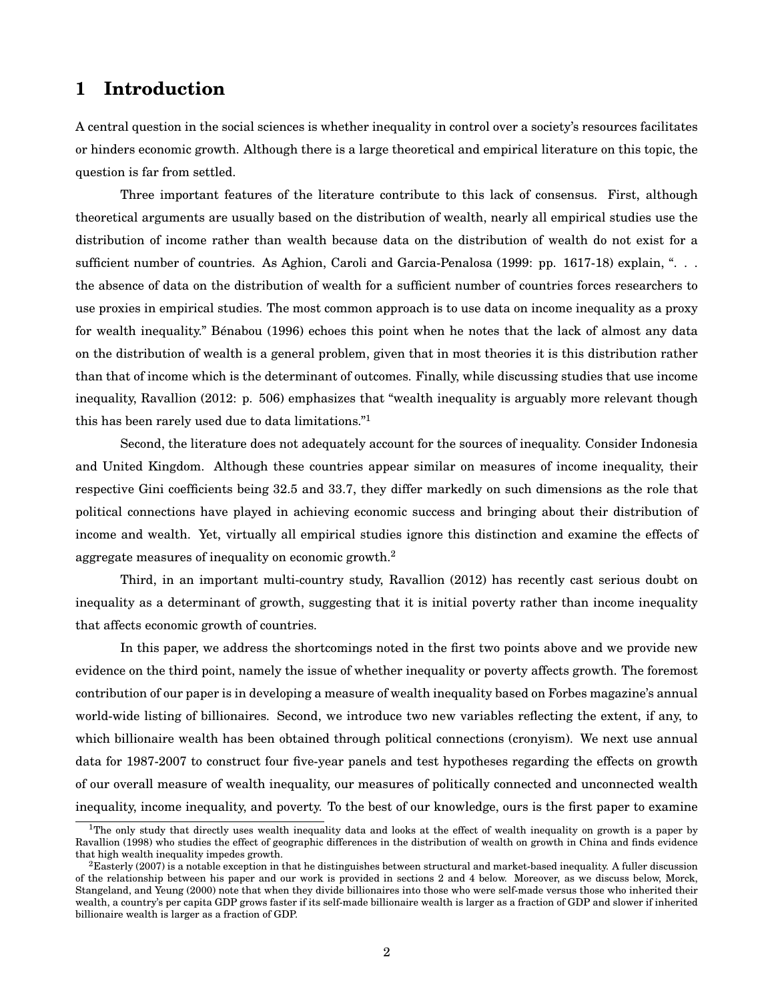### **1 Introduction**

A central question in the social sciences is whether inequality in control over a society's resources facilitates or hinders economic growth. Although there is a large theoretical and empirical literature on this topic, the question is far from settled.

Three important features of the literature contribute to this lack of consensus. First, although theoretical arguments are usually based on the distribution of wealth, nearly all empirical studies use the distribution of income rather than wealth because data on the distribution of wealth do not exist for a sufficient number of countries. As Aghion, Caroli and Garcia-Penalosa (1999: pp. 1617-18) explain, "... the absence of data on the distribution of wealth for a sufficient number of countries forces researchers to use proxies in empirical studies. The most common approach is to use data on income inequality as a proxy for wealth inequality." Bénabou (1996) echoes this point when he notes that the lack of almost any data on the distribution of wealth is a general problem, given that in most theories it is this distribution rather than that of income which is the determinant of outcomes. Finally, while discussing studies that use income inequality, Ravallion (2012: p. 506) emphasizes that "wealth inequality is arguably more relevant though this has been rarely used due to data limitations."<sup>1</sup>

Second, the literature does not adequately account for the sources of inequality. Consider Indonesia and United Kingdom. Although these countries appear similar on measures of income inequality, their respective Gini coefficients being 32.5 and 33.7, they differ markedly on such dimensions as the role that political connections have played in achieving economic success and bringing about their distribution of income and wealth. Yet, virtually all empirical studies ignore this distinction and examine the effects of aggregate measures of inequality on economic growth.<sup>2</sup>

Third, in an important multi-country study, Ravallion (2012) has recently cast serious doubt on inequality as a determinant of growth, suggesting that it is initial poverty rather than income inequality that affects economic growth of countries.

In this paper, we address the shortcomings noted in the first two points above and we provide new evidence on the third point, namely the issue of whether inequality or poverty affects growth. The foremost contribution of our paper is in developing a measure of wealth inequality based on Forbes magazine's annual world-wide listing of billionaires. Second, we introduce two new variables reflecting the extent, if any, to which billionaire wealth has been obtained through political connections (cronyism). We next use annual data for 1987-2007 to construct four five-year panels and test hypotheses regarding the effects on growth of our overall measure of wealth inequality, our measures of politically connected and unconnected wealth inequality, income inequality, and poverty. To the best of our knowledge, ours is the first paper to examine

<sup>&</sup>lt;sup>1</sup>The only study that directly uses wealth inequality data and looks at the effect of wealth inequality on growth is a paper by Ravallion (1998) who studies the effect of geographic differences in the distribution of wealth on growth in China and finds evidence that high wealth inequality impedes growth.

 $^2$ Easterly (2007) is a notable exception in that he distinguishes between structural and market-based inequality. A fuller discussion of the relationship between his paper and our work is provided in sections 2 and 4 below. Moreover, as we discuss below, Morck, Stangeland, and Yeung (2000) note that when they divide billionaires into those who were self-made versus those who inherited their wealth, a country's per capita GDP grows faster if its self-made billionaire wealth is larger as a fraction of GDP and slower if inherited billionaire wealth is larger as a fraction of GDP.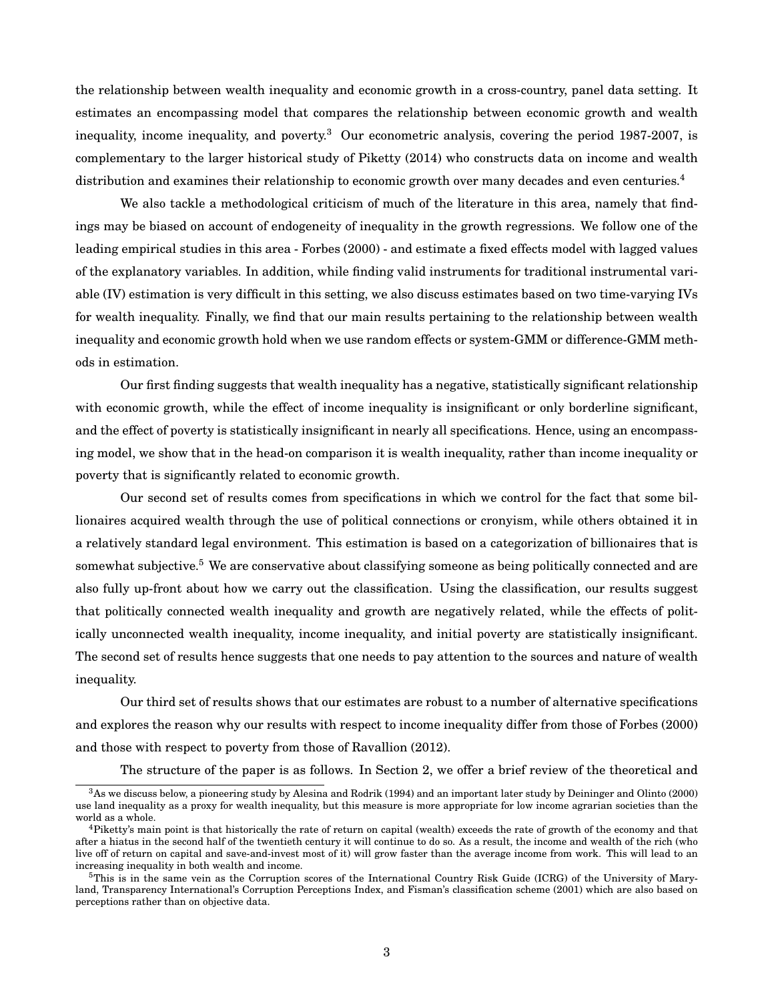the relationship between wealth inequality and economic growth in a cross-country, panel data setting. It estimates an encompassing model that compares the relationship between economic growth and wealth inequality, income inequality, and poverty.<sup>3</sup> Our econometric analysis, covering the period 1987-2007, is complementary to the larger historical study of Piketty (2014) who constructs data on income and wealth distribution and examines their relationship to economic growth over many decades and even centuries.<sup>4</sup>

We also tackle a methodological criticism of much of the literature in this area, namely that findings may be biased on account of endogeneity of inequality in the growth regressions. We follow one of the leading empirical studies in this area - Forbes (2000) - and estimate a fixed effects model with lagged values of the explanatory variables. In addition, while finding valid instruments for traditional instrumental variable (IV) estimation is very difficult in this setting, we also discuss estimates based on two time-varying IVs for wealth inequality. Finally, we find that our main results pertaining to the relationship between wealth inequality and economic growth hold when we use random effects or system-GMM or difference-GMM methods in estimation.

Our first finding suggests that wealth inequality has a negative, statistically significant relationship with economic growth, while the effect of income inequality is insignificant or only borderline significant, and the effect of poverty is statistically insignificant in nearly all specifications. Hence, using an encompassing model, we show that in the head-on comparison it is wealth inequality, rather than income inequality or poverty that is significantly related to economic growth.

Our second set of results comes from specifications in which we control for the fact that some billionaires acquired wealth through the use of political connections or cronyism, while others obtained it in a relatively standard legal environment. This estimation is based on a categorization of billionaires that is somewhat subjective.<sup>5</sup> We are conservative about classifying someone as being politically connected and are also fully up-front about how we carry out the classification. Using the classification, our results suggest that politically connected wealth inequality and growth are negatively related, while the effects of politically unconnected wealth inequality, income inequality, and initial poverty are statistically insignificant. The second set of results hence suggests that one needs to pay attention to the sources and nature of wealth inequality.

Our third set of results shows that our estimates are robust to a number of alternative specifications and explores the reason why our results with respect to income inequality differ from those of Forbes (2000) and those with respect to poverty from those of Ravallion (2012).

The structure of the paper is as follows. In Section 2, we offer a brief review of the theoretical and

 $3$ As we discuss below, a pioneering study by Alesina and Rodrik (1994) and an important later study by Deininger and Olinto (2000) use land inequality as a proxy for wealth inequality, but this measure is more appropriate for low income agrarian societies than the world as a whole.

 $4$ Piketty's main point is that historically the rate of return on capital (wealth) exceeds the rate of growth of the economy and that after a hiatus in the second half of the twentieth century it will continue to do so. As a result, the income and wealth of the rich (who live off of return on capital and save-and-invest most of it) will grow faster than the average income from work. This will lead to an increasing inequality in both wealth and income.

<sup>&</sup>lt;sup>5</sup>This is in the same vein as the Corruption scores of the International Country Risk Guide (ICRG) of the University of Maryland, Transparency International's Corruption Perceptions Index, and Fisman's classification scheme (2001) which are also based on perceptions rather than on objective data.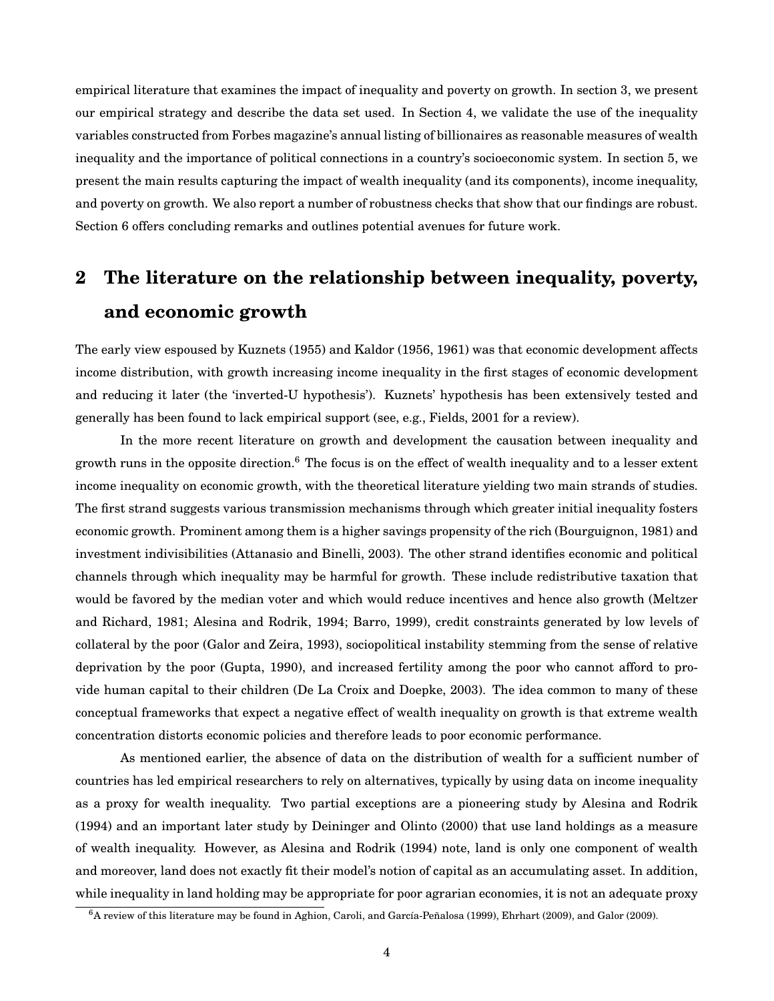empirical literature that examines the impact of inequality and poverty on growth. In section 3, we present our empirical strategy and describe the data set used. In Section 4, we validate the use of the inequality variables constructed from Forbes magazine's annual listing of billionaires as reasonable measures of wealth inequality and the importance of political connections in a country's socioeconomic system. In section 5, we present the main results capturing the impact of wealth inequality (and its components), income inequality, and poverty on growth. We also report a number of robustness checks that show that our findings are robust. Section 6 offers concluding remarks and outlines potential avenues for future work.

## **2 The literature on the relationship between inequality, poverty, and economic growth**

The early view espoused by Kuznets (1955) and Kaldor (1956, 1961) was that economic development affects income distribution, with growth increasing income inequality in the first stages of economic development and reducing it later (the 'inverted-U hypothesis'). Kuznets' hypothesis has been extensively tested and generally has been found to lack empirical support (see, e.g., Fields, 2001 for a review).

In the more recent literature on growth and development the causation between inequality and growth runs in the opposite direction.<sup>6</sup> The focus is on the effect of wealth inequality and to a lesser extent income inequality on economic growth, with the theoretical literature yielding two main strands of studies. The first strand suggests various transmission mechanisms through which greater initial inequality fosters economic growth. Prominent among them is a higher savings propensity of the rich (Bourguignon, 1981) and investment indivisibilities (Attanasio and Binelli, 2003). The other strand identifies economic and political channels through which inequality may be harmful for growth. These include redistributive taxation that would be favored by the median voter and which would reduce incentives and hence also growth (Meltzer and Richard, 1981; Alesina and Rodrik, 1994; Barro, 1999), credit constraints generated by low levels of collateral by the poor (Galor and Zeira, 1993), sociopolitical instability stemming from the sense of relative deprivation by the poor (Gupta, 1990), and increased fertility among the poor who cannot afford to provide human capital to their children (De La Croix and Doepke, 2003). The idea common to many of these conceptual frameworks that expect a negative effect of wealth inequality on growth is that extreme wealth concentration distorts economic policies and therefore leads to poor economic performance.

As mentioned earlier, the absence of data on the distribution of wealth for a sufficient number of countries has led empirical researchers to rely on alternatives, typically by using data on income inequality as a proxy for wealth inequality. Two partial exceptions are a pioneering study by Alesina and Rodrik (1994) and an important later study by Deininger and Olinto (2000) that use land holdings as a measure of wealth inequality. However, as Alesina and Rodrik (1994) note, land is only one component of wealth and moreover, land does not exactly fit their model's notion of capital as an accumulating asset. In addition, while inequality in land holding may be appropriate for poor agrarian economies, it is not an adequate proxy

<sup>6</sup>A review of this literature may be found in Aghion, Caroli, and García-Peñalosa (1999), Ehrhart (2009), and Galor (2009).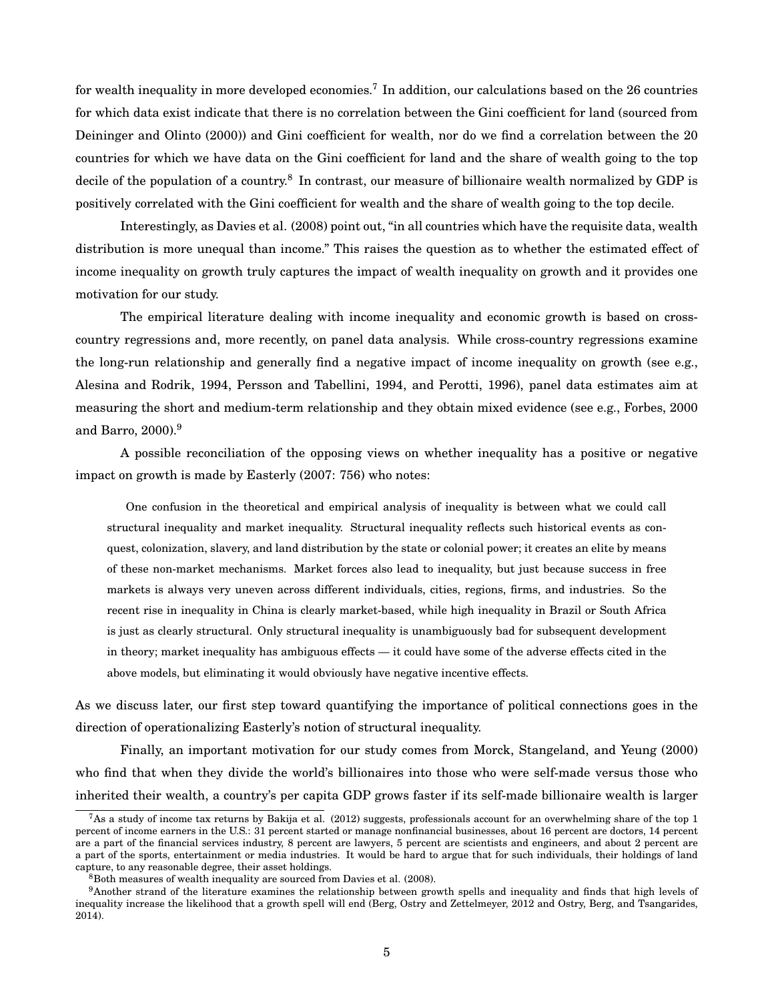for wealth inequality in more developed economies.<sup>7</sup> In addition, our calculations based on the 26 countries for which data exist indicate that there is no correlation between the Gini coefficient for land (sourced from Deininger and Olinto (2000)) and Gini coefficient for wealth, nor do we find a correlation between the 20 countries for which we have data on the Gini coefficient for land and the share of wealth going to the top decile of the population of a country.<sup>8</sup> In contrast, our measure of billionaire wealth normalized by GDP is positively correlated with the Gini coefficient for wealth and the share of wealth going to the top decile.

Interestingly, as Davies et al. (2008) point out, "in all countries which have the requisite data, wealth distribution is more unequal than income." This raises the question as to whether the estimated effect of income inequality on growth truly captures the impact of wealth inequality on growth and it provides one motivation for our study.

The empirical literature dealing with income inequality and economic growth is based on crosscountry regressions and, more recently, on panel data analysis. While cross-country regressions examine the long-run relationship and generally find a negative impact of income inequality on growth (see e.g., Alesina and Rodrik, 1994, Persson and Tabellini, 1994, and Perotti, 1996), panel data estimates aim at measuring the short and medium-term relationship and they obtain mixed evidence (see e.g., Forbes, 2000 and Barro, 2000).<sup>9</sup>

A possible reconciliation of the opposing views on whether inequality has a positive or negative impact on growth is made by Easterly (2007: 756) who notes:

One confusion in the theoretical and empirical analysis of inequality is between what we could call structural inequality and market inequality. Structural inequality reflects such historical events as conquest, colonization, slavery, and land distribution by the state or colonial power; it creates an elite by means of these non-market mechanisms. Market forces also lead to inequality, but just because success in free markets is always very uneven across different individuals, cities, regions, firms, and industries. So the recent rise in inequality in China is clearly market-based, while high inequality in Brazil or South Africa is just as clearly structural. Only structural inequality is unambiguously bad for subsequent development in theory; market inequality has ambiguous effects — it could have some of the adverse effects cited in the above models, but eliminating it would obviously have negative incentive effects.

As we discuss later, our first step toward quantifying the importance of political connections goes in the direction of operationalizing Easterly's notion of structural inequality.

Finally, an important motivation for our study comes from Morck, Stangeland, and Yeung (2000) who find that when they divide the world's billionaires into those who were self-made versus those who inherited their wealth, a country's per capita GDP grows faster if its self-made billionaire wealth is larger

<sup>7</sup>As a study of income tax returns by Bakija et al. (2012) suggests, professionals account for an overwhelming share of the top 1 percent of income earners in the U.S.: 31 percent started or manage nonfinancial businesses, about 16 percent are doctors, 14 percent are a part of the financial services industry, 8 percent are lawyers, 5 percent are scientists and engineers, and about 2 percent are a part of the sports, entertainment or media industries. It would be hard to argue that for such individuals, their holdings of land capture, to any reasonable degree, their asset holdings.

<sup>8</sup>Both measures of wealth inequality are sourced from Davies et al. (2008).

<sup>9</sup>Another strand of the literature examines the relationship between growth spells and inequality and finds that high levels of inequality increase the likelihood that a growth spell will end (Berg, Ostry and Zettelmeyer, 2012 and Ostry, Berg, and Tsangarides, 2014).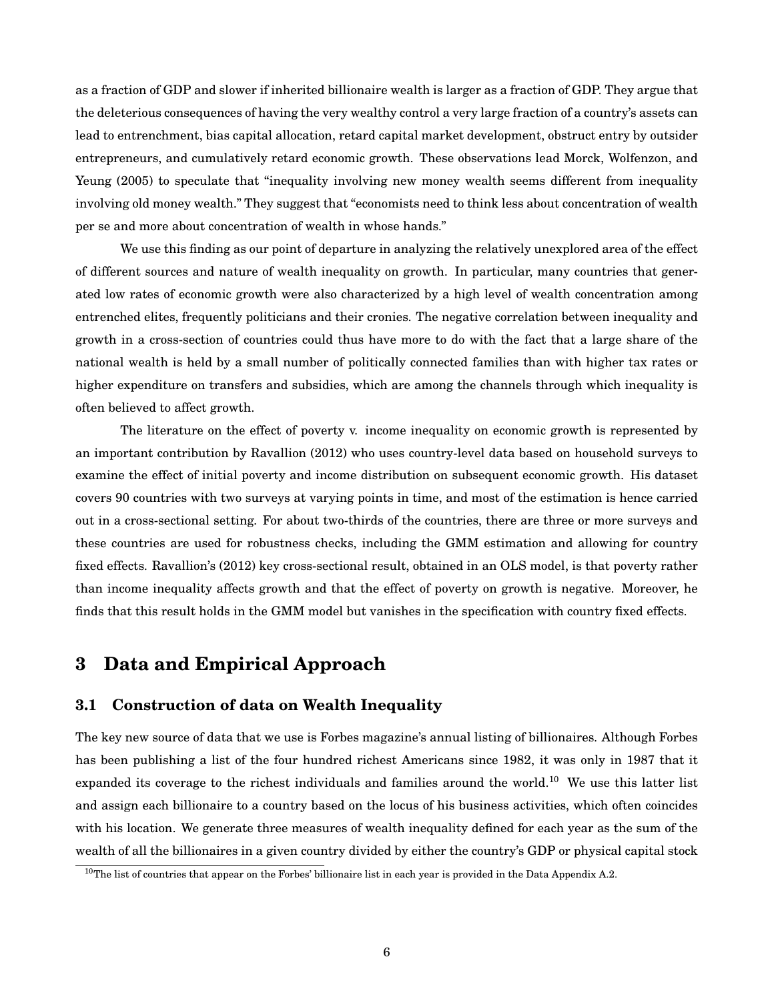as a fraction of GDP and slower if inherited billionaire wealth is larger as a fraction of GDP. They argue that the deleterious consequences of having the very wealthy control a very large fraction of a country's assets can lead to entrenchment, bias capital allocation, retard capital market development, obstruct entry by outsider entrepreneurs, and cumulatively retard economic growth. These observations lead Morck, Wolfenzon, and Yeung (2005) to speculate that "inequality involving new money wealth seems different from inequality involving old money wealth." They suggest that "economists need to think less about concentration of wealth per se and more about concentration of wealth in whose hands."

We use this finding as our point of departure in analyzing the relatively unexplored area of the effect of different sources and nature of wealth inequality on growth. In particular, many countries that generated low rates of economic growth were also characterized by a high level of wealth concentration among entrenched elites, frequently politicians and their cronies. The negative correlation between inequality and growth in a cross-section of countries could thus have more to do with the fact that a large share of the national wealth is held by a small number of politically connected families than with higher tax rates or higher expenditure on transfers and subsidies, which are among the channels through which inequality is often believed to affect growth.

The literature on the effect of poverty v. income inequality on economic growth is represented by an important contribution by Ravallion (2012) who uses country-level data based on household surveys to examine the effect of initial poverty and income distribution on subsequent economic growth. His dataset covers 90 countries with two surveys at varying points in time, and most of the estimation is hence carried out in a cross-sectional setting. For about two-thirds of the countries, there are three or more surveys and these countries are used for robustness checks, including the GMM estimation and allowing for country fixed effects. Ravallion's (2012) key cross-sectional result, obtained in an OLS model, is that poverty rather than income inequality affects growth and that the effect of poverty on growth is negative. Moreover, he finds that this result holds in the GMM model but vanishes in the specification with country fixed effects.

### **3 Data and Empirical Approach**

#### **3.1 Construction of data on Wealth Inequality**

The key new source of data that we use is Forbes magazine's annual listing of billionaires. Although Forbes has been publishing a list of the four hundred richest Americans since 1982, it was only in 1987 that it expanded its coverage to the richest individuals and families around the world.<sup>10</sup> We use this latter list and assign each billionaire to a country based on the locus of his business activities, which often coincides with his location. We generate three measures of wealth inequality defined for each year as the sum of the wealth of all the billionaires in a given country divided by either the country's GDP or physical capital stock

 $10$ The list of countries that appear on the Forbes' billionaire list in each year is provided in the Data Appendix A.2.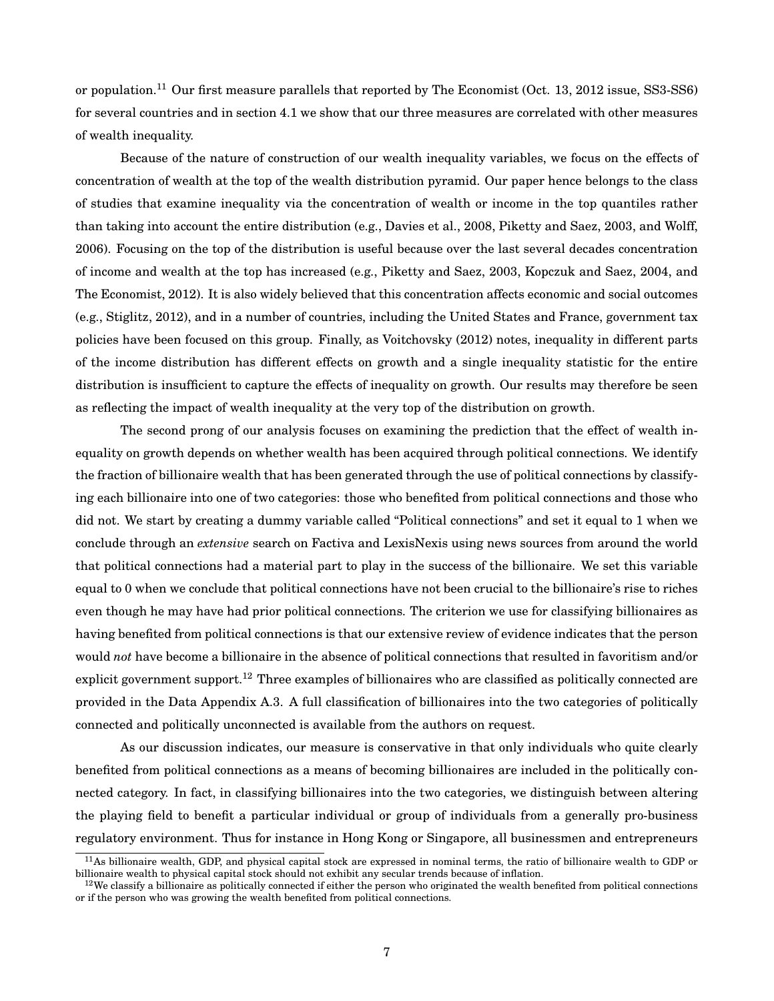or population.<sup>11</sup> Our first measure parallels that reported by The Economist (Oct. 13, 2012 issue, SS3-SS6) for several countries and in section 4.1 we show that our three measures are correlated with other measures of wealth inequality.

Because of the nature of construction of our wealth inequality variables, we focus on the effects of concentration of wealth at the top of the wealth distribution pyramid. Our paper hence belongs to the class of studies that examine inequality via the concentration of wealth or income in the top quantiles rather than taking into account the entire distribution (e.g., Davies et al., 2008, Piketty and Saez, 2003, and Wolff, 2006). Focusing on the top of the distribution is useful because over the last several decades concentration of income and wealth at the top has increased (e.g., Piketty and Saez, 2003, Kopczuk and Saez, 2004, and The Economist, 2012). It is also widely believed that this concentration affects economic and social outcomes (e.g., Stiglitz, 2012), and in a number of countries, including the United States and France, government tax policies have been focused on this group. Finally, as Voitchovsky (2012) notes, inequality in different parts of the income distribution has different effects on growth and a single inequality statistic for the entire distribution is insufficient to capture the effects of inequality on growth. Our results may therefore be seen as reflecting the impact of wealth inequality at the very top of the distribution on growth.

The second prong of our analysis focuses on examining the prediction that the effect of wealth inequality on growth depends on whether wealth has been acquired through political connections. We identify the fraction of billionaire wealth that has been generated through the use of political connections by classifying each billionaire into one of two categories: those who benefited from political connections and those who did not. We start by creating a dummy variable called "Political connections" and set it equal to 1 when we conclude through an *extensive* search on Factiva and LexisNexis using news sources from around the world that political connections had a material part to play in the success of the billionaire. We set this variable equal to 0 when we conclude that political connections have not been crucial to the billionaire's rise to riches even though he may have had prior political connections. The criterion we use for classifying billionaires as having benefited from political connections is that our extensive review of evidence indicates that the person would *not* have become a billionaire in the absence of political connections that resulted in favoritism and/or explicit government support.<sup>12</sup> Three examples of billionaires who are classified as politically connected are provided in the Data Appendix A.3. A full classification of billionaires into the two categories of politically connected and politically unconnected is available from the authors on request.

As our discussion indicates, our measure is conservative in that only individuals who quite clearly benefited from political connections as a means of becoming billionaires are included in the politically connected category. In fact, in classifying billionaires into the two categories, we distinguish between altering the playing field to benefit a particular individual or group of individuals from a generally pro-business regulatory environment. Thus for instance in Hong Kong or Singapore, all businessmen and entrepreneurs

 $11$ As billionaire wealth, GDP, and physical capital stock are expressed in nominal terms, the ratio of billionaire wealth to GDP or billionaire wealth to physical capital stock should not exhibit any secular trends because of inflation.

 $12$ We classify a billionaire as politically connected if either the person who originated the wealth benefited from political connections or if the person who was growing the wealth benefited from political connections.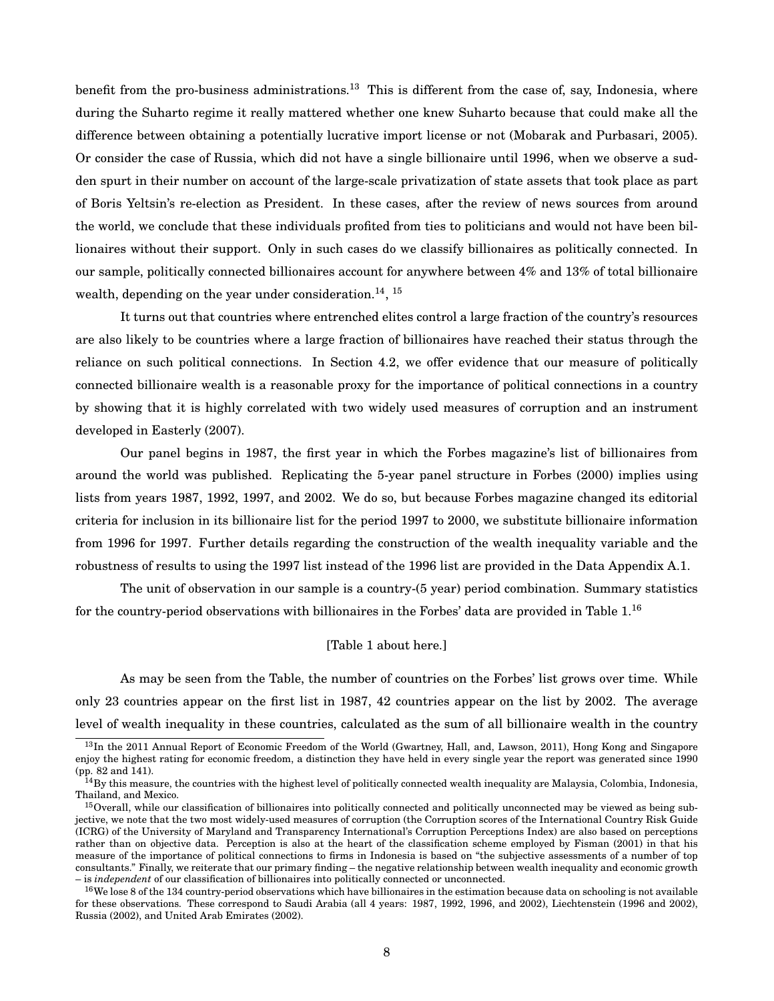benefit from the pro-business administrations.<sup>13</sup> This is different from the case of, say, Indonesia, where during the Suharto regime it really mattered whether one knew Suharto because that could make all the difference between obtaining a potentially lucrative import license or not (Mobarak and Purbasari, 2005). Or consider the case of Russia, which did not have a single billionaire until 1996, when we observe a sudden spurt in their number on account of the large-scale privatization of state assets that took place as part of Boris Yeltsin's re-election as President. In these cases, after the review of news sources from around the world, we conclude that these individuals profited from ties to politicians and would not have been billionaires without their support. Only in such cases do we classify billionaires as politically connected. In our sample, politically connected billionaires account for anywhere between 4% and 13% of total billionaire wealth, depending on the year under consideration.<sup>14</sup>, <sup>15</sup>

It turns out that countries where entrenched elites control a large fraction of the country's resources are also likely to be countries where a large fraction of billionaires have reached their status through the reliance on such political connections. In Section 4.2, we offer evidence that our measure of politically connected billionaire wealth is a reasonable proxy for the importance of political connections in a country by showing that it is highly correlated with two widely used measures of corruption and an instrument developed in Easterly (2007).

Our panel begins in 1987, the first year in which the Forbes magazine's list of billionaires from around the world was published. Replicating the 5-year panel structure in Forbes (2000) implies using lists from years 1987, 1992, 1997, and 2002. We do so, but because Forbes magazine changed its editorial criteria for inclusion in its billionaire list for the period 1997 to 2000, we substitute billionaire information from 1996 for 1997. Further details regarding the construction of the wealth inequality variable and the robustness of results to using the 1997 list instead of the 1996 list are provided in the Data Appendix A.1.

The unit of observation in our sample is a country-(5 year) period combination. Summary statistics for the country-period observations with billionaires in the Forbes' data are provided in Table 1.<sup>16</sup>

#### [Table 1 about here.]

As may be seen from the Table, the number of countries on the Forbes' list grows over time. While only 23 countries appear on the first list in 1987, 42 countries appear on the list by 2002. The average level of wealth inequality in these countries, calculated as the sum of all billionaire wealth in the country

<sup>&</sup>lt;sup>13</sup>In the 2011 Annual Report of Economic Freedom of the World (Gwartney, Hall, and, Lawson, 2011), Hong Kong and Singapore enjoy the highest rating for economic freedom, a distinction they have held in every single year the report was generated since 1990 (pp. 82 and 141).

 $^{14}$ By this measure, the countries with the highest level of politically connected wealth inequality are Malaysia, Colombia, Indonesia, Thailand, and Mexico.

 $15$ Overall, while our classification of billionaires into politically connected and politically unconnected may be viewed as being subjective, we note that the two most widely-used measures of corruption (the Corruption scores of the International Country Risk Guide (ICRG) of the University of Maryland and Transparency International's Corruption Perceptions Index) are also based on perceptions rather than on objective data. Perception is also at the heart of the classification scheme employed by Fisman (2001) in that his measure of the importance of political connections to firms in Indonesia is based on "the subjective assessments of a number of top consultants." Finally, we reiterate that our primary finding – the negative relationship between wealth inequality and economic growth – is *independent* of our classification of billionaires into politically connected or unconnected.

<sup>&</sup>lt;sup>16</sup>We lose 8 of the 134 country-period observations which have billionaires in the estimation because data on schooling is not available for these observations. These correspond to Saudi Arabia (all 4 years: 1987, 1992, 1996, and 2002), Liechtenstein (1996 and 2002), Russia (2002), and United Arab Emirates (2002).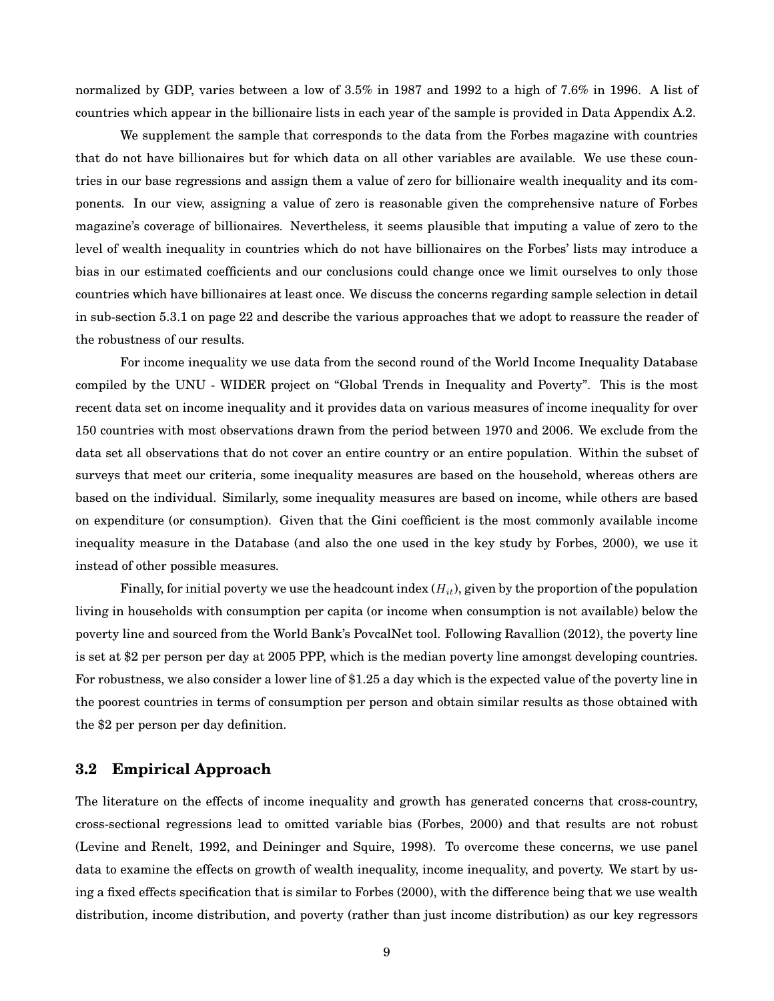normalized by GDP, varies between a low of 3.5% in 1987 and 1992 to a high of 7.6% in 1996. A list of countries which appear in the billionaire lists in each year of the sample is provided in Data Appendix A.2.

We supplement the sample that corresponds to the data from the Forbes magazine with countries that do not have billionaires but for which data on all other variables are available. We use these countries in our base regressions and assign them a value of zero for billionaire wealth inequality and its components. In our view, assigning a value of zero is reasonable given the comprehensive nature of Forbes magazine's coverage of billionaires. Nevertheless, it seems plausible that imputing a value of zero to the level of wealth inequality in countries which do not have billionaires on the Forbes' lists may introduce a bias in our estimated coefficients and our conclusions could change once we limit ourselves to only those countries which have billionaires at least once. We discuss the concerns regarding sample selection in detail in sub-section 5.3.1 on page 22 and describe the various approaches that we adopt to reassure the reader of the robustness of our results.

For income inequality we use data from the second round of the World Income Inequality Database compiled by the UNU - WIDER project on "Global Trends in Inequality and Poverty". This is the most recent data set on income inequality and it provides data on various measures of income inequality for over 150 countries with most observations drawn from the period between 1970 and 2006. We exclude from the data set all observations that do not cover an entire country or an entire population. Within the subset of surveys that meet our criteria, some inequality measures are based on the household, whereas others are based on the individual. Similarly, some inequality measures are based on income, while others are based on expenditure (or consumption). Given that the Gini coefficient is the most commonly available income inequality measure in the Database (and also the one used in the key study by Forbes, 2000), we use it instead of other possible measures.

Finally, for initial poverty we use the headcount index  $(H_{it})$ , given by the proportion of the population living in households with consumption per capita (or income when consumption is not available) below the poverty line and sourced from the World Bank's PovcalNet tool. Following Ravallion (2012), the poverty line is set at \$2 per person per day at 2005 PPP, which is the median poverty line amongst developing countries. For robustness, we also consider a lower line of \$1.25 a day which is the expected value of the poverty line in the poorest countries in terms of consumption per person and obtain similar results as those obtained with the \$2 per person per day definition.

#### **3.2 Empirical Approach**

The literature on the effects of income inequality and growth has generated concerns that cross-country, cross-sectional regressions lead to omitted variable bias (Forbes, 2000) and that results are not robust (Levine and Renelt, 1992, and Deininger and Squire, 1998). To overcome these concerns, we use panel data to examine the effects on growth of wealth inequality, income inequality, and poverty. We start by using a fixed effects specification that is similar to Forbes (2000), with the difference being that we use wealth distribution, income distribution, and poverty (rather than just income distribution) as our key regressors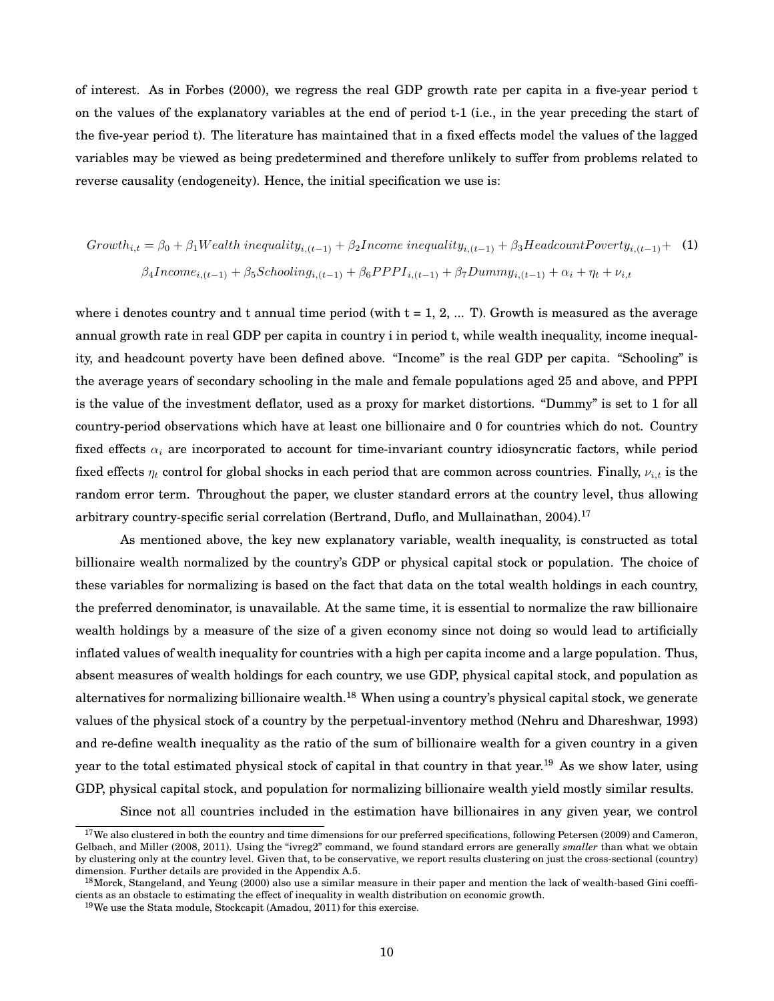of interest. As in Forbes (2000), we regress the real GDP growth rate per capita in a five-year period t on the values of the explanatory variables at the end of period t-1 (i.e., in the year preceding the start of the five-year period t). The literature has maintained that in a fixed effects model the values of the lagged variables may be viewed as being predetermined and therefore unlikely to suffer from problems related to reverse causality (endogeneity). Hence, the initial specification we use is:

$$
Growth_{i,t} = \beta_0 + \beta_1 Wealth\ inequality_{i,(t-1)} + \beta_2 Income\ inequality_{i,(t-1)} + \beta_3 HeadcountPowerty_{i,(t-1)} + (1)
$$

$$
\beta_4 Income_{i,(t-1)} + \beta_5 Schooling_{i,(t-1)} + \beta_6 PPP1_{i,(t-1)} + \beta_7 Dummy_{i,(t-1)} + \alpha_i + \eta_t + \nu_{i,t}
$$

where i denotes country and t annual time period (with  $t = 1, 2, ...$  T). Growth is measured as the average annual growth rate in real GDP per capita in country i in period t, while wealth inequality, income inequality, and headcount poverty have been defined above. "Income" is the real GDP per capita. "Schooling" is the average years of secondary schooling in the male and female populations aged 25 and above, and PPPI is the value of the investment deflator, used as a proxy for market distortions. "Dummy" is set to 1 for all country-period observations which have at least one billionaire and 0 for countries which do not. Country fixed effects  $\alpha_i$  are incorporated to account for time-invariant country idiosyncratic factors, while period fixed effects  $\eta_t$  control for global shocks in each period that are common across countries. Finally,  $\nu_{i,t}$  is the random error term. Throughout the paper, we cluster standard errors at the country level, thus allowing arbitrary country-specific serial correlation (Bertrand, Duflo, and Mullainathan, 2004).<sup>17</sup>

As mentioned above, the key new explanatory variable, wealth inequality, is constructed as total billionaire wealth normalized by the country's GDP or physical capital stock or population. The choice of these variables for normalizing is based on the fact that data on the total wealth holdings in each country, the preferred denominator, is unavailable. At the same time, it is essential to normalize the raw billionaire wealth holdings by a measure of the size of a given economy since not doing so would lead to artificially inflated values of wealth inequality for countries with a high per capita income and a large population. Thus, absent measures of wealth holdings for each country, we use GDP, physical capital stock, and population as alternatives for normalizing billionaire wealth.<sup>18</sup> When using a country's physical capital stock, we generate values of the physical stock of a country by the perpetual-inventory method (Nehru and Dhareshwar, 1993) and re-define wealth inequality as the ratio of the sum of billionaire wealth for a given country in a given year to the total estimated physical stock of capital in that country in that year.<sup>19</sup> As we show later, using GDP, physical capital stock, and population for normalizing billionaire wealth yield mostly similar results.

Since not all countries included in the estimation have billionaires in any given year, we control

<sup>&</sup>lt;sup>17</sup>We also clustered in both the country and time dimensions for our preferred specifications, following Petersen (2009) and Cameron, Gelbach, and Miller (2008, 2011). Using the "ivreg2" command, we found standard errors are generally *smaller* than what we obtain by clustering only at the country level. Given that, to be conservative, we report results clustering on just the cross-sectional (country) dimension. Further details are provided in the Appendix A.5.

<sup>&</sup>lt;sup>18</sup>Morck, Stangeland, and Yeung (2000) also use a similar measure in their paper and mention the lack of wealth-based Gini coefficients as an obstacle to estimating the effect of inequality in wealth distribution on economic growth.

<sup>19</sup>We use the Stata module, Stockcapit (Amadou, 2011) for this exercise.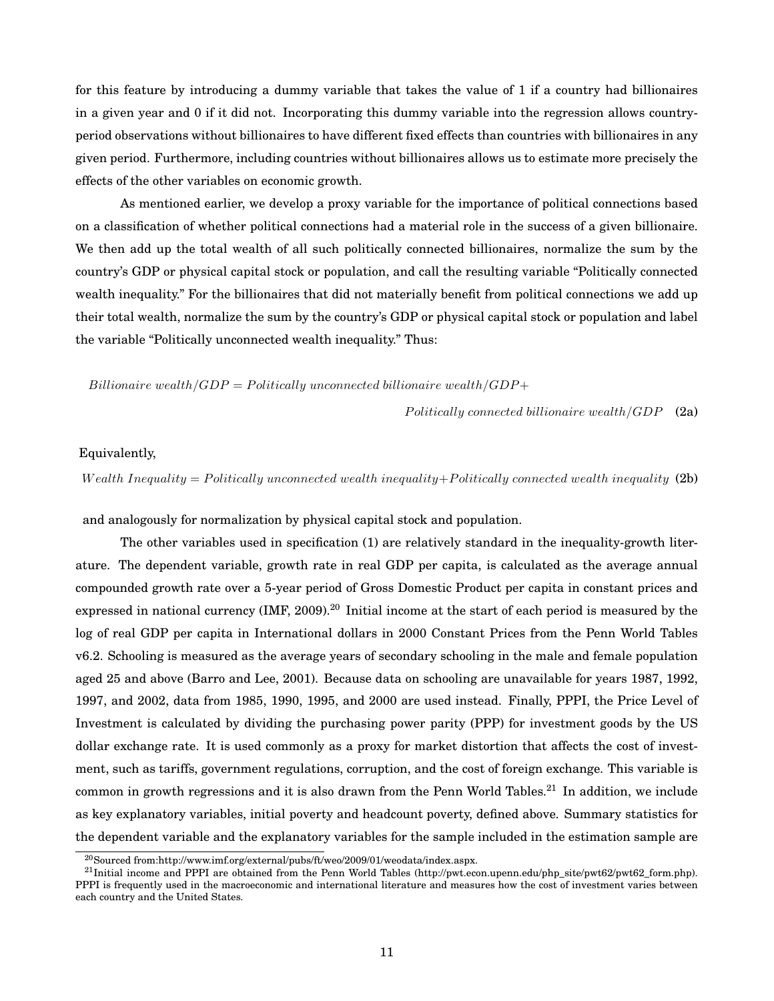for this feature by introducing a dummy variable that takes the value of 1 if a country had billionaires in a given year and 0 if it did not. Incorporating this dummy variable into the regression allows countryperiod observations without billionaires to have different fixed effects than countries with billionaires in any given period. Furthermore, including countries without billionaires allows us to estimate more precisely the effects of the other variables on economic growth.

As mentioned earlier, we develop a proxy variable for the importance of political connections based on a classification of whether political connections had a material role in the success of a given billionaire. We then add up the total wealth of all such politically connected billionaires, normalize the sum by the country's GDP or physical capital stock or population, and call the resulting variable "Politically connected wealth inequality." For the billionaires that did not materially benefit from political connections we add up their total wealth, normalize the sum by the country's GDP or physical capital stock or population and label the variable "Politically unconnected wealth inequality." Thus:

 $Billionaire wealth/GDP = Politically unconnected billionaire wealth/GDP +$ 

 $Politically connected billionaire wealth/GDP (2a)$ 

#### Equivalently,

Wealth Inequality = Politically unconnected wealth inequality+Politically connected wealth inequality (2b)

and analogously for normalization by physical capital stock and population.

The other variables used in specification (1) are relatively standard in the inequality-growth literature. The dependent variable, growth rate in real GDP per capita, is calculated as the average annual compounded growth rate over a 5-year period of Gross Domestic Product per capita in constant prices and expressed in national currency  $(IMF, 2009)<sup>20</sup>$  Initial income at the start of each period is measured by the log of real GDP per capita in International dollars in 2000 Constant Prices from the Penn World Tables v6.2. Schooling is measured as the average years of secondary schooling in the male and female population aged 25 and above (Barro and Lee, 2001). Because data on schooling are unavailable for years 1987, 1992, 1997, and 2002, data from 1985, 1990, 1995, and 2000 are used instead. Finally, PPPI, the Price Level of Investment is calculated by dividing the purchasing power parity (PPP) for investment goods by the US dollar exchange rate. It is used commonly as a proxy for market distortion that affects the cost of investment, such as tariffs, government regulations, corruption, and the cost of foreign exchange. This variable is common in growth regressions and it is also drawn from the Penn World Tables.<sup>21</sup> In addition, we include as key explanatory variables, initial poverty and headcount poverty, defined above. Summary statistics for the dependent variable and the explanatory variables for the sample included in the estimation sample are

<sup>20</sup>Sourced from:http://www.imf.org/external/pubs/ft/weo/2009/01/weodata/index.aspx.

 $^{21}$ Initial income and PPPI are obtained from the Penn World Tables (http://pwt.econ.upenn.edu/php\_site/pwt62/pwt62\_form.php). PPPI is frequently used in the macroeconomic and international literature and measures how the cost of investment varies between each country and the United States.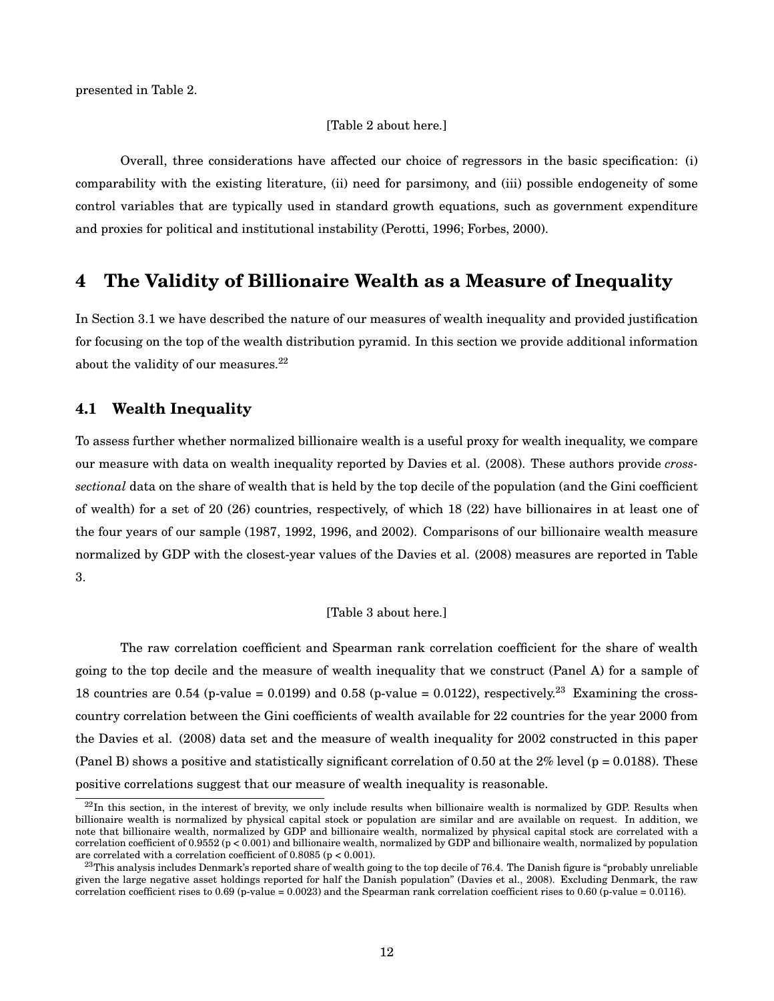presented in Table 2.

#### [Table 2 about here.]

Overall, three considerations have affected our choice of regressors in the basic specification: (i) comparability with the existing literature, (ii) need for parsimony, and (iii) possible endogeneity of some control variables that are typically used in standard growth equations, such as government expenditure and proxies for political and institutional instability (Perotti, 1996; Forbes, 2000).

### **4 The Validity of Billionaire Wealth as a Measure of Inequality**

In Section 3.1 we have described the nature of our measures of wealth inequality and provided justification for focusing on the top of the wealth distribution pyramid. In this section we provide additional information about the validity of our measures. $22$ 

#### **4.1 Wealth Inequality**

To assess further whether normalized billionaire wealth is a useful proxy for wealth inequality, we compare our measure with data on wealth inequality reported by Davies et al. (2008). These authors provide *crosssectional* data on the share of wealth that is held by the top decile of the population (and the Gini coefficient of wealth) for a set of 20 (26) countries, respectively, of which 18 (22) have billionaires in at least one of the four years of our sample (1987, 1992, 1996, and 2002). Comparisons of our billionaire wealth measure normalized by GDP with the closest-year values of the Davies et al. (2008) measures are reported in Table 3.

#### [Table 3 about here.]

The raw correlation coefficient and Spearman rank correlation coefficient for the share of wealth going to the top decile and the measure of wealth inequality that we construct (Panel A) for a sample of 18 countries are 0.54 (p-value = 0.0199) and 0.58 (p-value = 0.0122), respectively.<sup>23</sup> Examining the crosscountry correlation between the Gini coefficients of wealth available for 22 countries for the year 2000 from the Davies et al. (2008) data set and the measure of wealth inequality for 2002 constructed in this paper (Panel B) shows a positive and statistically significant correlation of 0.50 at the  $2\%$  level (p = 0.0188). These positive correlations suggest that our measure of wealth inequality is reasonable.

 $^{22}$ In this section, in the interest of brevity, we only include results when billionaire wealth is normalized by GDP. Results when billionaire wealth is normalized by physical capital stock or population are similar and are available on request. In addition, we note that billionaire wealth, normalized by GDP and billionaire wealth, normalized by physical capital stock are correlated with a correlation coefficient of 0.9552 (p < 0.001) and billionaire wealth, normalized by GDP and billionaire wealth, normalized by population are correlated with a correlation coefficient of 0.8085 (p < 0.001).

<sup>&</sup>lt;sup>23</sup>This analysis includes Denmark's reported share of wealth going to the top decile of 76.4. The Danish figure is "probably unreliable given the large negative asset holdings reported for half the Danish population" (Davies et al., 2008). Excluding Denmark, the raw correlation coefficient rises to 0.69 (p-value = 0.0023) and the Spearman rank correlation coefficient rises to 0.60 (p-value = 0.0116).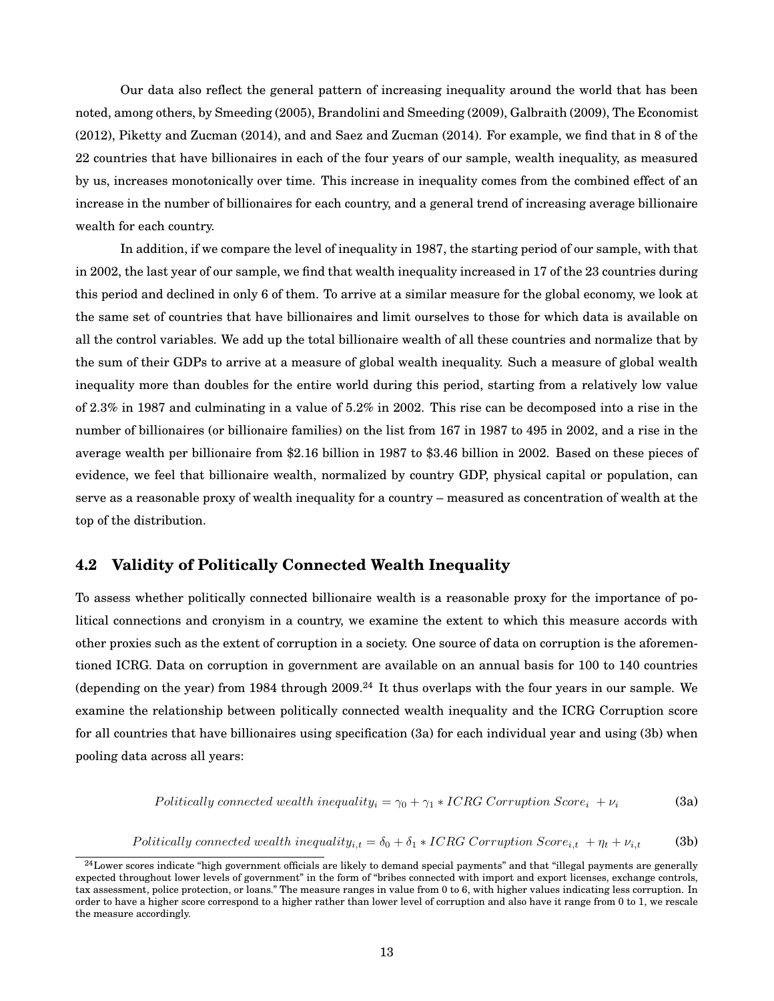Our data also reflect the general pattern of increasing inequality around the world that has been noted, among others, by Smeeding (2005), Brandolini and Smeeding (2009), Galbraith (2009), The Economist (2012), Piketty and Zucman (2014), and and Saez and Zucman (2014). For example, we find that in 8 of the 22 countries that have billionaires in each of the four years of our sample, wealth inequality, as measured by us, increases monotonically over time. This increase in inequality comes from the combined effect of an increase in the number of billionaires for each country, and a general trend of increasing average billionaire wealth for each country.

In addition, if we compare the level of inequality in 1987, the starting period of our sample, with that in 2002, the last year of our sample, we find that wealth inequality increased in 17 of the 23 countries during this period and declined in only 6 of them. To arrive at a similar measure for the global economy, we look at the same set of countries that have billionaires and limit ourselves to those for which data is available on all the control variables. We add up the total billionaire wealth of all these countries and normalize that by the sum of their GDPs to arrive at a measure of global wealth inequality. Such a measure of global wealth inequality more than doubles for the entire world during this period, starting from a relatively low value of 2.3% in 1987 and culminating in a value of 5.2% in 2002. This rise can be decomposed into a rise in the number of billionaires (or billionaire families) on the list from 167 in 1987 to 495 in 2002, and a rise in the average wealth per billionaire from \$2.16 billion in 1987 to \$3.46 billion in 2002. Based on these pieces of evidence, we feel that billionaire wealth, normalized by country GDP, physical capital or population, can serve as a reasonable proxy of wealth inequality for a country – measured as concentration of wealth at the top of the distribution.

#### **4.2 Validity of Politically Connected Wealth Inequality**

To assess whether politically connected billionaire wealth is a reasonable proxy for the importance of political connections and cronyism in a country, we examine the extent to which this measure accords with other proxies such as the extent of corruption in a society. One source of data on corruption is the aforementioned ICRG. Data on corruption in government are available on an annual basis for 100 to 140 countries (depending on the year) from 1984 through  $2009.<sup>24</sup>$  It thus overlaps with the four years in our sample. We examine the relationship between politically connected wealth inequality and the ICRG Corruption score for all countries that have billionaires using specification (3a) for each individual year and using (3b) when pooling data across all years:

Politically connected wealth inequality<sub>i</sub> = 
$$
\gamma_0 + \gamma_1 * ICRG
$$
 Corruption Score<sub>i</sub> +  $\nu_i$  (3a)

Politically connected wealth inequality<sub>i,t</sub> =  $\delta_0 + \delta_1 * ICRG$  Corruption Score<sub>i,t</sub> +  $\eta_t$  +  $\nu_{i,t}$  (3b)

<sup>&</sup>lt;sup>24</sup>Lower scores indicate "high government officials are likely to demand special payments" and that "illegal payments are generally expected throughout lower levels of government" in the form of "bribes connected with import and export licenses, exchange controls, tax assessment, police protection, or loans." The measure ranges in value from 0 to 6, with higher values indicating less corruption. In order to have a higher score correspond to a higher rather than lower level of corruption and also have it range from 0 to 1, we rescale the measure accordingly.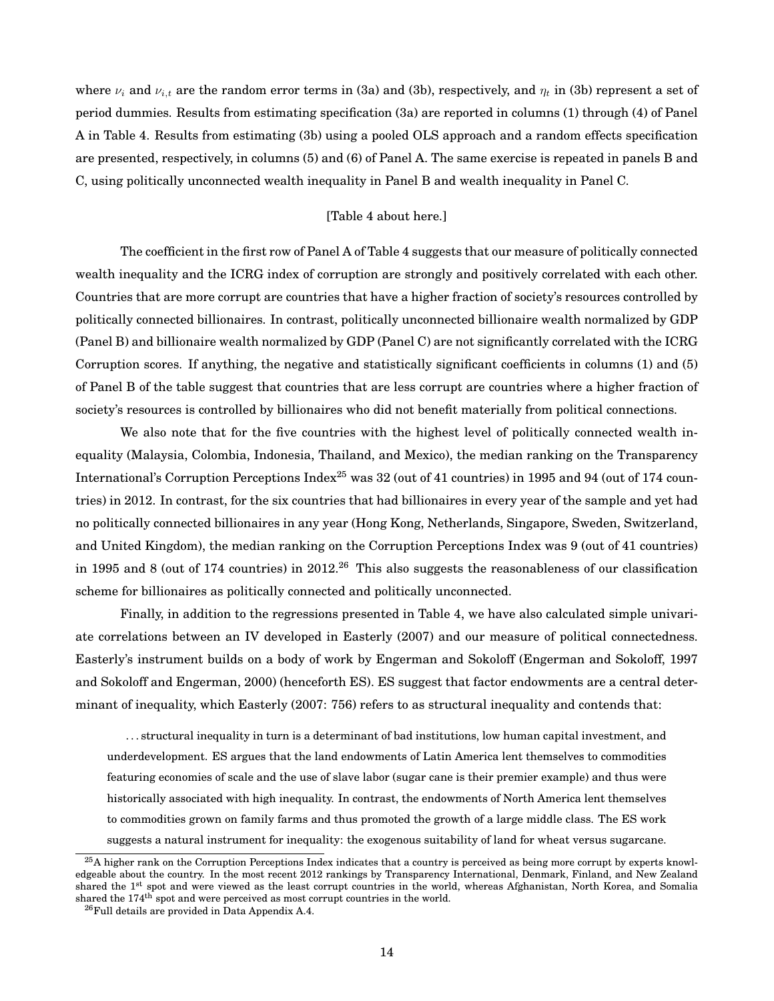where  $\nu_i$  and  $\nu_{i,t}$  are the random error terms in (3a) and (3b), respectively, and  $\eta_t$  in (3b) represent a set of period dummies. Results from estimating specification (3a) are reported in columns (1) through (4) of Panel A in Table 4. Results from estimating (3b) using a pooled OLS approach and a random effects specification are presented, respectively, in columns (5) and (6) of Panel A. The same exercise is repeated in panels B and C, using politically unconnected wealth inequality in Panel B and wealth inequality in Panel C.

#### [Table 4 about here.]

The coefficient in the first row of Panel A of Table 4 suggests that our measure of politically connected wealth inequality and the ICRG index of corruption are strongly and positively correlated with each other. Countries that are more corrupt are countries that have a higher fraction of society's resources controlled by politically connected billionaires. In contrast, politically unconnected billionaire wealth normalized by GDP (Panel B) and billionaire wealth normalized by GDP (Panel C) are not significantly correlated with the ICRG Corruption scores. If anything, the negative and statistically significant coefficients in columns (1) and (5) of Panel B of the table suggest that countries that are less corrupt are countries where a higher fraction of society's resources is controlled by billionaires who did not benefit materially from political connections.

We also note that for the five countries with the highest level of politically connected wealth inequality (Malaysia, Colombia, Indonesia, Thailand, and Mexico), the median ranking on the Transparency International's Corruption Perceptions Index<sup>25</sup> was 32 (out of 41 countries) in 1995 and 94 (out of 174 countries) in 2012. In contrast, for the six countries that had billionaires in every year of the sample and yet had no politically connected billionaires in any year (Hong Kong, Netherlands, Singapore, Sweden, Switzerland, and United Kingdom), the median ranking on the Corruption Perceptions Index was 9 (out of 41 countries) in 1995 and 8 (out of 174 countries) in 2012.<sup>26</sup> This also suggests the reasonableness of our classification scheme for billionaires as politically connected and politically unconnected.

Finally, in addition to the regressions presented in Table 4, we have also calculated simple univariate correlations between an IV developed in Easterly (2007) and our measure of political connectedness. Easterly's instrument builds on a body of work by Engerman and Sokoloff (Engerman and Sokoloff, 1997 and Sokoloff and Engerman, 2000) (henceforth ES). ES suggest that factor endowments are a central determinant of inequality, which Easterly (2007: 756) refers to as structural inequality and contends that:

. . . structural inequality in turn is a determinant of bad institutions, low human capital investment, and underdevelopment. ES argues that the land endowments of Latin America lent themselves to commodities featuring economies of scale and the use of slave labor (sugar cane is their premier example) and thus were historically associated with high inequality. In contrast, the endowments of North America lent themselves to commodities grown on family farms and thus promoted the growth of a large middle class. The ES work suggests a natural instrument for inequality: the exogenous suitability of land for wheat versus sugarcane.

<sup>&</sup>lt;sup>25</sup>A higher rank on the Corruption Perceptions Index indicates that a country is perceived as being more corrupt by experts knowledgeable about the country. In the most recent 2012 rankings by Transparency International, Denmark, Finland, and New Zealand shared the 1<sup>st</sup> spot and were viewed as the least corrupt countries in the world, whereas Afghanistan, North Korea, and Somalia shared the 174<sup>th</sup> spot and were perceived as most corrupt countries in the world.

<sup>26</sup>Full details are provided in Data Appendix A.4.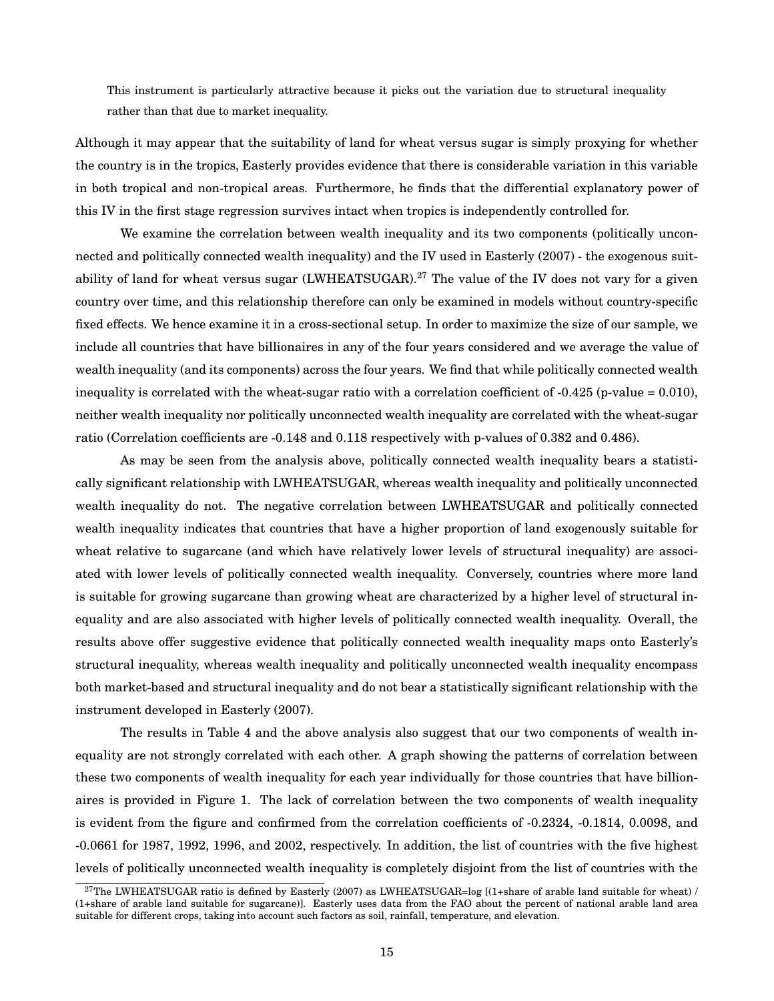This instrument is particularly attractive because it picks out the variation due to structural inequality rather than that due to market inequality.

Although it may appear that the suitability of land for wheat versus sugar is simply proxying for whether the country is in the tropics, Easterly provides evidence that there is considerable variation in this variable in both tropical and non-tropical areas. Furthermore, he finds that the differential explanatory power of this IV in the first stage regression survives intact when tropics is independently controlled for.

We examine the correlation between wealth inequality and its two components (politically unconnected and politically connected wealth inequality) and the IV used in Easterly (2007) - the exogenous suitability of land for wheat versus sugar (LWHEATSUGAR).<sup>27</sup> The value of the IV does not vary for a given country over time, and this relationship therefore can only be examined in models without country-specific fixed effects. We hence examine it in a cross-sectional setup. In order to maximize the size of our sample, we include all countries that have billionaires in any of the four years considered and we average the value of wealth inequality (and its components) across the four years. We find that while politically connected wealth inequality is correlated with the wheat-sugar ratio with a correlation coefficient of -0.425 (p-value = 0.010), neither wealth inequality nor politically unconnected wealth inequality are correlated with the wheat-sugar ratio (Correlation coefficients are -0.148 and 0.118 respectively with p-values of 0.382 and 0.486).

As may be seen from the analysis above, politically connected wealth inequality bears a statistically significant relationship with LWHEATSUGAR, whereas wealth inequality and politically unconnected wealth inequality do not. The negative correlation between LWHEATSUGAR and politically connected wealth inequality indicates that countries that have a higher proportion of land exogenously suitable for wheat relative to sugarcane (and which have relatively lower levels of structural inequality) are associated with lower levels of politically connected wealth inequality. Conversely, countries where more land is suitable for growing sugarcane than growing wheat are characterized by a higher level of structural inequality and are also associated with higher levels of politically connected wealth inequality. Overall, the results above offer suggestive evidence that politically connected wealth inequality maps onto Easterly's structural inequality, whereas wealth inequality and politically unconnected wealth inequality encompass both market-based and structural inequality and do not bear a statistically significant relationship with the instrument developed in Easterly (2007).

The results in Table 4 and the above analysis also suggest that our two components of wealth inequality are not strongly correlated with each other. A graph showing the patterns of correlation between these two components of wealth inequality for each year individually for those countries that have billionaires is provided in Figure 1. The lack of correlation between the two components of wealth inequality is evident from the figure and confirmed from the correlation coefficients of -0.2324, -0.1814, 0.0098, and -0.0661 for 1987, 1992, 1996, and 2002, respectively. In addition, the list of countries with the five highest levels of politically unconnected wealth inequality is completely disjoint from the list of countries with the

<sup>&</sup>lt;sup>27</sup>The LWHEATSUGAR ratio is defined by Easterly (2007) as LWHEATSUGAR=log  $[(1+\text{share of arable land suitable for wheat})$ (1+share of arable land suitable for sugarcane)]. Easterly uses data from the FAO about the percent of national arable land area suitable for different crops, taking into account such factors as soil, rainfall, temperature, and elevation.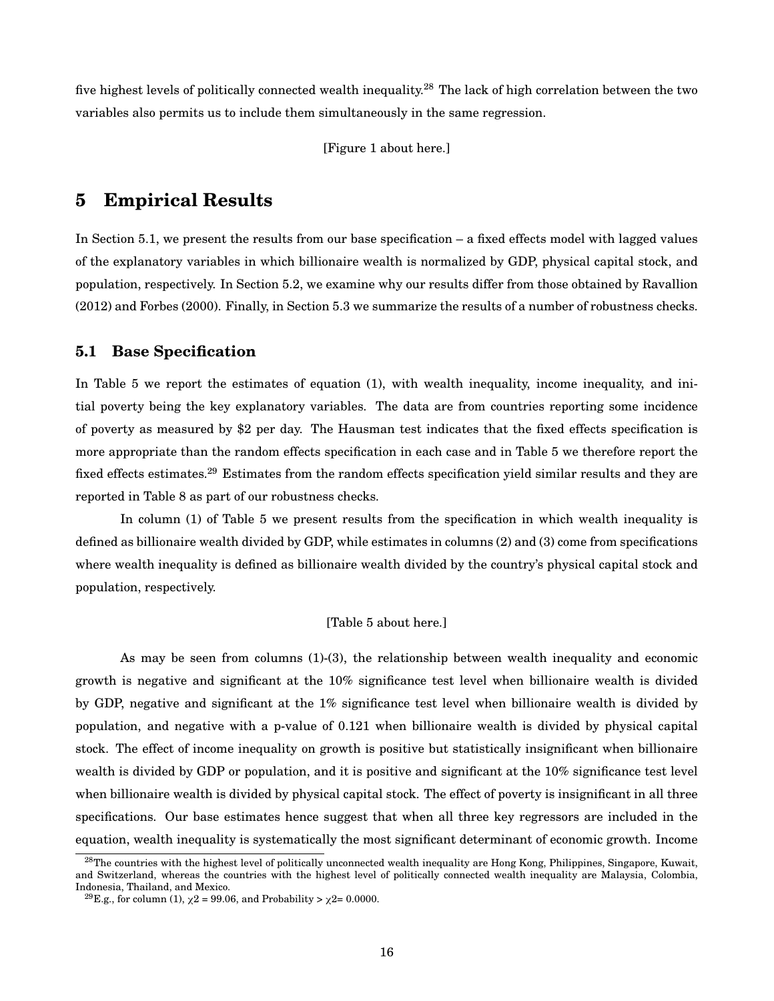five highest levels of politically connected wealth inequality.<sup>28</sup> The lack of high correlation between the two variables also permits us to include them simultaneously in the same regression.

[Figure 1 about here.]

### **5 Empirical Results**

In Section 5.1, we present the results from our base specification – a fixed effects model with lagged values of the explanatory variables in which billionaire wealth is normalized by GDP, physical capital stock, and population, respectively. In Section 5.2, we examine why our results differ from those obtained by Ravallion (2012) and Forbes (2000). Finally, in Section 5.3 we summarize the results of a number of robustness checks.

#### **5.1 Base Specification**

In Table 5 we report the estimates of equation (1), with wealth inequality, income inequality, and initial poverty being the key explanatory variables. The data are from countries reporting some incidence of poverty as measured by \$2 per day. The Hausman test indicates that the fixed effects specification is more appropriate than the random effects specification in each case and in Table 5 we therefore report the fixed effects estimates.<sup>29</sup> Estimates from the random effects specification yield similar results and they are reported in Table 8 as part of our robustness checks.

In column (1) of Table 5 we present results from the specification in which wealth inequality is defined as billionaire wealth divided by GDP, while estimates in columns (2) and (3) come from specifications where wealth inequality is defined as billionaire wealth divided by the country's physical capital stock and population, respectively.

#### [Table 5 about here.]

As may be seen from columns (1)-(3), the relationship between wealth inequality and economic growth is negative and significant at the 10% significance test level when billionaire wealth is divided by GDP, negative and significant at the 1% significance test level when billionaire wealth is divided by population, and negative with a p-value of 0.121 when billionaire wealth is divided by physical capital stock. The effect of income inequality on growth is positive but statistically insignificant when billionaire wealth is divided by GDP or population, and it is positive and significant at the 10% significance test level when billionaire wealth is divided by physical capital stock. The effect of poverty is insignificant in all three specifications. Our base estimates hence suggest that when all three key regressors are included in the equation, wealth inequality is systematically the most significant determinant of economic growth. Income

<sup>&</sup>lt;sup>28</sup>The countries with the highest level of politically unconnected wealth inequality are Hong Kong, Philippines, Singapore, Kuwait, and Switzerland, whereas the countries with the highest level of politically connected wealth inequality are Malaysia, Colombia, Indonesia, Thailand, and Mexico.

 ${}^{29}E.g.,$  for column (1),  $\chi$ 2 = 99.06, and Probability >  $\chi$ 2= 0.0000.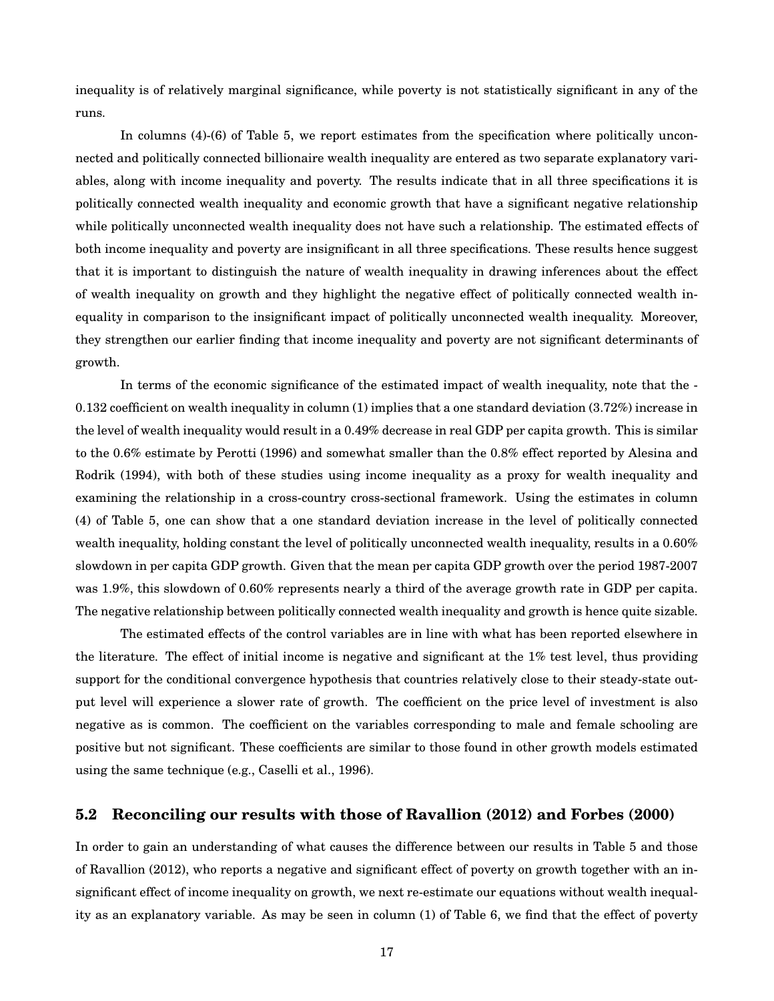inequality is of relatively marginal significance, while poverty is not statistically significant in any of the runs.

In columns (4)-(6) of Table 5, we report estimates from the specification where politically unconnected and politically connected billionaire wealth inequality are entered as two separate explanatory variables, along with income inequality and poverty. The results indicate that in all three specifications it is politically connected wealth inequality and economic growth that have a significant negative relationship while politically unconnected wealth inequality does not have such a relationship. The estimated effects of both income inequality and poverty are insignificant in all three specifications. These results hence suggest that it is important to distinguish the nature of wealth inequality in drawing inferences about the effect of wealth inequality on growth and they highlight the negative effect of politically connected wealth inequality in comparison to the insignificant impact of politically unconnected wealth inequality. Moreover, they strengthen our earlier finding that income inequality and poverty are not significant determinants of growth.

In terms of the economic significance of the estimated impact of wealth inequality, note that the - 0.132 coefficient on wealth inequality in column (1) implies that a one standard deviation (3.72%) increase in the level of wealth inequality would result in a 0.49% decrease in real GDP per capita growth. This is similar to the 0.6% estimate by Perotti (1996) and somewhat smaller than the 0.8% effect reported by Alesina and Rodrik (1994), with both of these studies using income inequality as a proxy for wealth inequality and examining the relationship in a cross-country cross-sectional framework. Using the estimates in column (4) of Table 5, one can show that a one standard deviation increase in the level of politically connected wealth inequality, holding constant the level of politically unconnected wealth inequality, results in a 0.60% slowdown in per capita GDP growth. Given that the mean per capita GDP growth over the period 1987-2007 was 1.9%, this slowdown of 0.60% represents nearly a third of the average growth rate in GDP per capita. The negative relationship between politically connected wealth inequality and growth is hence quite sizable.

The estimated effects of the control variables are in line with what has been reported elsewhere in the literature. The effect of initial income is negative and significant at the 1% test level, thus providing support for the conditional convergence hypothesis that countries relatively close to their steady-state output level will experience a slower rate of growth. The coefficient on the price level of investment is also negative as is common. The coefficient on the variables corresponding to male and female schooling are positive but not significant. These coefficients are similar to those found in other growth models estimated using the same technique (e.g., Caselli et al., 1996).

#### **5.2 Reconciling our results with those of Ravallion (2012) and Forbes (2000)**

In order to gain an understanding of what causes the difference between our results in Table 5 and those of Ravallion (2012), who reports a negative and significant effect of poverty on growth together with an insignificant effect of income inequality on growth, we next re-estimate our equations without wealth inequality as an explanatory variable. As may be seen in column (1) of Table 6, we find that the effect of poverty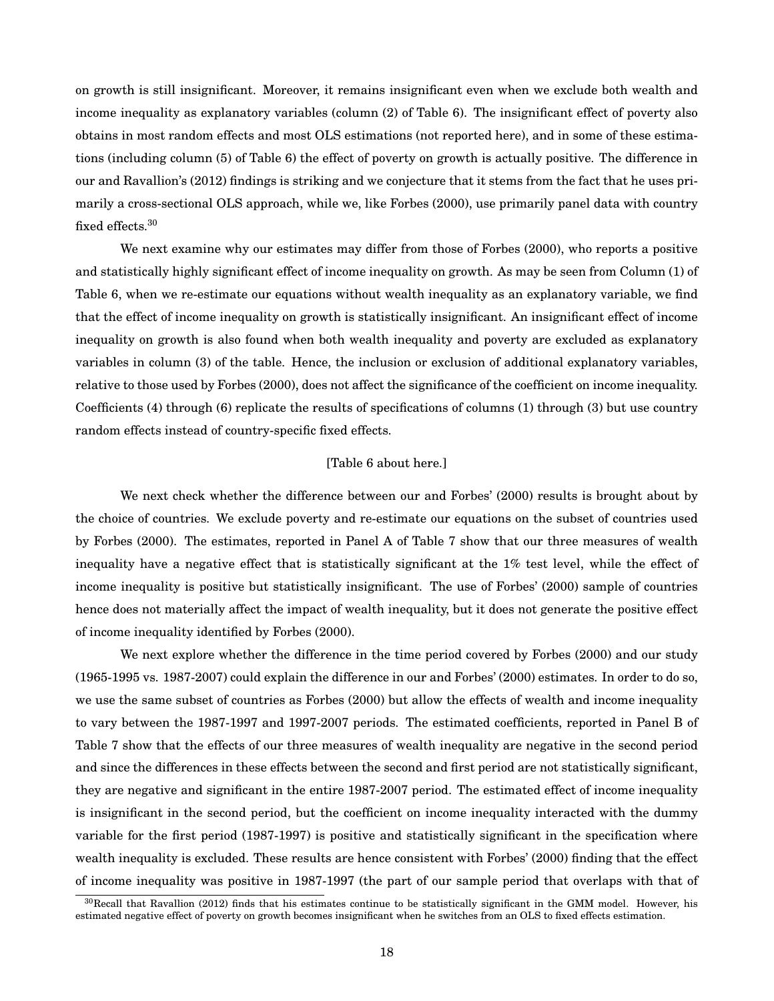on growth is still insignificant. Moreover, it remains insignificant even when we exclude both wealth and income inequality as explanatory variables (column (2) of Table 6). The insignificant effect of poverty also obtains in most random effects and most OLS estimations (not reported here), and in some of these estimations (including column (5) of Table 6) the effect of poverty on growth is actually positive. The difference in our and Ravallion's (2012) findings is striking and we conjecture that it stems from the fact that he uses primarily a cross-sectional OLS approach, while we, like Forbes (2000), use primarily panel data with country fixed effects.<sup>30</sup>

We next examine why our estimates may differ from those of Forbes (2000), who reports a positive and statistically highly significant effect of income inequality on growth. As may be seen from Column (1) of Table 6, when we re-estimate our equations without wealth inequality as an explanatory variable, we find that the effect of income inequality on growth is statistically insignificant. An insignificant effect of income inequality on growth is also found when both wealth inequality and poverty are excluded as explanatory variables in column (3) of the table. Hence, the inclusion or exclusion of additional explanatory variables, relative to those used by Forbes (2000), does not affect the significance of the coefficient on income inequality. Coefficients (4) through (6) replicate the results of specifications of columns (1) through (3) but use country random effects instead of country-specific fixed effects.

#### [Table 6 about here.]

We next check whether the difference between our and Forbes' (2000) results is brought about by the choice of countries. We exclude poverty and re-estimate our equations on the subset of countries used by Forbes (2000). The estimates, reported in Panel A of Table 7 show that our three measures of wealth inequality have a negative effect that is statistically significant at the 1% test level, while the effect of income inequality is positive but statistically insignificant. The use of Forbes' (2000) sample of countries hence does not materially affect the impact of wealth inequality, but it does not generate the positive effect of income inequality identified by Forbes (2000).

We next explore whether the difference in the time period covered by Forbes (2000) and our study (1965-1995 vs. 1987-2007) could explain the difference in our and Forbes' (2000) estimates. In order to do so, we use the same subset of countries as Forbes (2000) but allow the effects of wealth and income inequality to vary between the 1987-1997 and 1997-2007 periods. The estimated coefficients, reported in Panel B of Table 7 show that the effects of our three measures of wealth inequality are negative in the second period and since the differences in these effects between the second and first period are not statistically significant, they are negative and significant in the entire 1987-2007 period. The estimated effect of income inequality is insignificant in the second period, but the coefficient on income inequality interacted with the dummy variable for the first period (1987-1997) is positive and statistically significant in the specification where wealth inequality is excluded. These results are hence consistent with Forbes' (2000) finding that the effect of income inequality was positive in 1987-1997 (the part of our sample period that overlaps with that of

 $30$ Recall that Ravallion (2012) finds that his estimates continue to be statistically significant in the GMM model. However, his estimated negative effect of poverty on growth becomes insignificant when he switches from an OLS to fixed effects estimation.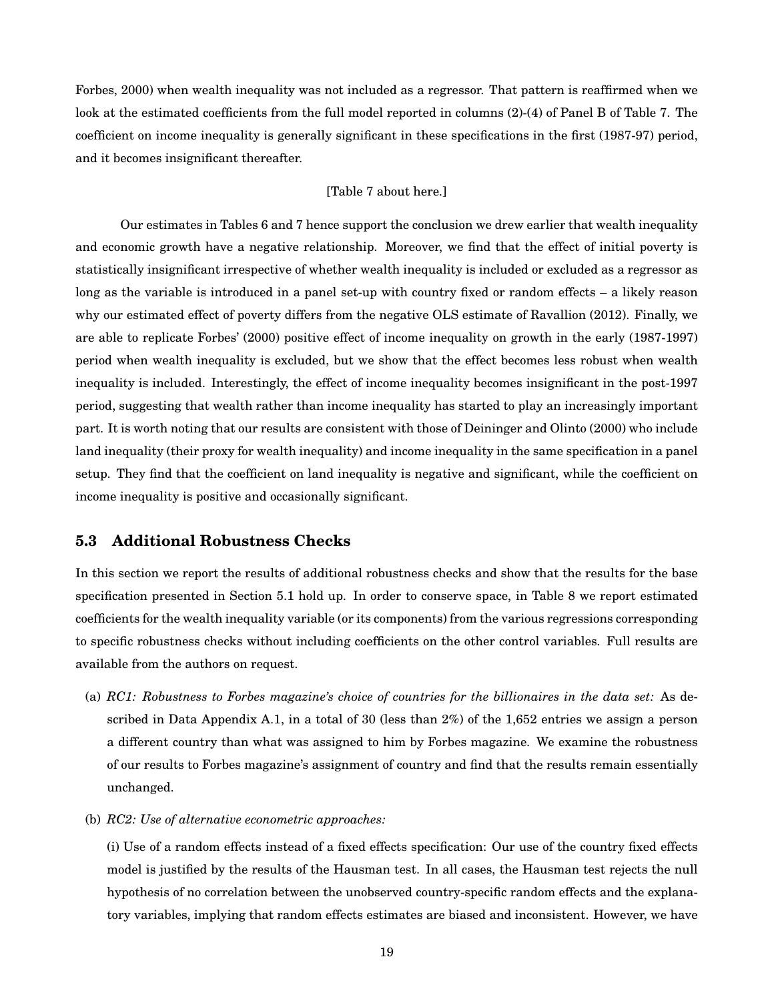Forbes, 2000) when wealth inequality was not included as a regressor. That pattern is reaffirmed when we look at the estimated coefficients from the full model reported in columns (2)-(4) of Panel B of Table 7. The coefficient on income inequality is generally significant in these specifications in the first (1987-97) period, and it becomes insignificant thereafter.

#### [Table 7 about here.]

Our estimates in Tables 6 and 7 hence support the conclusion we drew earlier that wealth inequality and economic growth have a negative relationship. Moreover, we find that the effect of initial poverty is statistically insignificant irrespective of whether wealth inequality is included or excluded as a regressor as long as the variable is introduced in a panel set-up with country fixed or random effects – a likely reason why our estimated effect of poverty differs from the negative OLS estimate of Ravallion (2012). Finally, we are able to replicate Forbes' (2000) positive effect of income inequality on growth in the early (1987-1997) period when wealth inequality is excluded, but we show that the effect becomes less robust when wealth inequality is included. Interestingly, the effect of income inequality becomes insignificant in the post-1997 period, suggesting that wealth rather than income inequality has started to play an increasingly important part. It is worth noting that our results are consistent with those of Deininger and Olinto (2000) who include land inequality (their proxy for wealth inequality) and income inequality in the same specification in a panel setup. They find that the coefficient on land inequality is negative and significant, while the coefficient on income inequality is positive and occasionally significant.

#### **5.3 Additional Robustness Checks**

In this section we report the results of additional robustness checks and show that the results for the base specification presented in Section 5.1 hold up. In order to conserve space, in Table 8 we report estimated coefficients for the wealth inequality variable (or its components) from the various regressions corresponding to specific robustness checks without including coefficients on the other control variables. Full results are available from the authors on request.

- (a) *RC1: Robustness to Forbes magazine's choice of countries for the billionaires in the data set:* As described in Data Appendix A.1, in a total of 30 (less than 2%) of the 1,652 entries we assign a person a different country than what was assigned to him by Forbes magazine. We examine the robustness of our results to Forbes magazine's assignment of country and find that the results remain essentially unchanged.
- (b) *RC2: Use of alternative econometric approaches:*

(i) Use of a random effects instead of a fixed effects specification: Our use of the country fixed effects model is justified by the results of the Hausman test. In all cases, the Hausman test rejects the null hypothesis of no correlation between the unobserved country-specific random effects and the explanatory variables, implying that random effects estimates are biased and inconsistent. However, we have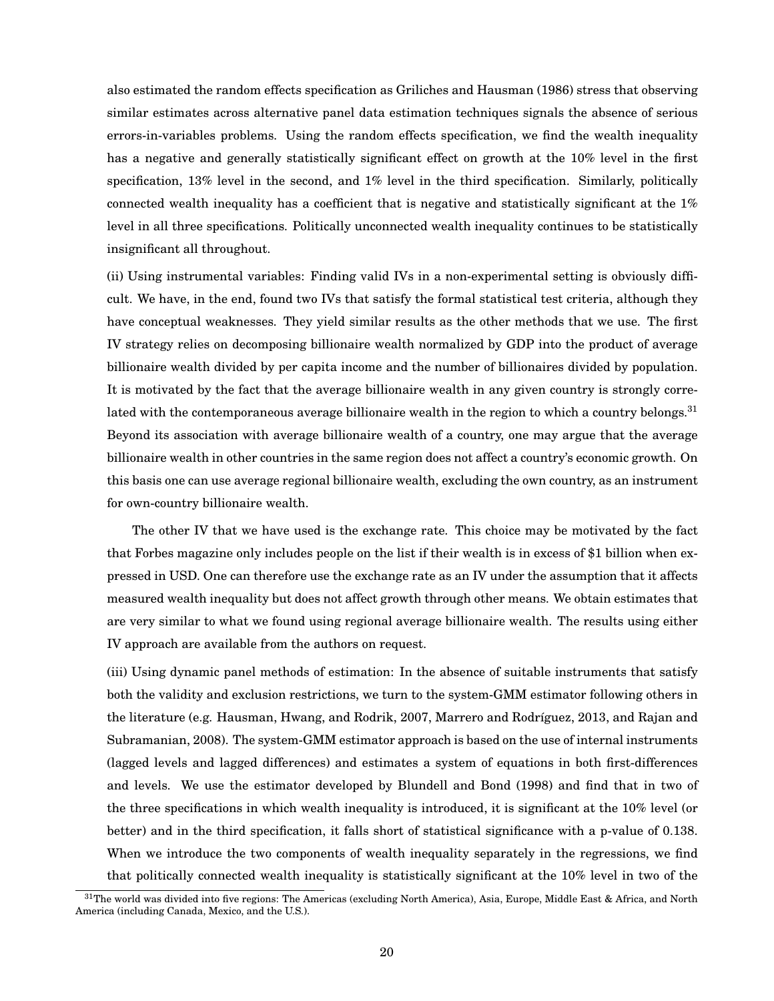also estimated the random effects specification as Griliches and Hausman (1986) stress that observing similar estimates across alternative panel data estimation techniques signals the absence of serious errors-in-variables problems. Using the random effects specification, we find the wealth inequality has a negative and generally statistically significant effect on growth at the 10% level in the first specification, 13% level in the second, and 1% level in the third specification. Similarly, politically connected wealth inequality has a coefficient that is negative and statistically significant at the 1% level in all three specifications. Politically unconnected wealth inequality continues to be statistically insignificant all throughout.

(ii) Using instrumental variables: Finding valid IVs in a non-experimental setting is obviously difficult. We have, in the end, found two IVs that satisfy the formal statistical test criteria, although they have conceptual weaknesses. They yield similar results as the other methods that we use. The first IV strategy relies on decomposing billionaire wealth normalized by GDP into the product of average billionaire wealth divided by per capita income and the number of billionaires divided by population. It is motivated by the fact that the average billionaire wealth in any given country is strongly correlated with the contemporaneous average billionaire wealth in the region to which a country belongs.<sup>31</sup> Beyond its association with average billionaire wealth of a country, one may argue that the average billionaire wealth in other countries in the same region does not affect a country's economic growth. On this basis one can use average regional billionaire wealth, excluding the own country, as an instrument for own-country billionaire wealth.

The other IV that we have used is the exchange rate. This choice may be motivated by the fact that Forbes magazine only includes people on the list if their wealth is in excess of \$1 billion when expressed in USD. One can therefore use the exchange rate as an IV under the assumption that it affects measured wealth inequality but does not affect growth through other means. We obtain estimates that are very similar to what we found using regional average billionaire wealth. The results using either IV approach are available from the authors on request.

(iii) Using dynamic panel methods of estimation: In the absence of suitable instruments that satisfy both the validity and exclusion restrictions, we turn to the system-GMM estimator following others in the literature (e.g. Hausman, Hwang, and Rodrik, 2007, Marrero and Rodríguez, 2013, and Rajan and Subramanian, 2008). The system-GMM estimator approach is based on the use of internal instruments (lagged levels and lagged differences) and estimates a system of equations in both first-differences and levels. We use the estimator developed by Blundell and Bond (1998) and find that in two of the three specifications in which wealth inequality is introduced, it is significant at the 10% level (or better) and in the third specification, it falls short of statistical significance with a p-value of 0.138. When we introduce the two components of wealth inequality separately in the regressions, we find that politically connected wealth inequality is statistically significant at the 10% level in two of the

<sup>&</sup>lt;sup>31</sup>The world was divided into five regions: The Americas (excluding North America), Asia, Europe, Middle East & Africa, and North America (including Canada, Mexico, and the U.S.).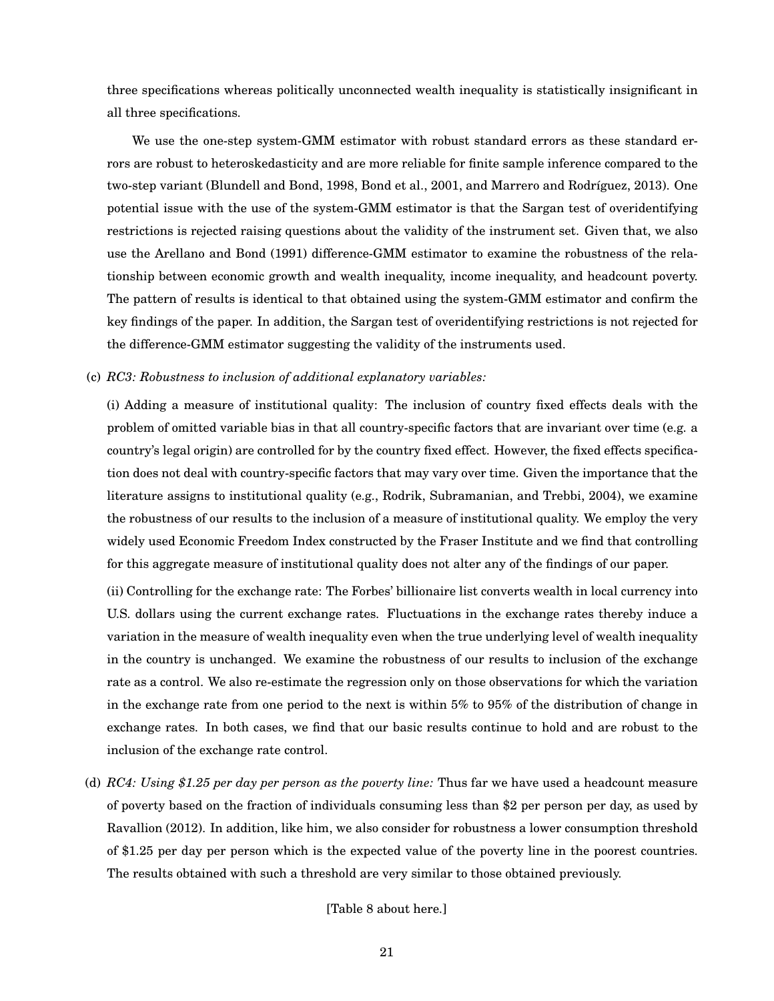three specifications whereas politically unconnected wealth inequality is statistically insignificant in all three specifications.

We use the one-step system-GMM estimator with robust standard errors as these standard errors are robust to heteroskedasticity and are more reliable for finite sample inference compared to the two-step variant (Blundell and Bond, 1998, Bond et al., 2001, and Marrero and Rodríguez, 2013). One potential issue with the use of the system-GMM estimator is that the Sargan test of overidentifying restrictions is rejected raising questions about the validity of the instrument set. Given that, we also use the Arellano and Bond (1991) difference-GMM estimator to examine the robustness of the relationship between economic growth and wealth inequality, income inequality, and headcount poverty. The pattern of results is identical to that obtained using the system-GMM estimator and confirm the key findings of the paper. In addition, the Sargan test of overidentifying restrictions is not rejected for the difference-GMM estimator suggesting the validity of the instruments used.

#### (c) *RC3: Robustness to inclusion of additional explanatory variables:*

(i) Adding a measure of institutional quality: The inclusion of country fixed effects deals with the problem of omitted variable bias in that all country-specific factors that are invariant over time (e.g. a country's legal origin) are controlled for by the country fixed effect. However, the fixed effects specification does not deal with country-specific factors that may vary over time. Given the importance that the literature assigns to institutional quality (e.g., Rodrik, Subramanian, and Trebbi, 2004), we examine the robustness of our results to the inclusion of a measure of institutional quality. We employ the very widely used Economic Freedom Index constructed by the Fraser Institute and we find that controlling for this aggregate measure of institutional quality does not alter any of the findings of our paper.

(ii) Controlling for the exchange rate: The Forbes' billionaire list converts wealth in local currency into U.S. dollars using the current exchange rates. Fluctuations in the exchange rates thereby induce a variation in the measure of wealth inequality even when the true underlying level of wealth inequality in the country is unchanged. We examine the robustness of our results to inclusion of the exchange rate as a control. We also re-estimate the regression only on those observations for which the variation in the exchange rate from one period to the next is within 5% to 95% of the distribution of change in exchange rates. In both cases, we find that our basic results continue to hold and are robust to the inclusion of the exchange rate control.

(d) *RC4: Using \$1.25 per day per person as the poverty line:* Thus far we have used a headcount measure of poverty based on the fraction of individuals consuming less than \$2 per person per day, as used by Ravallion (2012). In addition, like him, we also consider for robustness a lower consumption threshold of \$1.25 per day per person which is the expected value of the poverty line in the poorest countries. The results obtained with such a threshold are very similar to those obtained previously.

[Table 8 about here.]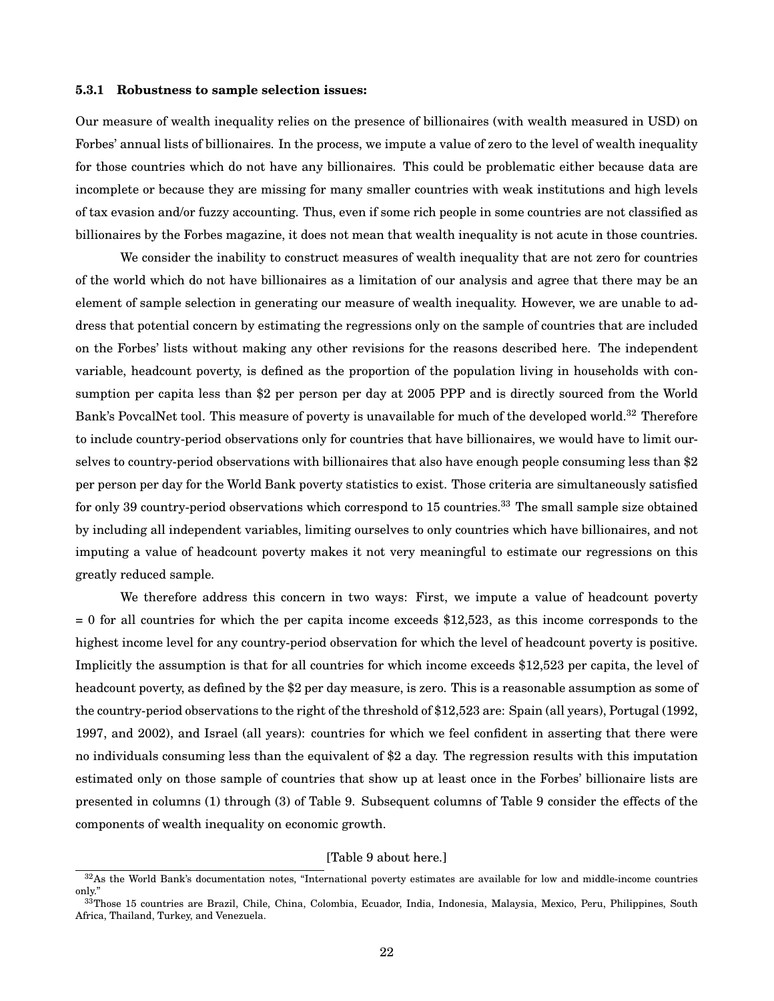#### **5.3.1 Robustness to sample selection issues:**

Our measure of wealth inequality relies on the presence of billionaires (with wealth measured in USD) on Forbes' annual lists of billionaires. In the process, we impute a value of zero to the level of wealth inequality for those countries which do not have any billionaires. This could be problematic either because data are incomplete or because they are missing for many smaller countries with weak institutions and high levels of tax evasion and/or fuzzy accounting. Thus, even if some rich people in some countries are not classified as billionaires by the Forbes magazine, it does not mean that wealth inequality is not acute in those countries.

We consider the inability to construct measures of wealth inequality that are not zero for countries of the world which do not have billionaires as a limitation of our analysis and agree that there may be an element of sample selection in generating our measure of wealth inequality. However, we are unable to address that potential concern by estimating the regressions only on the sample of countries that are included on the Forbes' lists without making any other revisions for the reasons described here. The independent variable, headcount poverty, is defined as the proportion of the population living in households with consumption per capita less than \$2 per person per day at 2005 PPP and is directly sourced from the World Bank's PovcalNet tool. This measure of poverty is unavailable for much of the developed world.<sup>32</sup> Therefore to include country-period observations only for countries that have billionaires, we would have to limit ourselves to country-period observations with billionaires that also have enough people consuming less than \$2 per person per day for the World Bank poverty statistics to exist. Those criteria are simultaneously satisfied for only 39 country-period observations which correspond to 15 countries.<sup>33</sup> The small sample size obtained by including all independent variables, limiting ourselves to only countries which have billionaires, and not imputing a value of headcount poverty makes it not very meaningful to estimate our regressions on this greatly reduced sample.

We therefore address this concern in two ways: First, we impute a value of headcount poverty  $= 0$  for all countries for which the per capita income exceeds \$12,523, as this income corresponds to the highest income level for any country-period observation for which the level of headcount poverty is positive. Implicitly the assumption is that for all countries for which income exceeds \$12,523 per capita, the level of headcount poverty, as defined by the \$2 per day measure, is zero. This is a reasonable assumption as some of the country-period observations to the right of the threshold of \$12,523 are: Spain (all years), Portugal (1992, 1997, and 2002), and Israel (all years): countries for which we feel confident in asserting that there were no individuals consuming less than the equivalent of \$2 a day. The regression results with this imputation estimated only on those sample of countries that show up at least once in the Forbes' billionaire lists are presented in columns (1) through (3) of Table 9. Subsequent columns of Table 9 consider the effects of the components of wealth inequality on economic growth.

#### [Table 9 about here.]

 $32$ As the World Bank's documentation notes, "International poverty estimates are available for low and middle-income countries only."

<sup>&</sup>lt;sup>33</sup>Those 15 countries are Brazil, Chile, China, Colombia, Ecuador, India, Indonesia, Malaysia, Mexico, Peru, Philippines, South Africa, Thailand, Turkey, and Venezuela.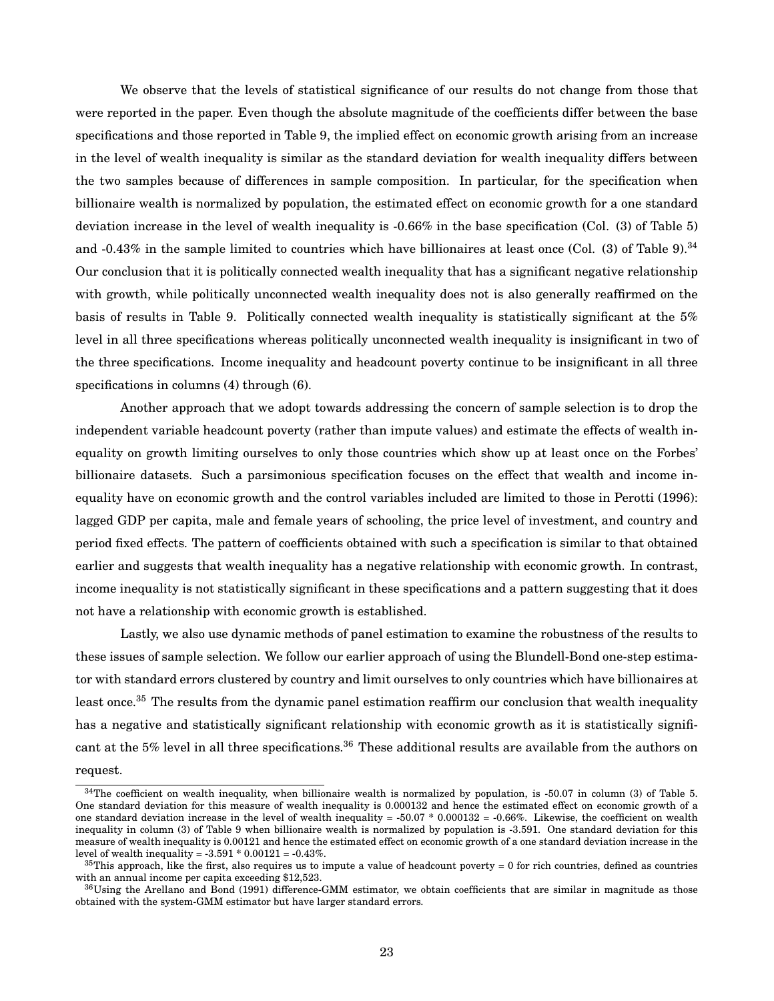We observe that the levels of statistical significance of our results do not change from those that were reported in the paper. Even though the absolute magnitude of the coefficients differ between the base specifications and those reported in Table 9, the implied effect on economic growth arising from an increase in the level of wealth inequality is similar as the standard deviation for wealth inequality differs between the two samples because of differences in sample composition. In particular, for the specification when billionaire wealth is normalized by population, the estimated effect on economic growth for a one standard deviation increase in the level of wealth inequality is -0.66% in the base specification (Col. (3) of Table 5) and -0.43% in the sample limited to countries which have billionaires at least once (Col. (3) of Table  $9$ ).<sup>34</sup> Our conclusion that it is politically connected wealth inequality that has a significant negative relationship with growth, while politically unconnected wealth inequality does not is also generally reaffirmed on the basis of results in Table 9. Politically connected wealth inequality is statistically significant at the 5% level in all three specifications whereas politically unconnected wealth inequality is insignificant in two of the three specifications. Income inequality and headcount poverty continue to be insignificant in all three specifications in columns (4) through (6).

Another approach that we adopt towards addressing the concern of sample selection is to drop the independent variable headcount poverty (rather than impute values) and estimate the effects of wealth inequality on growth limiting ourselves to only those countries which show up at least once on the Forbes' billionaire datasets. Such a parsimonious specification focuses on the effect that wealth and income inequality have on economic growth and the control variables included are limited to those in Perotti (1996): lagged GDP per capita, male and female years of schooling, the price level of investment, and country and period fixed effects. The pattern of coefficients obtained with such a specification is similar to that obtained earlier and suggests that wealth inequality has a negative relationship with economic growth. In contrast, income inequality is not statistically significant in these specifications and a pattern suggesting that it does not have a relationship with economic growth is established.

Lastly, we also use dynamic methods of panel estimation to examine the robustness of the results to these issues of sample selection. We follow our earlier approach of using the Blundell-Bond one-step estimator with standard errors clustered by country and limit ourselves to only countries which have billionaires at least once.<sup>35</sup> The results from the dynamic panel estimation reaffirm our conclusion that wealth inequality has a negative and statistically significant relationship with economic growth as it is statistically significant at the 5% level in all three specifications.<sup>36</sup> These additional results are available from the authors on request.

 $34$ The coefficient on wealth inequality, when billionaire wealth is normalized by population, is -50.07 in column (3) of Table 5. One standard deviation for this measure of wealth inequality is 0.000132 and hence the estimated effect on economic growth of a one standard deviation increase in the level of wealth inequality  $= -50.07 * 0.000132 = -0.66\%$ . Likewise, the coefficient on wealth inequality in column (3) of Table 9 when billionaire wealth is normalized by population is -3.591. One standard deviation for this measure of wealth inequality is 0.00121 and hence the estimated effect on economic growth of a one standard deviation increase in the level of wealth inequality =  $-3.591 * 0.00121 = -0.43%$ .

 $35$ This approach, like the first, also requires us to impute a value of headcount poverty = 0 for rich countries, defined as countries with an annual income per capita exceeding \$12,523.

<sup>36</sup>Using the Arellano and Bond (1991) difference-GMM estimator, we obtain coefficients that are similar in magnitude as those obtained with the system-GMM estimator but have larger standard errors.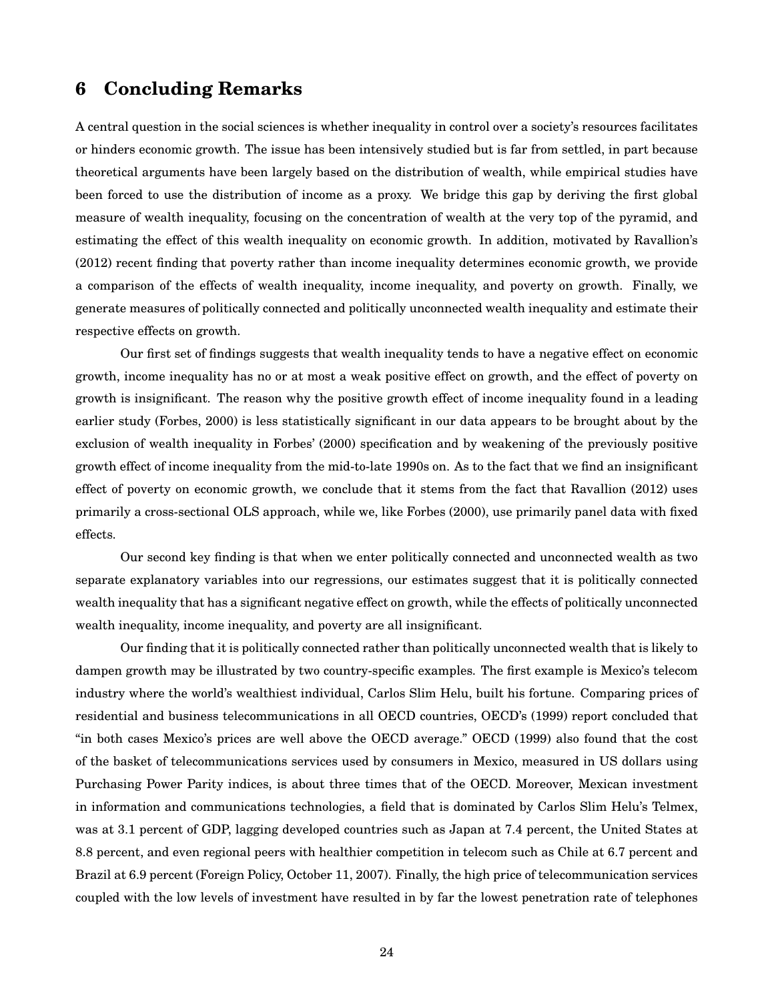### **6 Concluding Remarks**

A central question in the social sciences is whether inequality in control over a society's resources facilitates or hinders economic growth. The issue has been intensively studied but is far from settled, in part because theoretical arguments have been largely based on the distribution of wealth, while empirical studies have been forced to use the distribution of income as a proxy. We bridge this gap by deriving the first global measure of wealth inequality, focusing on the concentration of wealth at the very top of the pyramid, and estimating the effect of this wealth inequality on economic growth. In addition, motivated by Ravallion's (2012) recent finding that poverty rather than income inequality determines economic growth, we provide a comparison of the effects of wealth inequality, income inequality, and poverty on growth. Finally, we generate measures of politically connected and politically unconnected wealth inequality and estimate their respective effects on growth.

Our first set of findings suggests that wealth inequality tends to have a negative effect on economic growth, income inequality has no or at most a weak positive effect on growth, and the effect of poverty on growth is insignificant. The reason why the positive growth effect of income inequality found in a leading earlier study (Forbes, 2000) is less statistically significant in our data appears to be brought about by the exclusion of wealth inequality in Forbes' (2000) specification and by weakening of the previously positive growth effect of income inequality from the mid-to-late 1990s on. As to the fact that we find an insignificant effect of poverty on economic growth, we conclude that it stems from the fact that Ravallion (2012) uses primarily a cross-sectional OLS approach, while we, like Forbes (2000), use primarily panel data with fixed effects.

Our second key finding is that when we enter politically connected and unconnected wealth as two separate explanatory variables into our regressions, our estimates suggest that it is politically connected wealth inequality that has a significant negative effect on growth, while the effects of politically unconnected wealth inequality, income inequality, and poverty are all insignificant.

Our finding that it is politically connected rather than politically unconnected wealth that is likely to dampen growth may be illustrated by two country-specific examples. The first example is Mexico's telecom industry where the world's wealthiest individual, Carlos Slim Helu, built his fortune. Comparing prices of residential and business telecommunications in all OECD countries, OECD's (1999) report concluded that "in both cases Mexico's prices are well above the OECD average." OECD (1999) also found that the cost of the basket of telecommunications services used by consumers in Mexico, measured in US dollars using Purchasing Power Parity indices, is about three times that of the OECD. Moreover, Mexican investment in information and communications technologies, a field that is dominated by Carlos Slim Helu's Telmex, was at 3.1 percent of GDP, lagging developed countries such as Japan at 7.4 percent, the United States at 8.8 percent, and even regional peers with healthier competition in telecom such as Chile at 6.7 percent and Brazil at 6.9 percent (Foreign Policy, October 11, 2007). Finally, the high price of telecommunication services coupled with the low levels of investment have resulted in by far the lowest penetration rate of telephones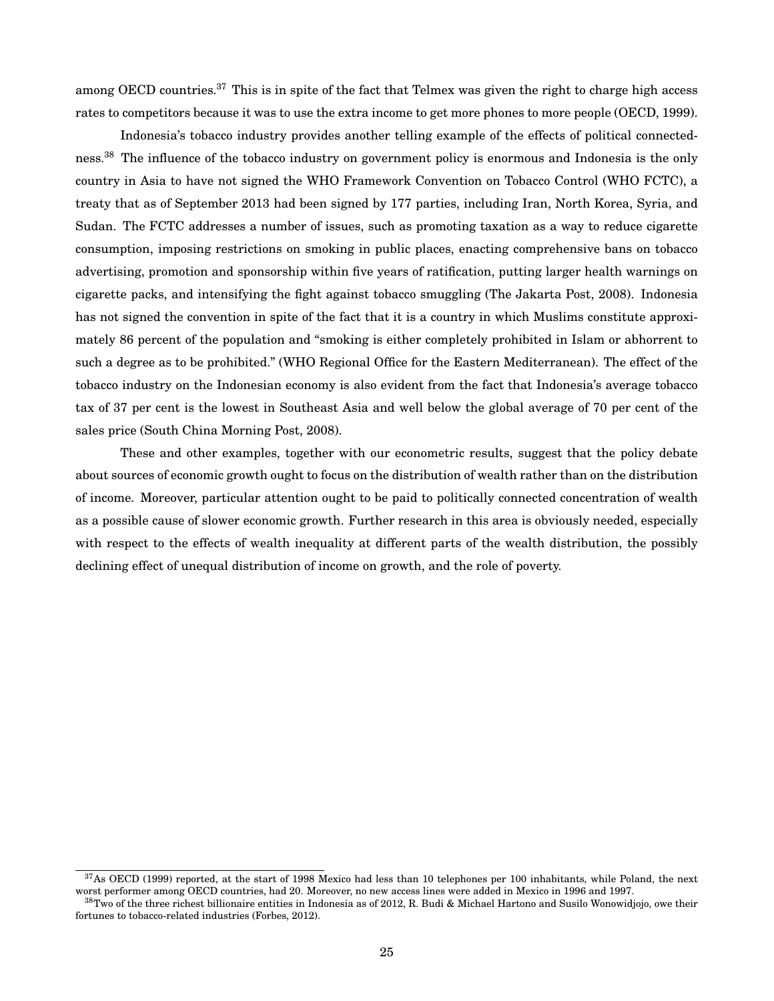among OECD countries.<sup>37</sup> This is in spite of the fact that Telmex was given the right to charge high access rates to competitors because it was to use the extra income to get more phones to more people (OECD, 1999).

Indonesia's tobacco industry provides another telling example of the effects of political connectedness.<sup>38</sup> The influence of the tobacco industry on government policy is enormous and Indonesia is the only country in Asia to have not signed the WHO Framework Convention on Tobacco Control (WHO FCTC), a treaty that as of September 2013 had been signed by 177 parties, including Iran, North Korea, Syria, and Sudan. The FCTC addresses a number of issues, such as promoting taxation as a way to reduce cigarette consumption, imposing restrictions on smoking in public places, enacting comprehensive bans on tobacco advertising, promotion and sponsorship within five years of ratification, putting larger health warnings on cigarette packs, and intensifying the fight against tobacco smuggling (The Jakarta Post, 2008). Indonesia has not signed the convention in spite of the fact that it is a country in which Muslims constitute approximately 86 percent of the population and "smoking is either completely prohibited in Islam or abhorrent to such a degree as to be prohibited." (WHO Regional Office for the Eastern Mediterranean). The effect of the tobacco industry on the Indonesian economy is also evident from the fact that Indonesia's average tobacco tax of 37 per cent is the lowest in Southeast Asia and well below the global average of 70 per cent of the sales price (South China Morning Post, 2008).

These and other examples, together with our econometric results, suggest that the policy debate about sources of economic growth ought to focus on the distribution of wealth rather than on the distribution of income. Moreover, particular attention ought to be paid to politically connected concentration of wealth as a possible cause of slower economic growth. Further research in this area is obviously needed, especially with respect to the effects of wealth inequality at different parts of the wealth distribution, the possibly declining effect of unequal distribution of income on growth, and the role of poverty.

 $37$ As OECD (1999) reported, at the start of 1998 Mexico had less than 10 telephones per 100 inhabitants, while Poland, the next worst performer among OECD countries, had 20. Moreover, no new access lines were added in Mexico in 1996 and 1997.

 $38$ Two of the three richest billionaire entities in Indonesia as of 2012, R. Budi & Michael Hartono and Susilo Wonowidjojo, owe their fortunes to tobacco-related industries (Forbes, 2012).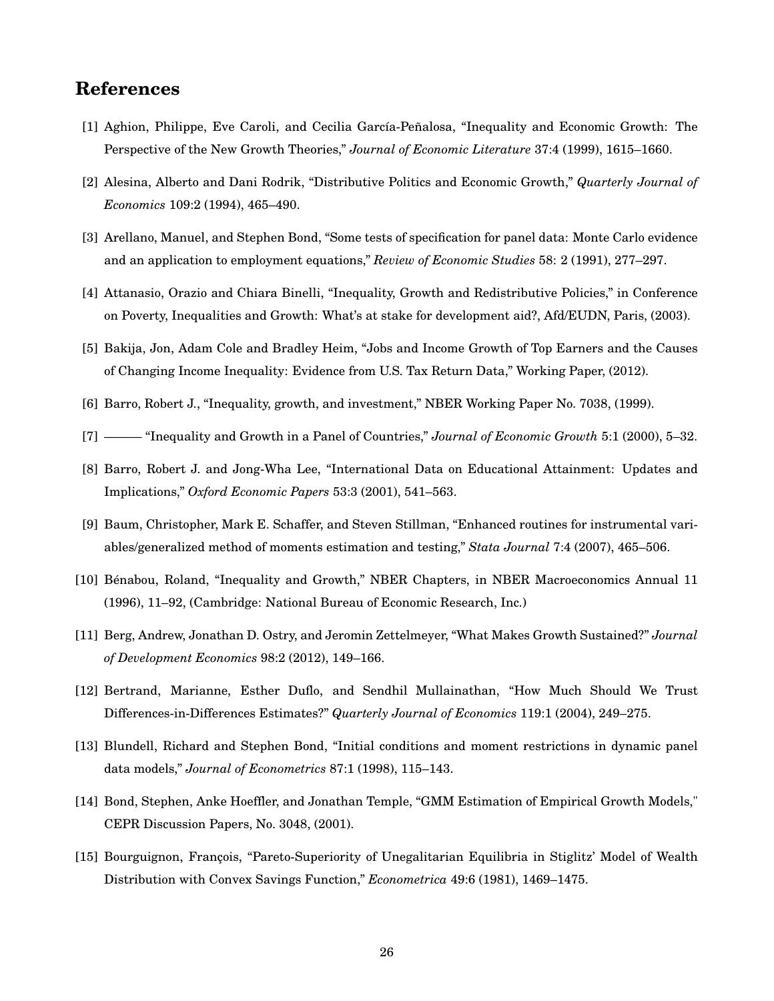### **References**

- [1] Aghion, Philippe, Eve Caroli, and Cecilia García-Peñalosa, "Inequality and Economic Growth: The Perspective of the New Growth Theories," *Journal of Economic Literature* 37:4 (1999), 1615–1660.
- [2] Alesina, Alberto and Dani Rodrik, "Distributive Politics and Economic Growth," *Quarterly Journal of Economics* 109:2 (1994), 465–490.
- [3] Arellano, Manuel, and Stephen Bond, "Some tests of specification for panel data: Monte Carlo evidence and an application to employment equations," *Review of Economic Studies* 58: 2 (1991), 277–297.
- [4] Attanasio, Orazio and Chiara Binelli, "Inequality, Growth and Redistributive Policies," in Conference on Poverty, Inequalities and Growth: What's at stake for development aid?, Afd/EUDN, Paris, (2003).
- [5] Bakija, Jon, Adam Cole and Bradley Heim, "Jobs and Income Growth of Top Earners and the Causes of Changing Income Inequality: Evidence from U.S. Tax Return Data," Working Paper, (2012).
- [6] Barro, Robert J., "Inequality, growth, and investment," NBER Working Paper No. 7038, (1999).
- [7] ——— "Inequality and Growth in a Panel of Countries," *Journal of Economic Growth* 5:1 (2000), 5–32.
- [8] Barro, Robert J. and Jong-Wha Lee, "International Data on Educational Attainment: Updates and Implications," *Oxford Economic Papers* 53:3 (2001), 541–563.
- [9] Baum, Christopher, Mark E. Schaffer, and Steven Stillman, "Enhanced routines for instrumental variables/generalized method of moments estimation and testing," *Stata Journal* 7:4 (2007), 465–506.
- [10] Bénabou, Roland, "Inequality and Growth," NBER Chapters, in NBER Macroeconomics Annual 11 (1996), 11–92, (Cambridge: National Bureau of Economic Research, Inc.)
- [11] Berg, Andrew, Jonathan D. Ostry, and Jeromin Zettelmeyer, "What Makes Growth Sustained?" *Journal of Development Economics* 98:2 (2012), 149–166.
- [12] Bertrand, Marianne, Esther Duflo, and Sendhil Mullainathan, "How Much Should We Trust Differences-in-Differences Estimates?" *Quarterly Journal of Economics* 119:1 (2004), 249–275.
- [13] Blundell, Richard and Stephen Bond, "Initial conditions and moment restrictions in dynamic panel data models," *Journal of Econometrics* 87:1 (1998), 115–143.
- [14] Bond, Stephen, Anke Hoeffler, and Jonathan Temple, "GMM Estimation of Empirical Growth Models," CEPR Discussion Papers, No. 3048, (2001).
- [15] Bourguignon, François, "Pareto-Superiority of Unegalitarian Equilibria in Stiglitz' Model of Wealth Distribution with Convex Savings Function," *Econometrica* 49:6 (1981), 1469–1475.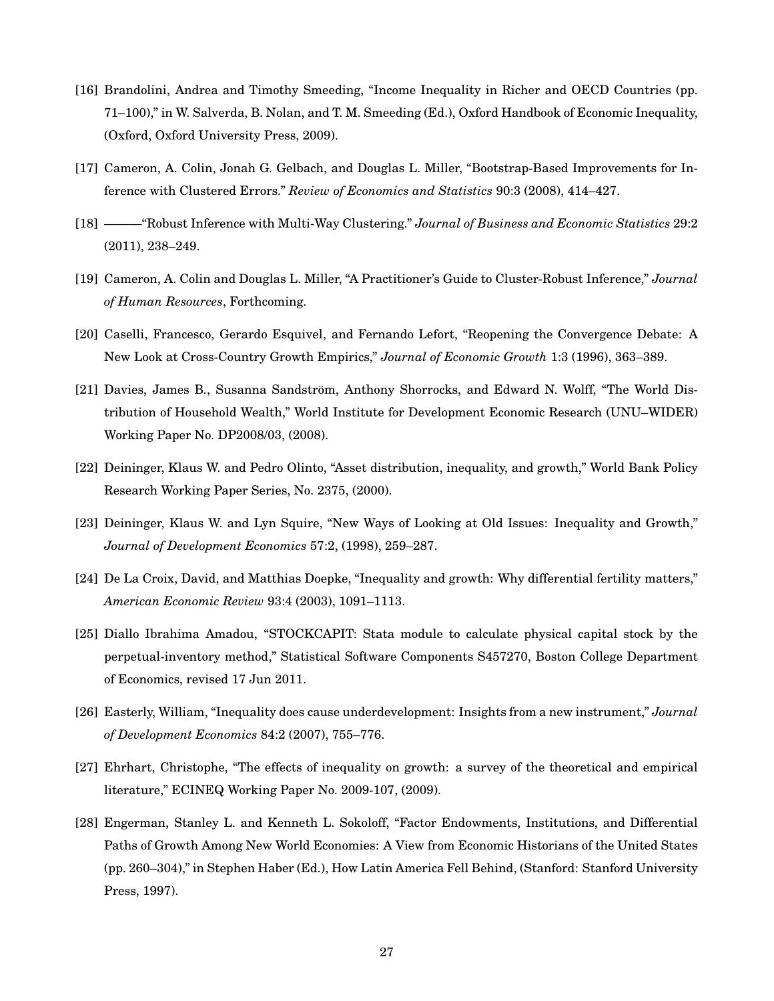- [16] Brandolini, Andrea and Timothy Smeeding, "Income Inequality in Richer and OECD Countries (pp. 71–100)," in W. Salverda, B. Nolan, and T. M. Smeeding (Ed.), Oxford Handbook of Economic Inequality, (Oxford, Oxford University Press, 2009).
- [17] Cameron, A. Colin, Jonah G. Gelbach, and Douglas L. Miller, "Bootstrap-Based Improvements for Inference with Clustered Errors." *Review of Economics and Statistics* 90:3 (2008), 414–427.
- [18] ———"Robust Inference with Multi-Way Clustering." *Journal of Business and Economic Statistics* 29:2 (2011), 238–249.
- [19] Cameron, A. Colin and Douglas L. Miller, "A Practitioner's Guide to Cluster-Robust Inference," *Journal of Human Resources*, Forthcoming.
- [20] Caselli, Francesco, Gerardo Esquivel, and Fernando Lefort, "Reopening the Convergence Debate: A New Look at Cross-Country Growth Empirics," *Journal of Economic Growth* 1:3 (1996), 363–389.
- [21] Davies, James B., Susanna Sandström, Anthony Shorrocks, and Edward N. Wolff, "The World Distribution of Household Wealth," World Institute for Development Economic Research (UNU–WIDER) Working Paper No. DP2008/03, (2008).
- [22] Deininger, Klaus W. and Pedro Olinto, "Asset distribution, inequality, and growth," World Bank Policy Research Working Paper Series, No. 2375, (2000).
- [23] Deininger, Klaus W. and Lyn Squire, "New Ways of Looking at Old Issues: Inequality and Growth," *Journal of Development Economics* 57:2, (1998), 259–287.
- [24] De La Croix, David, and Matthias Doepke, "Inequality and growth: Why differential fertility matters," *American Economic Review* 93:4 (2003), 1091–1113.
- [25] Diallo Ibrahima Amadou, "STOCKCAPIT: Stata module to calculate physical capital stock by the perpetual-inventory method," Statistical Software Components S457270, Boston College Department of Economics, revised 17 Jun 2011.
- [26] Easterly, William, "Inequality does cause underdevelopment: Insights from a new instrument," *Journal of Development Economics* 84:2 (2007), 755–776.
- [27] Ehrhart, Christophe, "The effects of inequality on growth: a survey of the theoretical and empirical literature," ECINEQ Working Paper No. 2009-107, (2009).
- [28] Engerman, Stanley L. and Kenneth L. Sokoloff, "Factor Endowments, Institutions, and Differential Paths of Growth Among New World Economies: A View from Economic Historians of the United States (pp. 260–304)," in Stephen Haber (Ed.), How Latin America Fell Behind, (Stanford: Stanford University Press, 1997).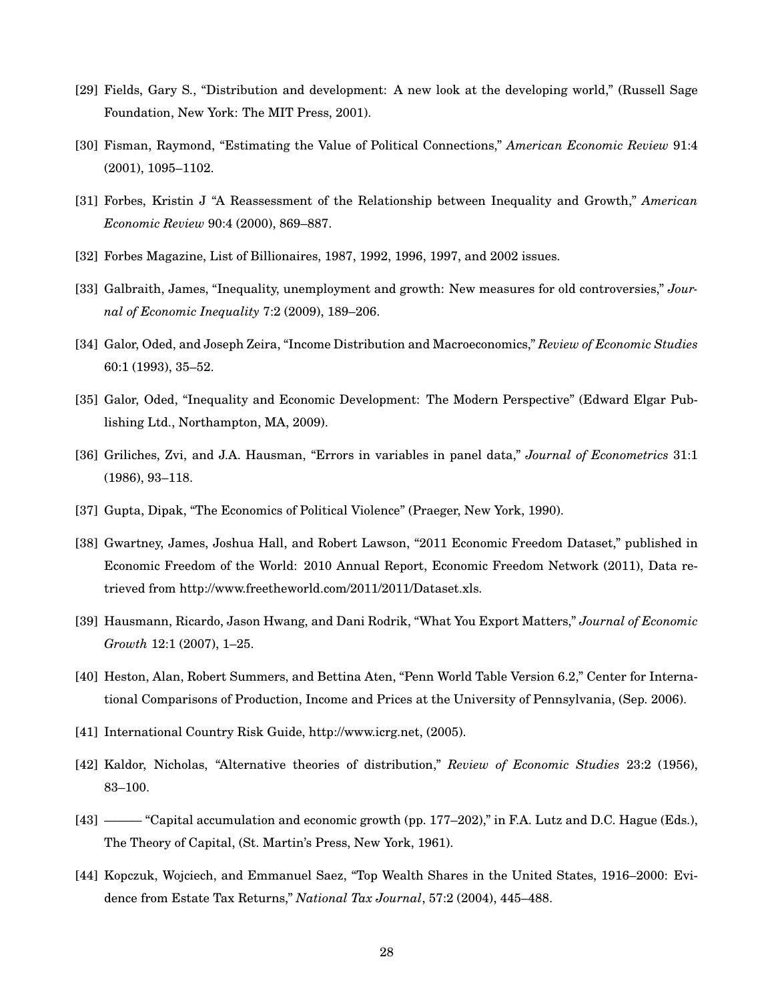- [29] Fields, Gary S., "Distribution and development: A new look at the developing world," (Russell Sage Foundation, New York: The MIT Press, 2001).
- [30] Fisman, Raymond, "Estimating the Value of Political Connections," *American Economic Review* 91:4 (2001), 1095–1102.
- [31] Forbes, Kristin J "A Reassessment of the Relationship between Inequality and Growth," *American Economic Review* 90:4 (2000), 869–887.
- [32] Forbes Magazine, List of Billionaires, 1987, 1992, 1996, 1997, and 2002 issues.
- [33] Galbraith, James, "Inequality, unemployment and growth: New measures for old controversies," *Journal of Economic Inequality* 7:2 (2009), 189–206.
- [34] Galor, Oded, and Joseph Zeira, "Income Distribution and Macroeconomics," *Review of Economic Studies* 60:1 (1993), 35–52.
- [35] Galor, Oded, "Inequality and Economic Development: The Modern Perspective" (Edward Elgar Publishing Ltd., Northampton, MA, 2009).
- [36] Griliches, Zvi, and J.A. Hausman, "Errors in variables in panel data," *Journal of Econometrics* 31:1 (1986), 93–118.
- [37] Gupta, Dipak, "The Economics of Political Violence" (Praeger, New York, 1990).
- [38] Gwartney, James, Joshua Hall, and Robert Lawson, "2011 Economic Freedom Dataset," published in Economic Freedom of the World: 2010 Annual Report, Economic Freedom Network (2011), Data retrieved from http://www.freetheworld.com/2011/2011/Dataset.xls.
- [39] Hausmann, Ricardo, Jason Hwang, and Dani Rodrik, "What You Export Matters," *Journal of Economic Growth* 12:1 (2007), 1–25.
- [40] Heston, Alan, Robert Summers, and Bettina Aten, "Penn World Table Version 6.2," Center for International Comparisons of Production, Income and Prices at the University of Pennsylvania, (Sep. 2006).
- [41] International Country Risk Guide, http://www.icrg.net, (2005).
- [42] Kaldor, Nicholas, "Alternative theories of distribution," *Review of Economic Studies* 23:2 (1956), 83–100.
- [43] ——— "Capital accumulation and economic growth (pp. 177–202)," in F.A. Lutz and D.C. Hague (Eds.), The Theory of Capital, (St. Martin's Press, New York, 1961).
- [44] Kopczuk, Wojciech, and Emmanuel Saez, "Top Wealth Shares in the United States, 1916–2000: Evidence from Estate Tax Returns," *National Tax Journal*, 57:2 (2004), 445–488.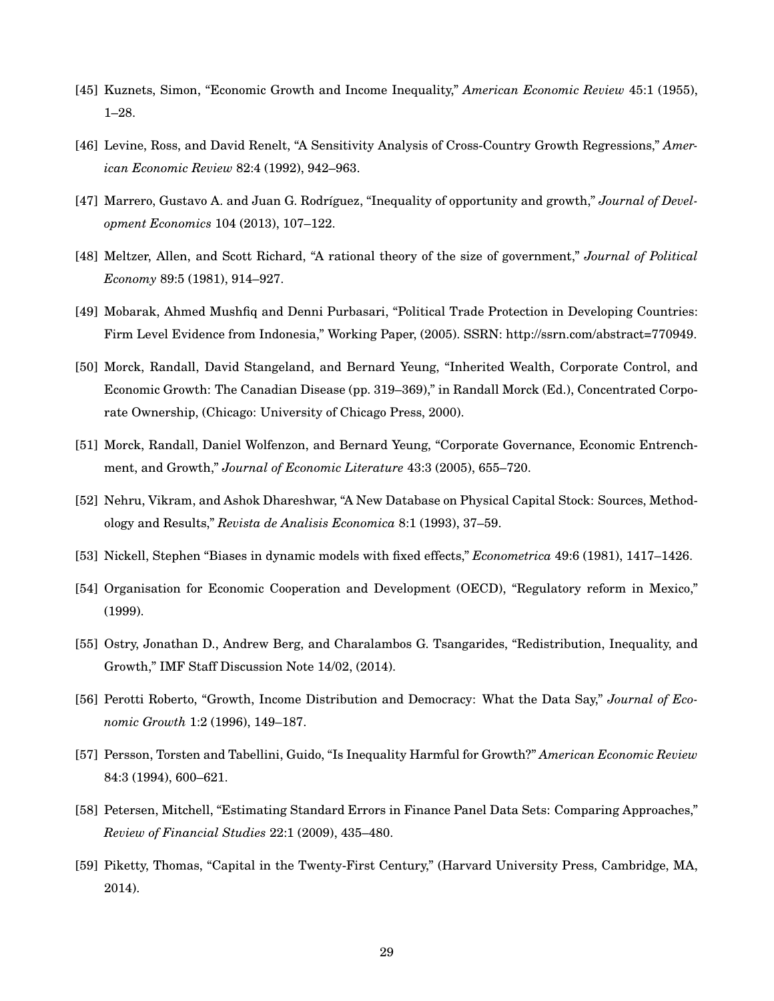- [45] Kuznets, Simon, "Economic Growth and Income Inequality," *American Economic Review* 45:1 (1955), 1–28.
- [46] Levine, Ross, and David Renelt, "A Sensitivity Analysis of Cross-Country Growth Regressions," *American Economic Review* 82:4 (1992), 942–963.
- [47] Marrero, Gustavo A. and Juan G. Rodríguez, "Inequality of opportunity and growth," *Journal of Development Economics* 104 (2013), 107–122.
- [48] Meltzer, Allen, and Scott Richard, "A rational theory of the size of government," *Journal of Political Economy* 89:5 (1981), 914–927.
- [49] Mobarak, Ahmed Mushfiq and Denni Purbasari, "Political Trade Protection in Developing Countries: Firm Level Evidence from Indonesia," Working Paper, (2005). SSRN: http://ssrn.com/abstract=770949.
- [50] Morck, Randall, David Stangeland, and Bernard Yeung, "Inherited Wealth, Corporate Control, and Economic Growth: The Canadian Disease (pp. 319–369)," in Randall Morck (Ed.), Concentrated Corporate Ownership, (Chicago: University of Chicago Press, 2000).
- [51] Morck, Randall, Daniel Wolfenzon, and Bernard Yeung, "Corporate Governance, Economic Entrenchment, and Growth," *Journal of Economic Literature* 43:3 (2005), 655–720.
- [52] Nehru, Vikram, and Ashok Dhareshwar, "A New Database on Physical Capital Stock: Sources, Methodology and Results," *Revista de Analisis Economica* 8:1 (1993), 37–59.
- [53] Nickell, Stephen "Biases in dynamic models with fixed effects," *Econometrica* 49:6 (1981), 1417–1426.
- [54] Organisation for Economic Cooperation and Development (OECD), "Regulatory reform in Mexico," (1999).
- [55] Ostry, Jonathan D., Andrew Berg, and Charalambos G. Tsangarides, "Redistribution, Inequality, and Growth," IMF Staff Discussion Note 14/02, (2014).
- [56] Perotti Roberto, "Growth, Income Distribution and Democracy: What the Data Say," *Journal of Economic Growth* 1:2 (1996), 149–187.
- [57] Persson, Torsten and Tabellini, Guido, "Is Inequality Harmful for Growth?" *American Economic Review* 84:3 (1994), 600–621.
- [58] Petersen, Mitchell, "Estimating Standard Errors in Finance Panel Data Sets: Comparing Approaches," *Review of Financial Studies* 22:1 (2009), 435–480.
- [59] Piketty, Thomas, "Capital in the Twenty-First Century," (Harvard University Press, Cambridge, MA, 2014).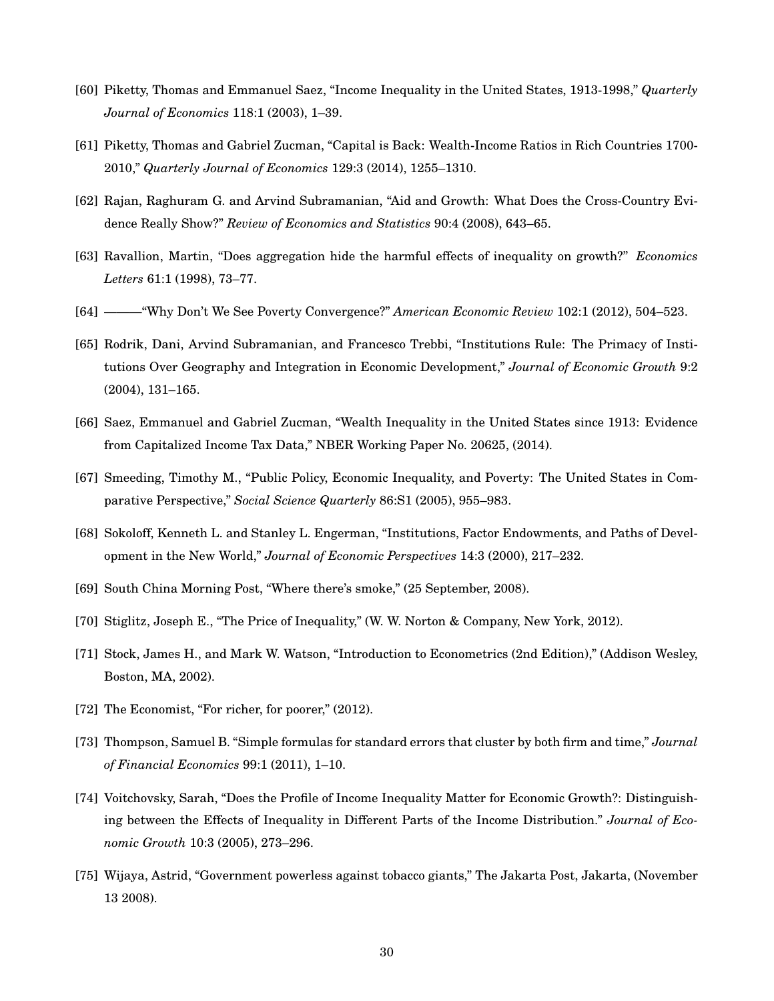- [60] Piketty, Thomas and Emmanuel Saez, "Income Inequality in the United States, 1913-1998," *Quarterly Journal of Economics* 118:1 (2003), 1–39.
- [61] Piketty, Thomas and Gabriel Zucman, "Capital is Back: Wealth-Income Ratios in Rich Countries 1700- 2010," *Quarterly Journal of Economics* 129:3 (2014), 1255–1310.
- [62] Rajan, Raghuram G. and Arvind Subramanian, "Aid and Growth: What Does the Cross-Country Evidence Really Show?" *Review of Economics and Statistics* 90:4 (2008), 643–65.
- [63] Ravallion, Martin, "Does aggregation hide the harmful effects of inequality on growth?" *Economics Letters* 61:1 (1998), 73–77.
- [64] ———"Why Don't We See Poverty Convergence?" *American Economic Review* 102:1 (2012), 504–523.
- [65] Rodrik, Dani, Arvind Subramanian, and Francesco Trebbi, "Institutions Rule: The Primacy of Institutions Over Geography and Integration in Economic Development," *Journal of Economic Growth* 9:2 (2004), 131–165.
- [66] Saez, Emmanuel and Gabriel Zucman, "Wealth Inequality in the United States since 1913: Evidence from Capitalized Income Tax Data," NBER Working Paper No. 20625, (2014).
- [67] Smeeding, Timothy M., "Public Policy, Economic Inequality, and Poverty: The United States in Comparative Perspective," *Social Science Quarterly* 86:S1 (2005), 955–983.
- [68] Sokoloff, Kenneth L. and Stanley L. Engerman, "Institutions, Factor Endowments, and Paths of Development in the New World," *Journal of Economic Perspectives* 14:3 (2000), 217–232.
- [69] South China Morning Post, "Where there's smoke," (25 September, 2008).
- [70] Stiglitz, Joseph E., "The Price of Inequality," (W. W. Norton & Company, New York, 2012).
- [71] Stock, James H., and Mark W. Watson, "Introduction to Econometrics (2nd Edition)," (Addison Wesley, Boston, MA, 2002).
- [72] The Economist, "For richer, for poorer," (2012).
- [73] Thompson, Samuel B. "Simple formulas for standard errors that cluster by both firm and time," *Journal of Financial Economics* 99:1 (2011), 1–10.
- [74] Voitchovsky, Sarah, "Does the Profile of Income Inequality Matter for Economic Growth?: Distinguishing between the Effects of Inequality in Different Parts of the Income Distribution." *Journal of Economic Growth* 10:3 (2005), 273–296.
- [75] Wijaya, Astrid, "Government powerless against tobacco giants," The Jakarta Post, Jakarta, (November 13 2008).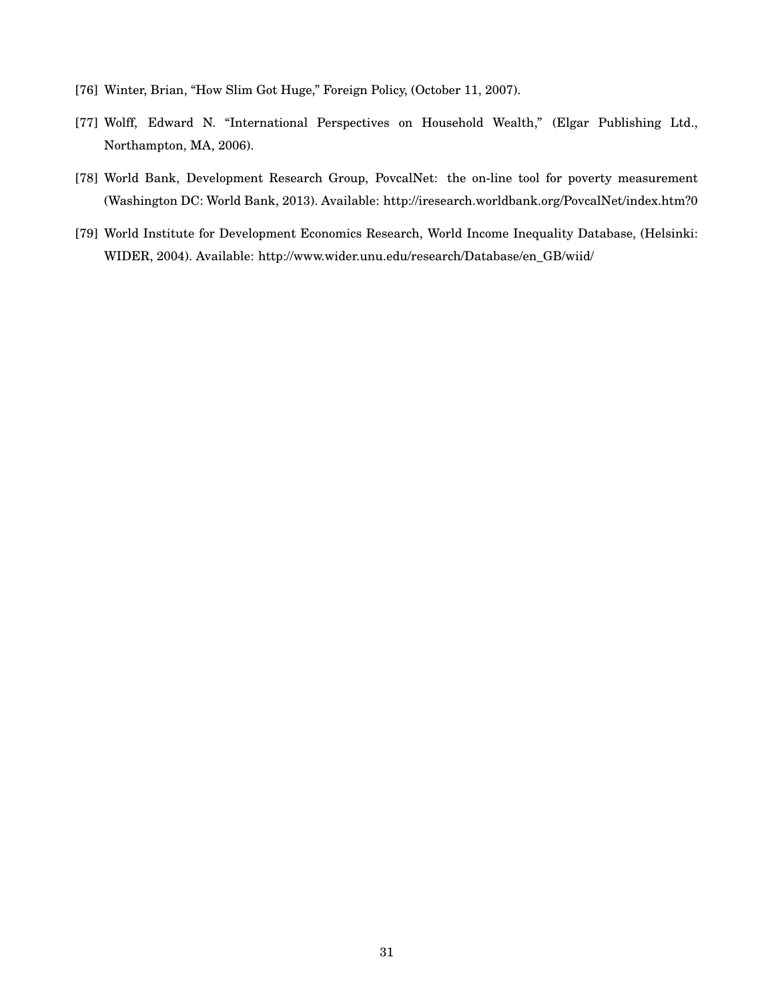- [76] Winter, Brian, "How Slim Got Huge," Foreign Policy, (October 11, 2007).
- [77] Wolff, Edward N. "International Perspectives on Household Wealth," (Elgar Publishing Ltd., Northampton, MA, 2006).
- [78] World Bank, Development Research Group, PovcalNet: the on-line tool for poverty measurement (Washington DC: World Bank, 2013). Available: http://iresearch.worldbank.org/PovcalNet/index.htm?0
- [79] World Institute for Development Economics Research, World Income Inequality Database, (Helsinki: WIDER, 2004). Available: http://www.wider.unu.edu/research/Database/en\_GB/wiid/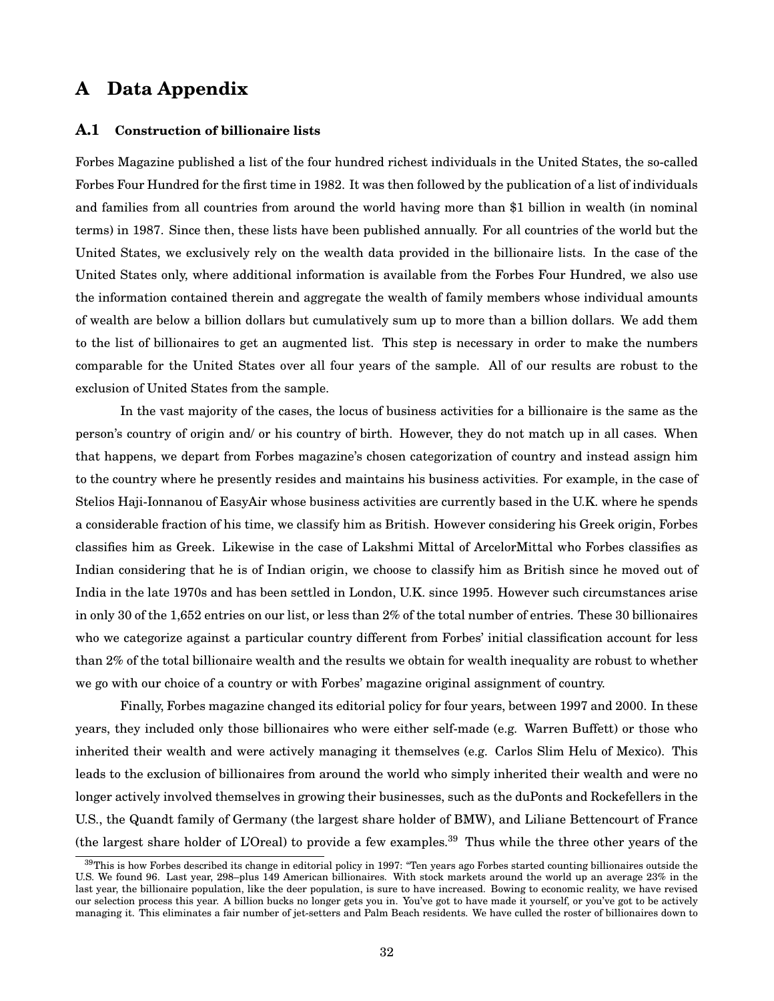### **A Data Appendix**

#### **A.1 Construction of billionaire lists**

Forbes Magazine published a list of the four hundred richest individuals in the United States, the so-called Forbes Four Hundred for the first time in 1982. It was then followed by the publication of a list of individuals and families from all countries from around the world having more than \$1 billion in wealth (in nominal terms) in 1987. Since then, these lists have been published annually. For all countries of the world but the United States, we exclusively rely on the wealth data provided in the billionaire lists. In the case of the United States only, where additional information is available from the Forbes Four Hundred, we also use the information contained therein and aggregate the wealth of family members whose individual amounts of wealth are below a billion dollars but cumulatively sum up to more than a billion dollars. We add them to the list of billionaires to get an augmented list. This step is necessary in order to make the numbers comparable for the United States over all four years of the sample. All of our results are robust to the exclusion of United States from the sample.

In the vast majority of the cases, the locus of business activities for a billionaire is the same as the person's country of origin and/ or his country of birth. However, they do not match up in all cases. When that happens, we depart from Forbes magazine's chosen categorization of country and instead assign him to the country where he presently resides and maintains his business activities. For example, in the case of Stelios Haji-Ionnanou of EasyAir whose business activities are currently based in the U.K. where he spends a considerable fraction of his time, we classify him as British. However considering his Greek origin, Forbes classifies him as Greek. Likewise in the case of Lakshmi Mittal of ArcelorMittal who Forbes classifies as Indian considering that he is of Indian origin, we choose to classify him as British since he moved out of India in the late 1970s and has been settled in London, U.K. since 1995. However such circumstances arise in only 30 of the 1,652 entries on our list, or less than 2% of the total number of entries. These 30 billionaires who we categorize against a particular country different from Forbes' initial classification account for less than 2% of the total billionaire wealth and the results we obtain for wealth inequality are robust to whether we go with our choice of a country or with Forbes' magazine original assignment of country.

Finally, Forbes magazine changed its editorial policy for four years, between 1997 and 2000. In these years, they included only those billionaires who were either self-made (e.g. Warren Buffett) or those who inherited their wealth and were actively managing it themselves (e.g. Carlos Slim Helu of Mexico). This leads to the exclusion of billionaires from around the world who simply inherited their wealth and were no longer actively involved themselves in growing their businesses, such as the duPonts and Rockefellers in the U.S., the Quandt family of Germany (the largest share holder of BMW), and Liliane Bettencourt of France (the largest share holder of L'Oreal) to provide a few examples.<sup>39</sup> Thus while the three other years of the

<sup>&</sup>lt;sup>39</sup>This is how Forbes described its change in editorial policy in 1997: "Ten years ago Forbes started counting billionaires outside the U.S. We found 96. Last year, 298–plus 149 American billionaires. With stock markets around the world up an average 23% in the last year, the billionaire population, like the deer population, is sure to have increased. Bowing to economic reality, we have revised our selection process this year. A billion bucks no longer gets you in. You've got to have made it yourself, or you've got to be actively managing it. This eliminates a fair number of jet-setters and Palm Beach residents. We have culled the roster of billionaires down to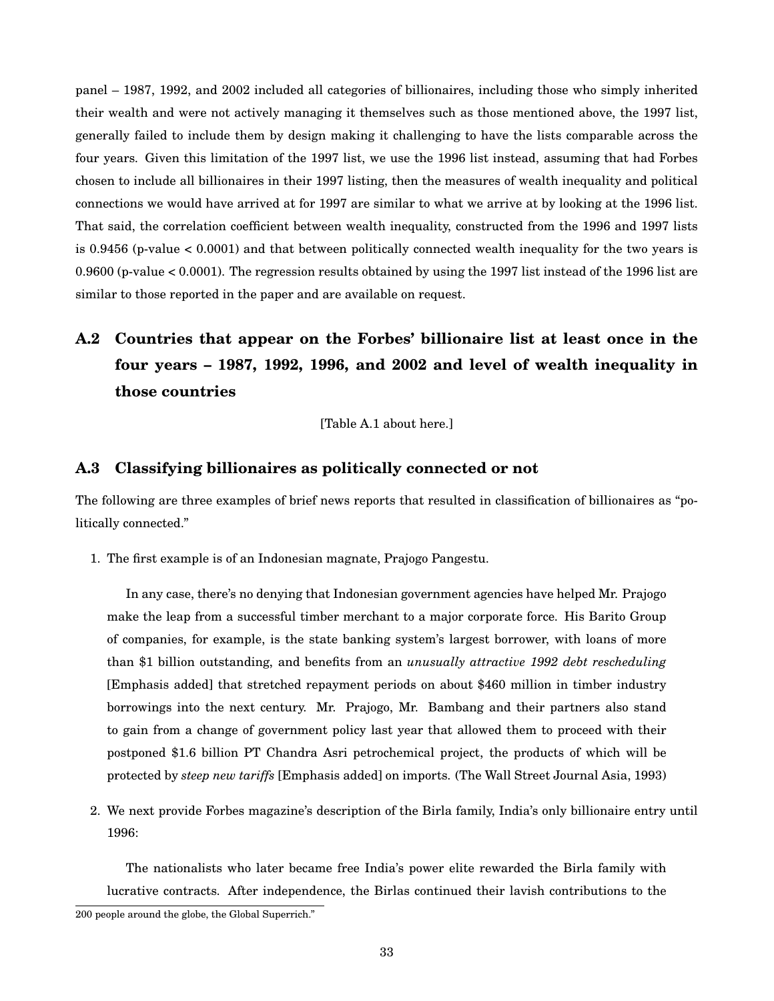panel – 1987, 1992, and 2002 included all categories of billionaires, including those who simply inherited their wealth and were not actively managing it themselves such as those mentioned above, the 1997 list, generally failed to include them by design making it challenging to have the lists comparable across the four years. Given this limitation of the 1997 list, we use the 1996 list instead, assuming that had Forbes chosen to include all billionaires in their 1997 listing, then the measures of wealth inequality and political connections we would have arrived at for 1997 are similar to what we arrive at by looking at the 1996 list. That said, the correlation coefficient between wealth inequality, constructed from the 1996 and 1997 lists is 0.9456 (p-value < 0.0001) and that between politically connected wealth inequality for the two years is 0.9600 (p-value < 0.0001). The regression results obtained by using the 1997 list instead of the 1996 list are similar to those reported in the paper and are available on request.

## **A.2 Countries that appear on the Forbes' billionaire list at least once in the four years – 1987, 1992, 1996, and 2002 and level of wealth inequality in those countries**

[Table A.1 about here.]

#### **A.3 Classifying billionaires as politically connected or not**

The following are three examples of brief news reports that resulted in classification of billionaires as "politically connected."

1. The first example is of an Indonesian magnate, Prajogo Pangestu.

In any case, there's no denying that Indonesian government agencies have helped Mr. Prajogo make the leap from a successful timber merchant to a major corporate force. His Barito Group of companies, for example, is the state banking system's largest borrower, with loans of more than \$1 billion outstanding, and benefits from an *unusually attractive 1992 debt rescheduling* [Emphasis added] that stretched repayment periods on about \$460 million in timber industry borrowings into the next century. Mr. Prajogo, Mr. Bambang and their partners also stand to gain from a change of government policy last year that allowed them to proceed with their postponed \$1.6 billion PT Chandra Asri petrochemical project, the products of which will be protected by *steep new tariffs* [Emphasis added] on imports. (The Wall Street Journal Asia, 1993)

2. We next provide Forbes magazine's description of the Birla family, India's only billionaire entry until 1996:

The nationalists who later became free India's power elite rewarded the Birla family with lucrative contracts. After independence, the Birlas continued their lavish contributions to the

<sup>200</sup> people around the globe, the Global Superrich."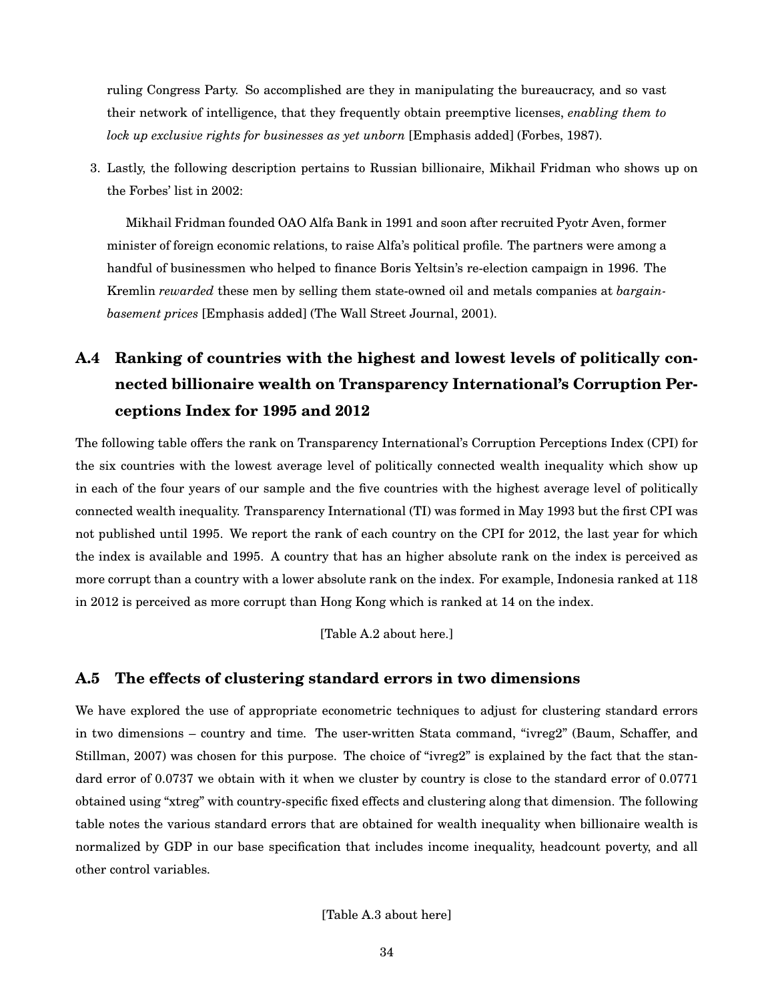ruling Congress Party. So accomplished are they in manipulating the bureaucracy, and so vast their network of intelligence, that they frequently obtain preemptive licenses, *enabling them to lock up exclusive rights for businesses as yet unborn* [Emphasis added] (Forbes, 1987).

3. Lastly, the following description pertains to Russian billionaire, Mikhail Fridman who shows up on the Forbes' list in 2002:

Mikhail Fridman founded OAO Alfa Bank in 1991 and soon after recruited Pyotr Aven, former minister of foreign economic relations, to raise Alfa's political profile. The partners were among a handful of businessmen who helped to finance Boris Yeltsin's re-election campaign in 1996. The Kremlin *rewarded* these men by selling them state-owned oil and metals companies at *bargainbasement prices* [Emphasis added] (The Wall Street Journal, 2001).

## **A.4 Ranking of countries with the highest and lowest levels of politically connected billionaire wealth on Transparency International's Corruption Perceptions Index for 1995 and 2012**

The following table offers the rank on Transparency International's Corruption Perceptions Index (CPI) for the six countries with the lowest average level of politically connected wealth inequality which show up in each of the four years of our sample and the five countries with the highest average level of politically connected wealth inequality. Transparency International (TI) was formed in May 1993 but the first CPI was not published until 1995. We report the rank of each country on the CPI for 2012, the last year for which the index is available and 1995. A country that has an higher absolute rank on the index is perceived as more corrupt than a country with a lower absolute rank on the index. For example, Indonesia ranked at 118 in 2012 is perceived as more corrupt than Hong Kong which is ranked at 14 on the index.

[Table A.2 about here.]

#### **A.5 The effects of clustering standard errors in two dimensions**

We have explored the use of appropriate econometric techniques to adjust for clustering standard errors in two dimensions – country and time. The user-written Stata command, "ivreg2" (Baum, Schaffer, and Stillman, 2007) was chosen for this purpose. The choice of "ivreg2" is explained by the fact that the standard error of 0.0737 we obtain with it when we cluster by country is close to the standard error of 0.0771 obtained using "xtreg" with country-specific fixed effects and clustering along that dimension. The following table notes the various standard errors that are obtained for wealth inequality when billionaire wealth is normalized by GDP in our base specification that includes income inequality, headcount poverty, and all other control variables.

[Table A.3 about here]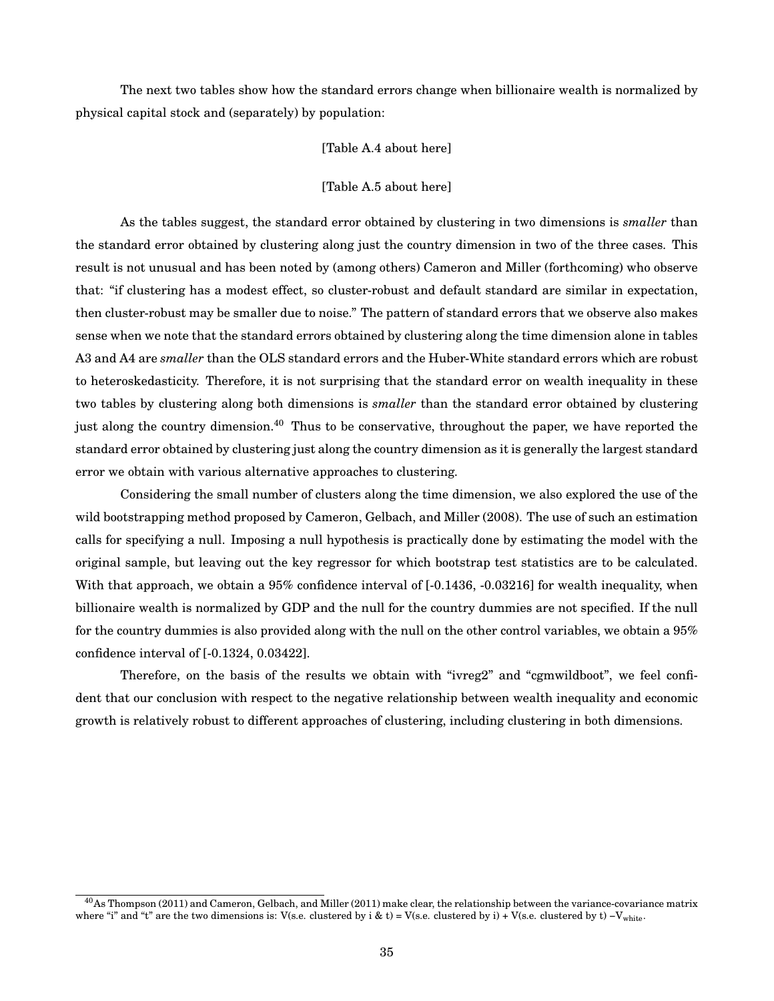The next two tables show how the standard errors change when billionaire wealth is normalized by physical capital stock and (separately) by population:

#### [Table A.4 about here]

#### [Table A.5 about here]

As the tables suggest, the standard error obtained by clustering in two dimensions is *smaller* than the standard error obtained by clustering along just the country dimension in two of the three cases. This result is not unusual and has been noted by (among others) Cameron and Miller (forthcoming) who observe that: "if clustering has a modest effect, so cluster-robust and default standard are similar in expectation, then cluster-robust may be smaller due to noise." The pattern of standard errors that we observe also makes sense when we note that the standard errors obtained by clustering along the time dimension alone in tables A3 and A4 are *smaller* than the OLS standard errors and the Huber-White standard errors which are robust to heteroskedasticity. Therefore, it is not surprising that the standard error on wealth inequality in these two tables by clustering along both dimensions is *smaller* than the standard error obtained by clustering just along the country dimension.<sup>40</sup> Thus to be conservative, throughout the paper, we have reported the standard error obtained by clustering just along the country dimension as it is generally the largest standard error we obtain with various alternative approaches to clustering.

Considering the small number of clusters along the time dimension, we also explored the use of the wild bootstrapping method proposed by Cameron, Gelbach, and Miller (2008). The use of such an estimation calls for specifying a null. Imposing a null hypothesis is practically done by estimating the model with the original sample, but leaving out the key regressor for which bootstrap test statistics are to be calculated. With that approach, we obtain a 95% confidence interval of  $[-0.1436, -0.03216]$  for wealth inequality, when billionaire wealth is normalized by GDP and the null for the country dummies are not specified. If the null for the country dummies is also provided along with the null on the other control variables, we obtain a 95% confidence interval of [-0.1324, 0.03422].

Therefore, on the basis of the results we obtain with "ivreg2" and "cgmwildboot", we feel confident that our conclusion with respect to the negative relationship between wealth inequality and economic growth is relatively robust to different approaches of clustering, including clustering in both dimensions.

<sup>40</sup>As Thompson (2011) and Cameron, Gelbach, and Miller (2011) make clear, the relationship between the variance-covariance matrix where "i" and "t" are the two dimensions is: V(s.e. clustered by i & t) = V(s.e. clustered by i) + V(s.e. clustered by t) -V<sub>white</sub>.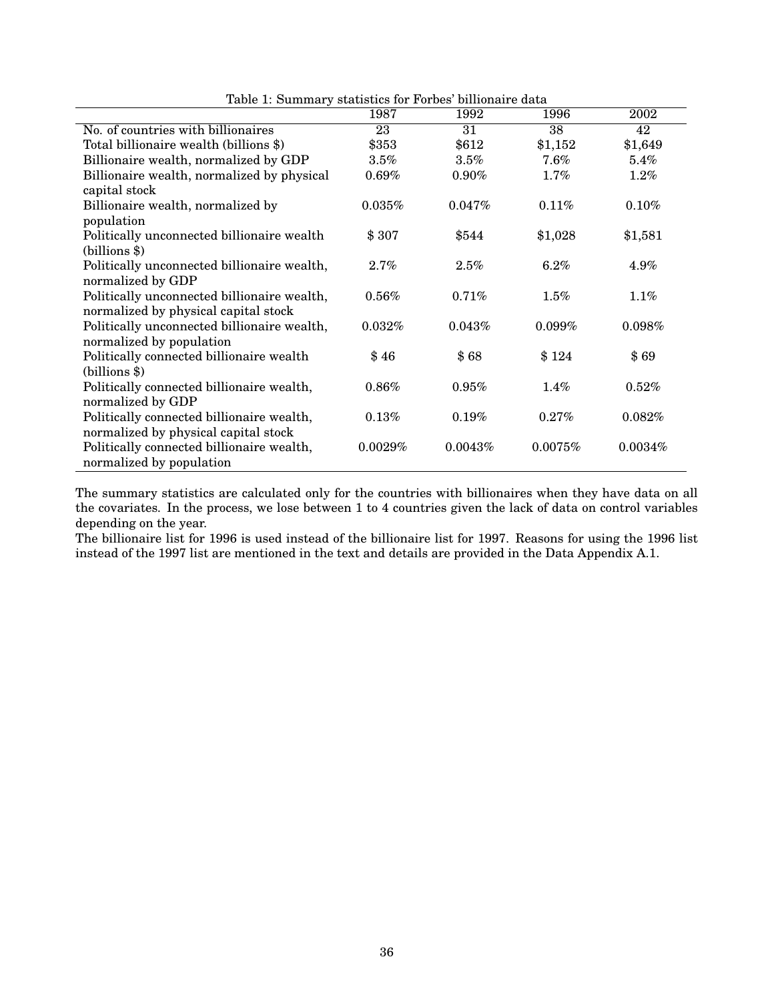| Table 1. Dummary Statistics for Forbes Bimonalic data                               | 1987     | 1992     | 1996      | 2002    |
|-------------------------------------------------------------------------------------|----------|----------|-----------|---------|
| No. of countries with billionaires                                                  | 23       | 31       | 38        | 42      |
| Total billionaire wealth (billions \$)                                              | \$353    | \$612    | \$1,152   | \$1,649 |
| Billionaire wealth, normalized by GDP                                               | $3.5\%$  | $3.5\%$  | $7.6\%$   | 5.4%    |
| Billionaire wealth, normalized by physical<br>capital stock                         | $0.69\%$ | $0.90\%$ | $1.7\%$   | $1.2\%$ |
| Billionaire wealth, normalized by<br>population                                     | 0.035%   | 0.047%   | 0.11%     | 0.10%   |
| Politically unconnected billionaire wealth<br>$(billions $)$                        | \$307    | \$544    | \$1,028   | \$1,581 |
| Politically unconnected billionaire wealth,<br>normalized by GDP                    | 2.7%     | 2.5%     | $6.2\%$   | $4.9\%$ |
| Politically unconnected billionaire wealth,<br>normalized by physical capital stock | 0.56%    | $0.71\%$ | 1.5%      | $1.1\%$ |
| Politically unconnected billionaire wealth,<br>normalized by population             | 0.032%   | 0.043%   | $0.099\%$ | 0.098%  |
| Politically connected billionaire wealth<br>$(billions$ \$)                         | \$46     | \$68     | \$124     | \$69    |
| Politically connected billionaire wealth,<br>normalized by GDP                      | 0.86%    | $0.95\%$ | $1.4\%$   | 0.52%   |
| Politically connected billionaire wealth,<br>normalized by physical capital stock   | $0.13\%$ | 0.19%    | 0.27%     | 0.082%  |
| Politically connected billionaire wealth,<br>normalized by population               | 0.0029%  | 0.0043%  | 0.0075%   | 0.0034% |

Table 1: Summary statistics for Forbes' billionaire data

The summary statistics are calculated only for the countries with billionaires when they have data on all the covariates. In the process, we lose between 1 to 4 countries given the lack of data on control variables depending on the year.

The billionaire list for 1996 is used instead of the billionaire list for 1997. Reasons for using the 1996 list instead of the 1997 list are mentioned in the text and details are provided in the Data Appendix A.1.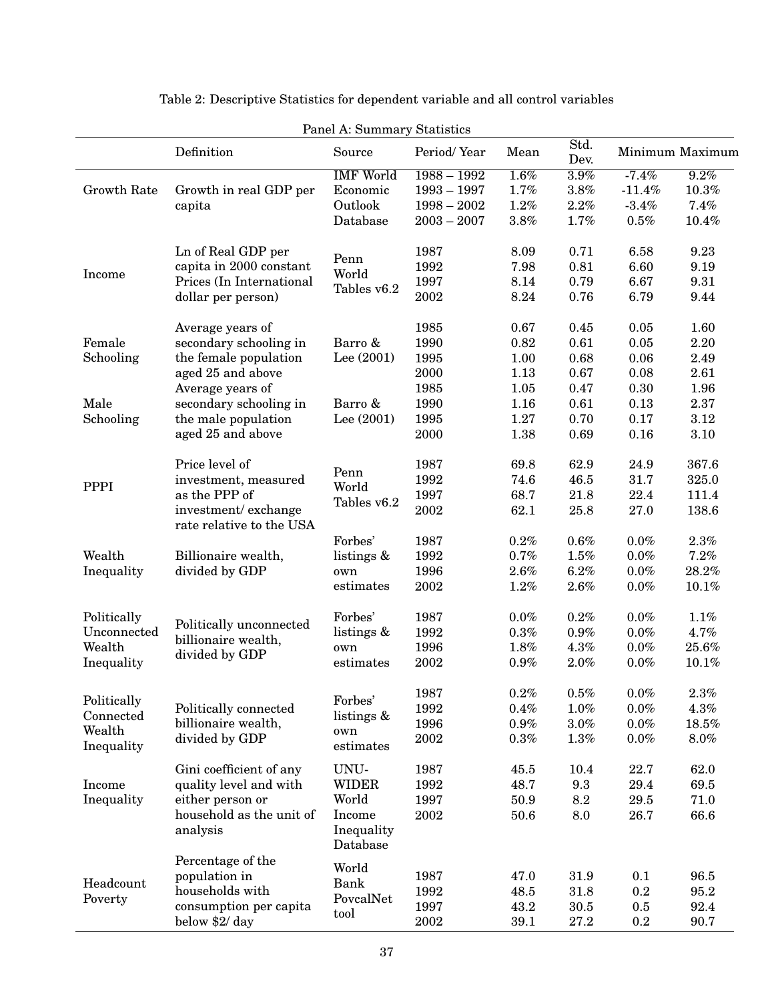Table 2: Descriptive Statistics for dependent variable and all control variables

|             | Definition                           | Source                           | Period/Year   | Mean    | Std.<br>Dev.    |          | Minimum Maximum |
|-------------|--------------------------------------|----------------------------------|---------------|---------|-----------------|----------|-----------------|
|             |                                      | <b>IMF</b> World                 | $1988 - 1992$ | $1.6\%$ | $3.9\%$         | $-7.4%$  | 9.2%            |
| Growth Rate | Growth in real GDP per               | Economic                         | $1993 - 1997$ | $1.7\%$ | $3.8\%$         | $-11.4%$ | 10.3%           |
|             | capita                               | Outlook                          | $1998 - 2002$ | $1.2\%$ | $2.2\%$         | $-3.4\%$ | 7.4%            |
|             |                                      | Database                         | $2003 - 2007$ | $3.8\%$ | 1.7%            | $0.5\%$  | 10.4%           |
|             | Ln of Real GDP per                   |                                  | 1987          | 8.09    | 0.71            | 6.58     | 9.23            |
|             | capita in 2000 constant              | Penn                             | 1992          | 7.98    | 0.81            | 6.60     | 9.19            |
| Income      | Prices (In International             | World                            | 1997          | 8.14    | 0.79            | 6.67     | 9.31            |
|             | dollar per person)                   | Tables v6.2                      | 2002          | 8.24    | 0.76            | 6.79     | 9.44            |
|             | Average years of                     |                                  | 1985          | 0.67    | 0.45            | 0.05     | 1.60            |
| Female      | secondary schooling in               | Barro &                          | 1990          | 0.82    | 0.61            | 0.05     | 2.20            |
| Schooling   | the female population                | Lee $(2001)$                     | 1995          | 1.00    | 0.68            | 0.06     | 2.49            |
|             | aged 25 and above                    |                                  | 2000          | 1.13    | 0.67            | 0.08     | 2.61            |
|             | Average years of                     |                                  | 1985          | 1.05    | 0.47            | 0.30     | 1.96            |
| Male        | secondary schooling in               | Barro &                          | 1990          | 1.16    | 0.61            | 0.13     | 2.37            |
| Schooling   | the male population                  | Lee $(2001)$                     | 1995          | 1.27    | 0.70            | 0.17     | 3.12            |
|             |                                      |                                  | 2000          | 1.38    | 0.69            | 0.16     | 3.10            |
|             | aged 25 and above                    |                                  |               |         |                 |          |                 |
|             | Price level of                       |                                  | 1987          | 69.8    | 62.9            | 24.9     | 367.6           |
|             | investment, measured                 | Penn                             | 1992          | 74.6    | 46.5            | 31.7     | 325.0           |
| PPPI        | as the PPP of                        | World                            | 1997          | 68.7    | 21.8            | 22.4     | 111.4           |
|             | investment/exchange                  | Tables v6.2                      | 2002          | 62.1    | 25.8            | 27.0     | 138.6           |
|             | rate relative to the USA             |                                  |               |         |                 |          |                 |
|             |                                      | Forbes'                          | 1987          | 0.2%    | $0.6\%$         | $0.0\%$  | 2.3%            |
| Wealth      | Billionaire wealth,                  | listings &                       | 1992          | 0.7%    | $1.5\%$         | $0.0\%$  | 7.2%            |
| Inequality  | divided by GDP                       | own                              | 1996          | $2.6\%$ | 6.2%            | $0.0\%$  | 28.2%           |
|             |                                      | estimates                        | 2002          | 1.2%    | $2.6\%$         | $0.0\%$  | 10.1%           |
| Politically |                                      | Forbes'                          | 1987          | $0.0\%$ | 0.2%            | $0.0\%$  | $1.1\%$         |
| Unconnected | Politically unconnected              | listings &                       | 1992          | $0.3\%$ | $0.9\%$         | $0.0\%$  | 4.7%            |
| Wealth      | billionaire wealth,                  | own                              | 1996          | 1.8%    | $4.3\%$         | $0.0\%$  | 25.6%           |
| Inequality  | divided by GDP                       | $estimates\;$                    | 2002          | $0.9\%$ | $2.0\%$         | $0.0\%$  | 10.1%           |
|             |                                      |                                  | 1987          | 0.2%    | $0.5\%$         | $0.0\%$  | $2.3\%$         |
| Politically | Politically connected                | Forbes'                          | 1992          | $0.4\%$ | $1.0\%$         | $0.0\%$  | $4.3\%$         |
| Connected   | billionaire wealth,                  | listings &                       | 1996          | $0.9\%$ | $3.0\%$         | $0.0\%$  | 18.5%           |
| Wealth      | divided by GDP                       | own                              | 2002          | $0.3\%$ | $1.3\%$         | $0.0\%$  | $8.0\%$         |
| Inequality  |                                      | estimates                        |               |         |                 |          |                 |
|             | Gini coefficient of any              | UNU-                             | 1987          | 45.5    | 10.4            | 22.7     | 62.0            |
| Income      | quality level and with               | <b>WIDER</b>                     | 1992          | 48.7    | 9.3             | 29.4     | 69.5            |
| Inequality  | either person or                     | World                            | 1997          | 50.9    | $\!\!\!\!\!8.2$ | 29.5     | 71.0            |
|             | household as the unit of<br>analysis | Income<br>Inequality<br>Database | 2002          | 50.6    | 8.0             | 26.7     | 66.6            |
|             | Percentage of the                    | World                            |               |         |                 |          |                 |
| Headcount   | population in                        | Bank                             | 1987          | 47.0    | 31.9            | 0.1      | 96.5            |
|             | households with                      |                                  | 1992          | 48.5    | 31.8            | 0.2      | 95.2            |
| Poverty     | consumption per capita               | PovcalNet                        | 1997          | 43.2    | 30.5            | $0.5\,$  | 92.4            |
|             | below \$2/ day                       | tool                             | 2002          | 39.1    | $27.2\,$        | 0.2      | 90.7            |

Panel A: Summary Statistics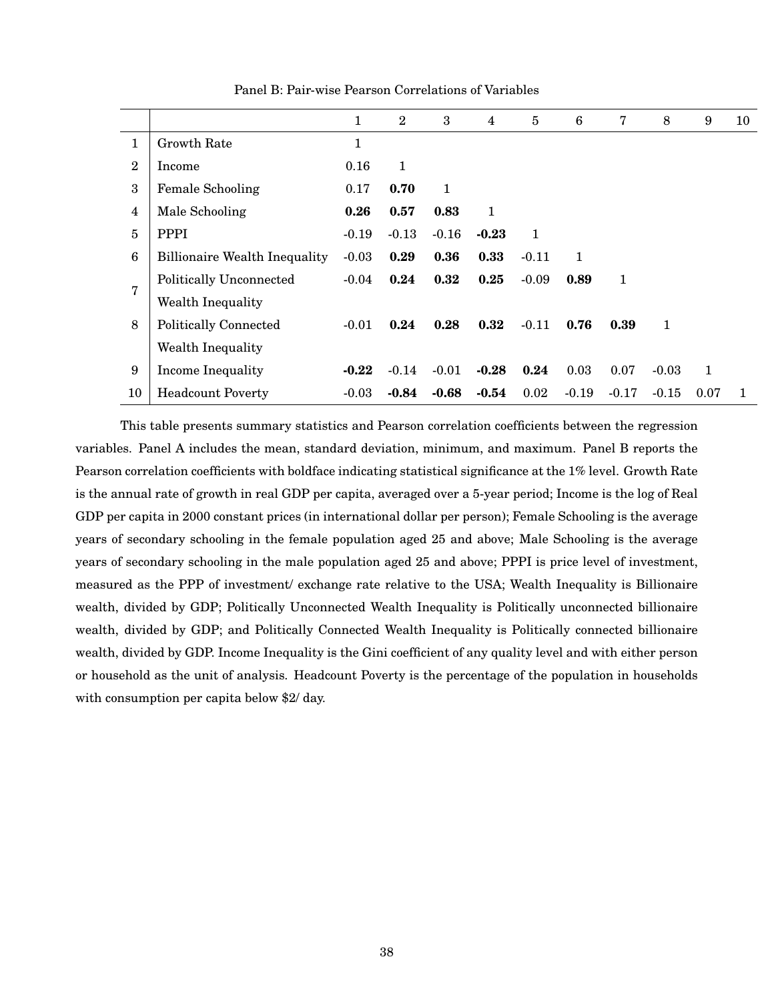|                  |                                      | $\mathbf 1$ | $\boldsymbol{2}$ | 3       | $\overline{4}$ | $\overline{5}$ | $6\phantom{1}6$ | 7       | 8       | 9    | $10\,$ |
|------------------|--------------------------------------|-------------|------------------|---------|----------------|----------------|-----------------|---------|---------|------|--------|
| $\mathbf{1}$     | <b>Growth Rate</b>                   | 1           |                  |         |                |                |                 |         |         |      |        |
| $\overline{2}$   | Income                               | 0.16        | $\mathbf{1}$     |         |                |                |                 |         |         |      |        |
| 3                | <b>Female Schooling</b>              | 0.17        | 0.70             | 1       |                |                |                 |         |         |      |        |
| $\overline{4}$   | Male Schooling                       | 0.26        | 0.57             | 0.83    | $\mathbf{1}$   |                |                 |         |         |      |        |
| $\overline{5}$   | <b>PPPI</b>                          | $-0.19$     | $-0.13$          | $-0.16$ | $-0.23$        | $\mathbf{1}$   |                 |         |         |      |        |
| $\boldsymbol{6}$ | <b>Billionaire Wealth Inequality</b> | $-0.03$     | 0.29             | 0.36    | 0.33           | $-0.11$        | 1               |         |         |      |        |
| 7                | <b>Politically Unconnected</b>       | $-0.04$     | 0.24             | 0.32    | 0.25           | $-0.09$        | 0.89            | 1       |         |      |        |
|                  | <b>Wealth Inequality</b>             |             |                  |         |                |                |                 |         |         |      |        |
| 8                | <b>Politically Connected</b>         | $-0.01$     | 0.24             | 0.28    | 0.32           | $-0.11$        | 0.76            | 0.39    | 1       |      |        |
|                  | Wealth Inequality                    |             |                  |         |                |                |                 |         |         |      |        |
| 9                | Income Inequality                    | $-0.22$     | $-0.14$          | $-0.01$ | $-0.28$        | 0.24           | 0.03            | 0.07    | $-0.03$ | 1    |        |
| 10               | <b>Headcount Poverty</b>             | $-0.03$     | $-0.84$          | $-0.68$ | $-0.54$        | 0.02           | $-0.19$         | $-0.17$ | $-0.15$ | 0.07 |        |

Panel B: Pair-wise Pearson Correlations of Variables

This table presents summary statistics and Pearson correlation coefficients between the regression variables. Panel A includes the mean, standard deviation, minimum, and maximum. Panel B reports the Pearson correlation coefficients with boldface indicating statistical significance at the 1% level. Growth Rate is the annual rate of growth in real GDP per capita, averaged over a 5-year period; Income is the log of Real GDP per capita in 2000 constant prices (in international dollar per person); Female Schooling is the average years of secondary schooling in the female population aged 25 and above; Male Schooling is the average years of secondary schooling in the male population aged 25 and above; PPPI is price level of investment, measured as the PPP of investment/ exchange rate relative to the USA; Wealth Inequality is Billionaire wealth, divided by GDP; Politically Unconnected Wealth Inequality is Politically unconnected billionaire wealth, divided by GDP; and Politically Connected Wealth Inequality is Politically connected billionaire wealth, divided by GDP. Income Inequality is the Gini coefficient of any quality level and with either person or household as the unit of analysis. Headcount Poverty is the percentage of the population in households with consumption per capita below \$2/ day.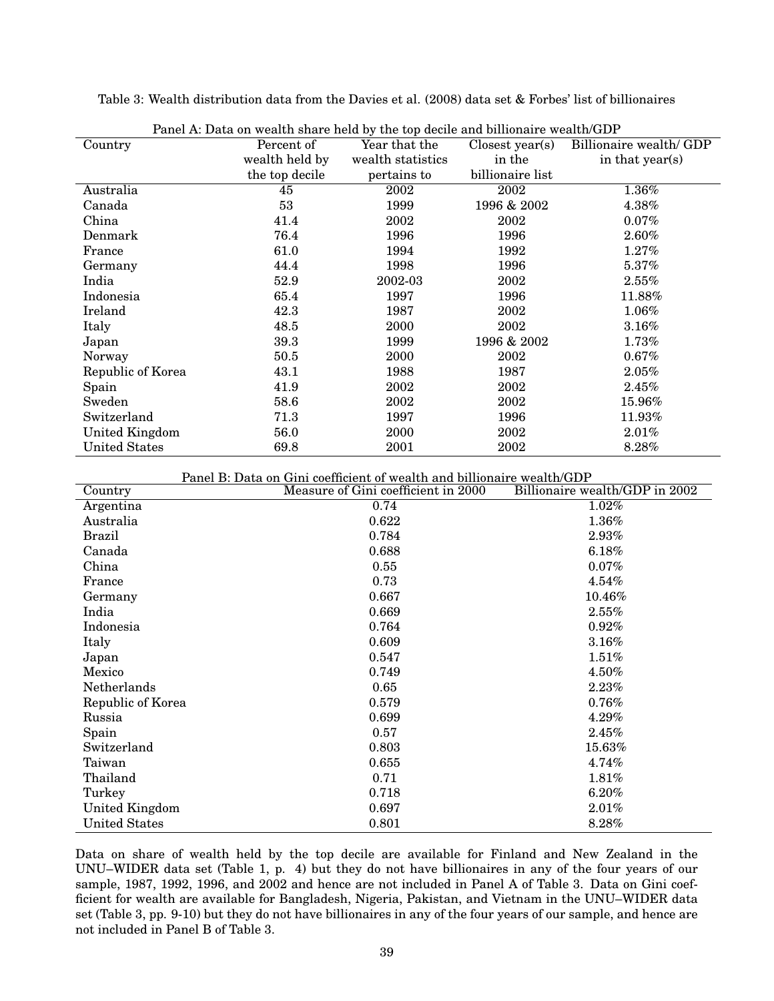|                       |                | Panel A: Data on wealth share held by the top decile and billionaire wealth/GDP |                        |                        |
|-----------------------|----------------|---------------------------------------------------------------------------------|------------------------|------------------------|
| Country               | Percent of     | Year that the                                                                   | $\text{Closs}$ year(s) | Billionaire wealth/GDP |
|                       | wealth held by | wealth statistics                                                               | in the                 | in that year(s)        |
|                       | the top decile | pertains to                                                                     | billionaire list       |                        |
| Australia             | 45             | 2002                                                                            | 2002                   | $1.36\%$               |
| Canada                | 53             | 1999                                                                            | 1996 & 2002            | $4.38\%$               |
| China                 | 41.4           | 2002                                                                            | 2002                   | $0.07\%$               |
| Denmark               | 76.4           | 1996                                                                            | 1996                   | $2.60\%$               |
| France                | 61.0           | 1994                                                                            | 1992                   | 1.27%                  |
| Germany               | 44.4           | 1998                                                                            | 1996                   | $5.37\%$               |
| India                 | 52.9           | 2002-03                                                                         | 2002                   | $2.55\%$               |
| Indonesia             | 65.4           | 1997                                                                            | 1996                   | $11.88\%$              |
| Ireland               | 42.3           | 1987                                                                            | 2002                   | 1.06%                  |
| Italy                 | 48.5           | 2000                                                                            | 2002                   | $3.16\%$               |
| Japan                 | 39.3           | 1999                                                                            | 1996 & 2002            | $1.73\%$               |
| Norway                | 50.5           | 2000                                                                            | 2002                   | $0.67\%$               |
| Republic of Korea     | 43.1           | 1988                                                                            | 1987                   | $2.05\%$               |
| Spain                 | 41.9           | 2002                                                                            | 2002                   | $2.45\%$               |
| Sweden                | 58.6           | 2002                                                                            | 2002                   | $15.96\%$              |
| Switzerland           | 71.3           | 1997                                                                            | 1996                   | $11.93\%$              |
| <b>United Kingdom</b> | 56.0           | 2000                                                                            | 2002                   | $2.01\%$               |
| <b>United States</b>  | 69.8           | 2001                                                                            | 2002                   | $8.28\%$               |

Table 3: Wealth distribution data from the Davies et al. (2008) data set & Forbes' list of billionaires

|                      | Panel B: Data on Gini coefficient of wealth and billionaire wealth/GDP |                                |
|----------------------|------------------------------------------------------------------------|--------------------------------|
| Country              | Measure of Gini coefficient in 2000                                    | Billionaire wealth/GDP in 2002 |
| Argentina            | 0.74                                                                   | $1.02\%$                       |
| Australia            | 0.622                                                                  | $1.36\%$                       |
| Brazil               | 0.784                                                                  | 2.93%                          |
| Canada               | 0.688                                                                  | $6.18\%$                       |
| China                | 0.55                                                                   | 0.07%                          |
| France               | 0.73                                                                   | 4.54%                          |
| Germany              | 0.667                                                                  | 10.46%                         |
| India                | 0.669                                                                  | $2.55\%$                       |
| Indonesia            | 0.764                                                                  | 0.92%                          |
| Italy                | 0.609                                                                  | $3.16\%$                       |
| Japan                | 0.547                                                                  | $1.51\%$                       |
| Mexico               | 0.749                                                                  | 4.50%                          |
| Netherlands          | 0.65                                                                   | 2.23%                          |
| Republic of Korea    | 0.579                                                                  | 0.76%                          |
| Russia               | 0.699                                                                  | 4.29%                          |
| Spain                | 0.57                                                                   | 2.45%                          |
| Switzerland          | 0.803                                                                  | 15.63%                         |
| Taiwan               | 0.655                                                                  | 4.74%                          |
| Thailand             | 0.71                                                                   | 1.81%                          |
| Turkey               | 0.718                                                                  | 6.20%                          |
| United Kingdom       | 0.697                                                                  | 2.01%                          |
| <b>United States</b> | 0.801                                                                  | 8.28%                          |

Panel A: Data on wealth share held by the top decile and billionaire wealth/GDP

Data on share of wealth held by the top decile are available for Finland and New Zealand in the UNU–WIDER data set (Table 1, p. 4) but they do not have billionaires in any of the four years of our sample, 1987, 1992, 1996, and 2002 and hence are not included in Panel A of Table 3. Data on Gini coefficient for wealth are available for Bangladesh, Nigeria, Pakistan, and Vietnam in the UNU–WIDER data set (Table 3, pp. 9-10) but they do not have billionaires in any of the four years of our sample, and hence are not included in Panel B of Table 3.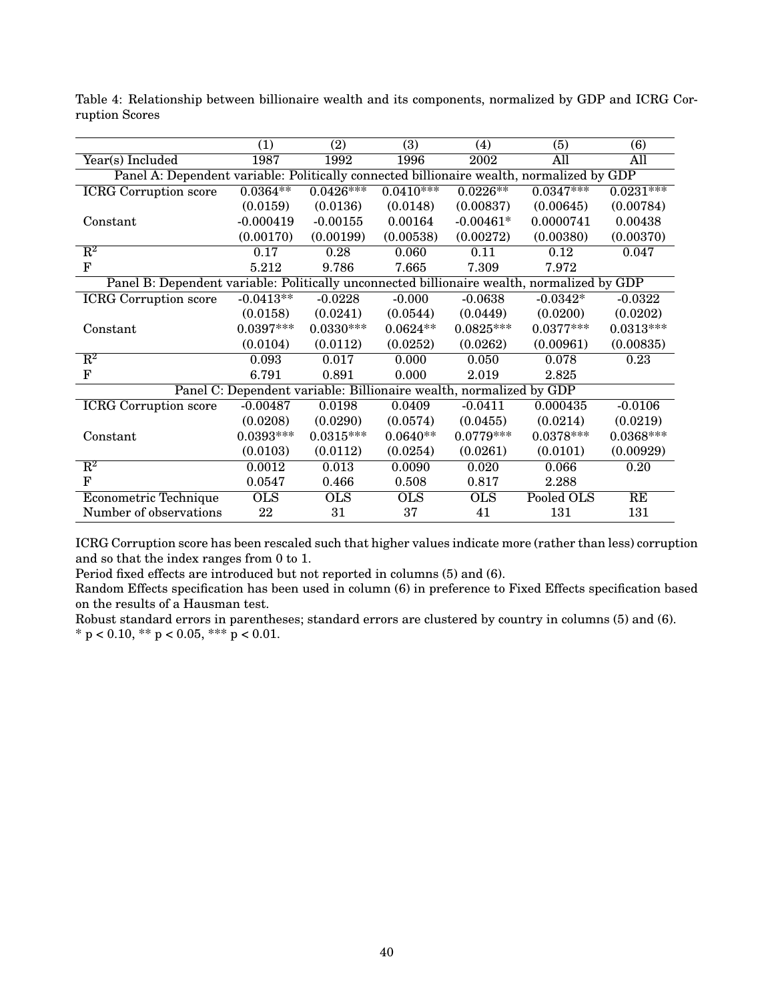|                                                                                            | (1)                                                                | (2)         | $\overline{(3)}$ | (4)         | (5)         | (6)         |
|--------------------------------------------------------------------------------------------|--------------------------------------------------------------------|-------------|------------------|-------------|-------------|-------------|
| Year(s) Included                                                                           | 1987                                                               | 1992        | 1996             | 2002        | All         | All         |
| Panel A: Dependent variable: Politically connected billionaire wealth, normalized by GDP   |                                                                    |             |                  |             |             |             |
| <b>ICRG</b> Corruption score                                                               | $0.0364**$                                                         | $0.0426***$ | $0.0410***$      | $0.0226**$  | $0.0347***$ | $0.0231***$ |
|                                                                                            | (0.0159)                                                           | (0.0136)    | (0.0148)         | (0.00837)   | (0.00645)   | (0.00784)   |
| Constant                                                                                   | $-0.000419$                                                        | $-0.00155$  | 0.00164          | $-0.00461*$ | 0.0000741   | 0.00438     |
|                                                                                            | (0.00170)                                                          | (0.00199)   | (0.00538)        | (0.00272)   | (0.00380)   | (0.00370)   |
| $\overline{\mathrm{R}^2}$                                                                  | 0.17                                                               | 0.28        | 0.060            | 0.11        | 0.12        | 0.047       |
| ${\bf F}$                                                                                  | 5.212                                                              | 9.786       | 7.665            | 7.309       | 7.972       |             |
| Panel B: Dependent variable: Politically unconnected billionaire wealth, normalized by GDP |                                                                    |             |                  |             |             |             |
| <b>ICRG</b> Corruption score                                                               | $-0.0413**$                                                        | $-0.0228$   | $-0.000$         | $-0.0638$   | $-0.0342*$  | $-0.0322$   |
|                                                                                            | (0.0158)                                                           | (0.0241)    | (0.0544)         | (0.0449)    | (0.0200)    | (0.0202)    |
| Constant                                                                                   | $0.0397***$                                                        | $0.0330***$ | $0.0624**$       | $0.0825***$ | $0.0377***$ | $0.0313***$ |
|                                                                                            | (0.0104)                                                           | (0.0112)    | (0.0252)         | (0.0262)    | (0.00961)   | (0.00835)   |
| $\overline{\mathrm{R}^2}$                                                                  | 0.093                                                              | 0.017       | 0.000            | 0.050       | 0.078       | 0.23        |
| $\mathbf F$                                                                                | 6.791                                                              | 0.891       | 0.000            | 2.019       | 2.825       |             |
|                                                                                            | Panel C: Dependent variable: Billionaire wealth, normalized by GDP |             |                  |             |             |             |
| <b>ICRG</b> Corruption score                                                               | $-0.00487$                                                         | 0.0198      | 0.0409           | $-0.0411$   | 0.000435    | $-0.0106$   |
|                                                                                            | (0.0208)                                                           | (0.0290)    | (0.0574)         | (0.0455)    | (0.0214)    | (0.0219)    |
| Constant                                                                                   | $0.0393***$                                                        | $0.0315***$ | $0.0640**$       | $0.0779***$ | $0.0378***$ | $0.0368***$ |
|                                                                                            | (0.0103)                                                           | (0.0112)    | (0.0254)         | (0.0261)    | (0.0101)    | (0.00929)   |
| $\mathbf{R}^2$                                                                             | 0.0012                                                             | 0.013       | 0.0090           | 0.020       | 0.066       | 0.20        |
| F                                                                                          | 0.0547                                                             | 0.466       | 0.508            | 0.817       | 2.288       |             |
| Econometric Technique                                                                      | <b>OLS</b>                                                         | <b>OLS</b>  | <b>OLS</b>       | <b>OLS</b>  | Pooled OLS  | RE          |
| Number of observations                                                                     | 22                                                                 | 31          | 37               | 41          | 131         | 131         |

Table 4: Relationship between billionaire wealth and its components, normalized by GDP and ICRG Corruption Scores

ICRG Corruption score has been rescaled such that higher values indicate more (rather than less) corruption and so that the index ranges from 0 to 1.

Period fixed effects are introduced but not reported in columns (5) and (6).

Random Effects specification has been used in column (6) in preference to Fixed Effects specification based on the results of a Hausman test.

Robust standard errors in parentheses; standard errors are clustered by country in columns (5) and (6). \* p < 0.10, \*\* p < 0.05, \*\*\* p < 0.01.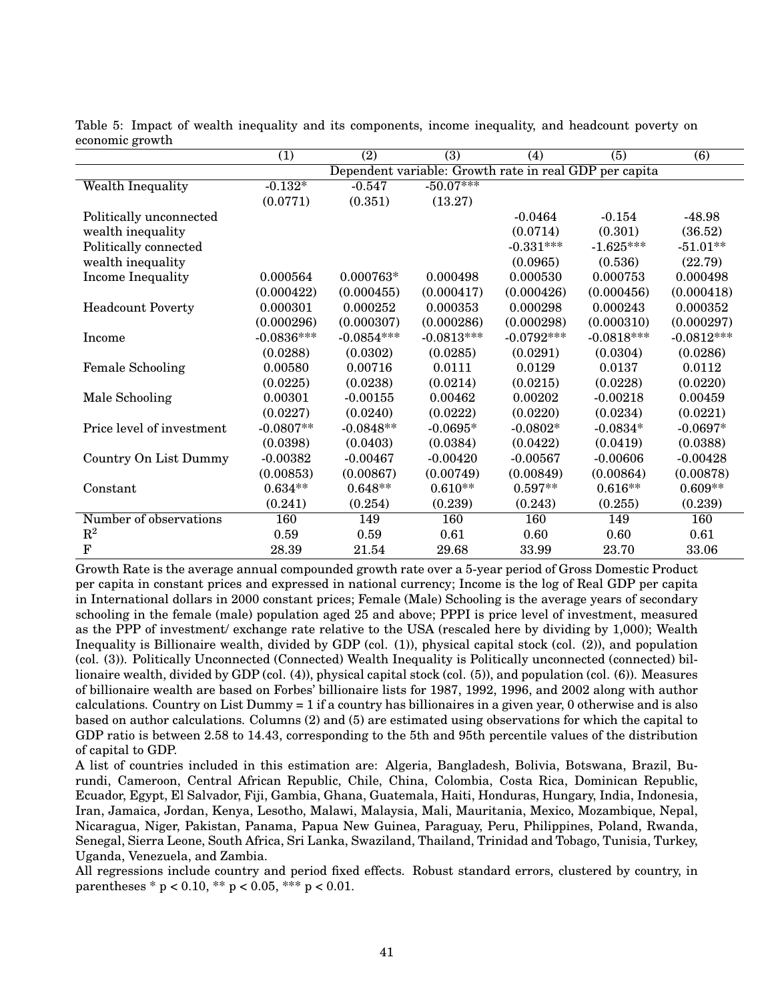|                           | (1)          | $\overline{(2)}$ | (3)          | (4)          | (5)                                                    | (6)          |
|---------------------------|--------------|------------------|--------------|--------------|--------------------------------------------------------|--------------|
|                           |              |                  |              |              | Dependent variable: Growth rate in real GDP per capita |              |
| <b>Wealth Inequality</b>  | $-0.132*$    | $-0.547$         | $-50.07***$  |              |                                                        |              |
|                           | (0.0771)     | (0.351)          | (13.27)      |              |                                                        |              |
| Politically unconnected   |              |                  |              | $-0.0464$    | $-0.154$                                               | $-48.98$     |
| wealth inequality         |              |                  |              | (0.0714)     | (0.301)                                                | (36.52)      |
| Politically connected     |              |                  |              | $-0.331***$  | $-1.625***$                                            | $-51.01**$   |
| wealth inequality         |              |                  |              | (0.0965)     | (0.536)                                                | (22.79)      |
| <b>Income Inequality</b>  | 0.000564     | $0.000763*$      | 0.000498     | 0.000530     | 0.000753                                               | 0.000498     |
|                           | (0.000422)   | (0.000455)       | (0.000417)   | (0.000426)   | (0.000456)                                             | (0.000418)   |
| <b>Headcount Poverty</b>  | 0.000301     | 0.000252         | 0.000353     | 0.000298     | 0.000243                                               | 0.000352     |
|                           | (0.000296)   | (0.000307)       | (0.000286)   | (0.000298)   | (0.000310)                                             | (0.000297)   |
| Income                    | $-0.0836***$ | $-0.0854***$     | $-0.0813***$ | $-0.0792***$ | $-0.0818***$                                           | $-0.0812***$ |
|                           | (0.0288)     | (0.0302)         | (0.0285)     | (0.0291)     | (0.0304)                                               | (0.0286)     |
| <b>Female Schooling</b>   | 0.00580      | 0.00716          | 0.0111       | 0.0129       | 0.0137                                                 | 0.0112       |
|                           | (0.0225)     | (0.0238)         | (0.0214)     | (0.0215)     | (0.0228)                                               | (0.0220)     |
| Male Schooling            | 0.00301      | $-0.00155$       | 0.00462      | 0.00202      | $-0.00218$                                             | 0.00459      |
|                           | (0.0227)     | (0.0240)         | (0.0222)     | (0.0220)     | (0.0234)                                               | (0.0221)     |
| Price level of investment | $-0.0807**$  | $-0.0848**$      | $-0.0695*$   | $-0.0802*$   | $-0.0834*$                                             | $-0.0697*$   |
|                           | (0.0398)     | (0.0403)         | (0.0384)     | (0.0422)     | (0.0419)                                               | (0.0388)     |
| Country On List Dummy     | $-0.00382$   | $-0.00467$       | $-0.00420$   | $-0.00567$   | $-0.00606$                                             | $-0.00428$   |
|                           | (0.00853)    | (0.00867)        | (0.00749)    | (0.00849)    | (0.00864)                                              | (0.00878)    |
| Constant                  | $0.634**$    | $0.648**$        | $0.610**$    | $0.597**$    | $0.616**$                                              | $0.609**$    |
|                           | (0.241)      | (0.254)          | (0.239)      | (0.243)      | (0.255)                                                | (0.239)      |
| Number of observations    | 160          | 149              | 160          | 160          | 149                                                    | 160          |
| $\mathbf{R}^2$            | 0.59         | 0.59             | 0.61         | 0.60         | 0.60                                                   | 0.61         |
| ${\bf F}$                 | 28.39        | 21.54            | 29.68        | 33.99        | 23.70                                                  | 33.06        |

Table 5: Impact of wealth inequality and its components, income inequality, and headcount poverty on economic growth

Growth Rate is the average annual compounded growth rate over a 5-year period of Gross Domestic Product per capita in constant prices and expressed in national currency; Income is the log of Real GDP per capita in International dollars in 2000 constant prices; Female (Male) Schooling is the average years of secondary schooling in the female (male) population aged 25 and above; PPPI is price level of investment, measured as the PPP of investment/ exchange rate relative to the USA (rescaled here by dividing by 1,000); Wealth Inequality is Billionaire wealth, divided by GDP (col. (1)), physical capital stock (col. (2)), and population (col. (3)). Politically Unconnected (Connected) Wealth Inequality is Politically unconnected (connected) billionaire wealth, divided by GDP (col. (4)), physical capital stock (col. (5)), and population (col. (6)). Measures of billionaire wealth are based on Forbes' billionaire lists for 1987, 1992, 1996, and 2002 along with author calculations. Country on List Dummy = 1 if a country has billionaires in a given year, 0 otherwise and is also based on author calculations. Columns (2) and (5) are estimated using observations for which the capital to GDP ratio is between 2.58 to 14.43, corresponding to the 5th and 95th percentile values of the distribution of capital to GDP.

A list of countries included in this estimation are: Algeria, Bangladesh, Bolivia, Botswana, Brazil, Burundi, Cameroon, Central African Republic, Chile, China, Colombia, Costa Rica, Dominican Republic, Ecuador, Egypt, El Salvador, Fiji, Gambia, Ghana, Guatemala, Haiti, Honduras, Hungary, India, Indonesia, Iran, Jamaica, Jordan, Kenya, Lesotho, Malawi, Malaysia, Mali, Mauritania, Mexico, Mozambique, Nepal, Nicaragua, Niger, Pakistan, Panama, Papua New Guinea, Paraguay, Peru, Philippines, Poland, Rwanda, Senegal, Sierra Leone, South Africa, Sri Lanka, Swaziland, Thailand, Trinidad and Tobago, Tunisia, Turkey, Uganda, Venezuela, and Zambia.

All regressions include country and period fixed effects. Robust standard errors, clustered by country, in parentheses  $* p < 0.10, ** p < 0.05, ** p < 0.01$ .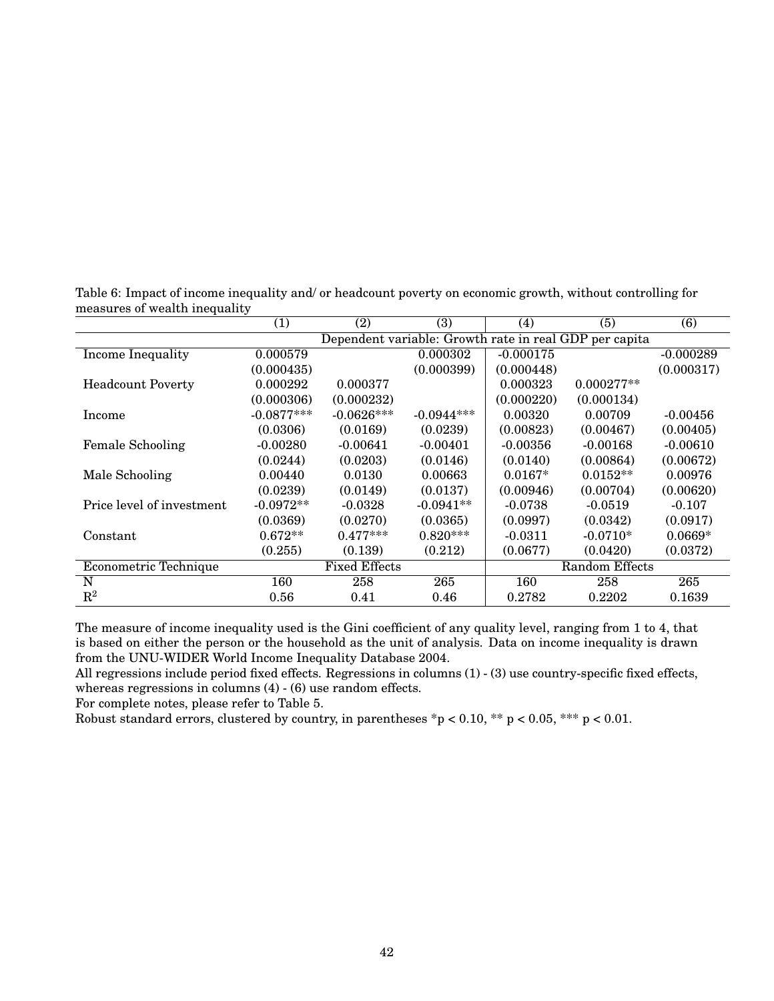|                           | (1)          | (2)                  | <b>(3)</b>   | (4)         | (5)                                                    | (6)         |
|---------------------------|--------------|----------------------|--------------|-------------|--------------------------------------------------------|-------------|
|                           |              |                      |              |             | Dependent variable: Growth rate in real GDP per capita |             |
| Income Inequality         | 0.000579     |                      | 0.000302     | $-0.000175$ |                                                        | $-0.000289$ |
|                           | (0.000435)   |                      | (0.000399)   | (0.000448)  |                                                        | (0.000317)  |
| <b>Headcount Poverty</b>  | 0.000292     | 0.000377             |              | 0.000323    | $0.000277**$                                           |             |
|                           | (0.000306)   | (0.000232)           |              | (0.000220)  | (0.000134)                                             |             |
| Income                    | $-0.0877***$ | $-0.0626***$         | $-0.0944***$ | 0.00320     | 0.00709                                                | $-0.00456$  |
|                           | (0.0306)     | (0.0169)             | (0.0239)     | (0.00823)   | (0.00467)                                              | (0.00405)   |
| <b>Female Schooling</b>   | $-0.00280$   | $-0.00641$           | $-0.00401$   | $-0.00356$  | $-0.00168$                                             | $-0.00610$  |
|                           | (0.0244)     | (0.0203)             | (0.0146)     | (0.0140)    | (0.00864)                                              | (0.00672)   |
| Male Schooling            | 0.00440      | 0.0130               | 0.00663      | $0.0167*$   | $0.0152**$                                             | 0.00976     |
|                           | (0.0239)     | (0.0149)             | (0.0137)     | (0.00946)   | (0.00704)                                              | (0.00620)   |
| Price level of investment | $-0.0972**$  | $-0.0328$            | $-0.0941**$  | $-0.0738$   | $-0.0519$                                              | $-0.107$    |
|                           | (0.0369)     | (0.0270)             | (0.0365)     | (0.0997)    | (0.0342)                                               | (0.0917)    |
| Constant                  | $0.672**$    | $0.477***$           | $0.820***$   | $-0.0311$   | $-0.0710*$                                             | $0.0669*$   |
|                           | (0.255)      | (0.139)              | (0.212)      | (0.0677)    | (0.0420)                                               | (0.0372)    |
| Econometric Technique     |              | <b>Fixed Effects</b> |              |             | <b>Random Effects</b>                                  |             |
| N                         | 160          | 258                  | 265          | 160         | 258                                                    | 265         |
| $\mathrm{R}^2$            | 0.56         | 0.41                 | 0.46         | 0.2782      | 0.2202                                                 | 0.1639      |

Table 6: Impact of income inequality and/ or headcount poverty on economic growth, without controlling for measures of wealth inequality

The measure of income inequality used is the Gini coefficient of any quality level, ranging from 1 to 4, that is based on either the person or the household as the unit of analysis. Data on income inequality is drawn from the UNU-WIDER World Income Inequality Database 2004.

All regressions include period fixed effects. Regressions in columns (1) - (3) use country-specific fixed effects, whereas regressions in columns (4) - (6) use random effects.

For complete notes, please refer to Table 5.

Robust standard errors, clustered by country, in parentheses  $p < 0.10$ ,  $\ast p < 0.05$ ,  $\ast \ast p < 0.01$ .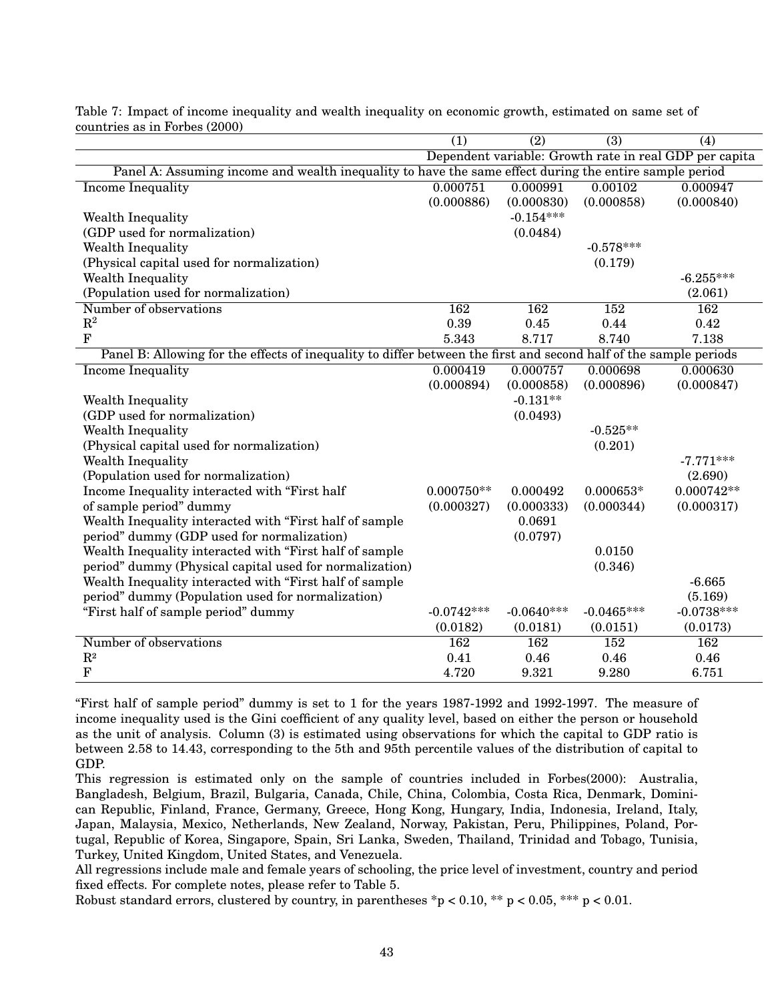| 1000110110881111101008120001                                                                                      | $\overline{(1)}$ | $\overline{(2)}$ | $\overline{(3)}$ | $\overline{(4)}$                                       |
|-------------------------------------------------------------------------------------------------------------------|------------------|------------------|------------------|--------------------------------------------------------|
|                                                                                                                   |                  |                  |                  | Dependent variable: Growth rate in real GDP per capita |
| Panel A: Assuming income and wealth inequality to have the same effect during the entire sample period            |                  |                  |                  |                                                        |
| <b>Income Inequality</b>                                                                                          | 0.000751         | 0.000991         | 0.00102          | 0.000947                                               |
|                                                                                                                   | (0.000886)       | (0.000830)       | (0.000858)       | (0.000840)                                             |
| Wealth Inequality                                                                                                 |                  | $-0.154***$      |                  |                                                        |
| (GDP used for normalization)                                                                                      |                  | (0.0484)         |                  |                                                        |
| Wealth Inequality                                                                                                 |                  |                  | $-0.578***$      |                                                        |
| (Physical capital used for normalization)                                                                         |                  |                  | (0.179)          |                                                        |
| Wealth Inequality                                                                                                 |                  |                  |                  | $-6.255***$                                            |
| (Population used for normalization)                                                                               |                  |                  |                  | (2.061)                                                |
| Number of observations                                                                                            | 162              | 162              | 152              | $\overline{162}$                                       |
| $\mathbf{R}^2$                                                                                                    | 0.39             | 0.45             | 0.44             | 0.42                                                   |
| $\mathbf{F}$                                                                                                      | 5.343            | 8.717            | 8.740            | 7.138                                                  |
| Panel B: Allowing for the effects of inequality to differ between the first and second half of the sample periods |                  |                  |                  |                                                        |
| <b>Income Inequality</b>                                                                                          | 0.000419         | 0.000757         | 0.000698         | 0.000630                                               |
|                                                                                                                   | (0.000894)       | (0.000858)       | (0.000896)       | (0.000847)                                             |
| <b>Wealth Inequality</b>                                                                                          |                  | $-0.131**$       |                  |                                                        |
| (GDP used for normalization)                                                                                      |                  | (0.0493)         |                  |                                                        |
| <b>Wealth Inequality</b>                                                                                          |                  |                  | $-0.525**$       |                                                        |
| (Physical capital used for normalization)                                                                         |                  |                  | (0.201)          |                                                        |
| <b>Wealth Inequality</b>                                                                                          |                  |                  |                  | $-7.771***$                                            |
| (Population used for normalization)                                                                               |                  |                  |                  | (2.690)                                                |
| Income Inequality interacted with "First half                                                                     | $0.000750**$     | 0.000492         | $0.000653*$      | $0.000742**$                                           |
| of sample period" dummy                                                                                           | (0.000327)       | (0.000333)       | (0.000344)       | (0.000317)                                             |
| Wealth Inequality interacted with "First half of sample"                                                          |                  | 0.0691           |                  |                                                        |
| period" dummy (GDP used for normalization)                                                                        |                  | (0.0797)         |                  |                                                        |
| Wealth Inequality interacted with "First half of sample                                                           |                  |                  | 0.0150           |                                                        |
| period" dummy (Physical capital used for normalization)                                                           |                  |                  | (0.346)          |                                                        |
| Wealth Inequality interacted with "First half of sample                                                           |                  |                  |                  | $-6.665$                                               |
| period" dummy (Population used for normalization)                                                                 |                  |                  |                  | (5.169)                                                |
| "First half of sample period" dummy                                                                               | $-0.0742***$     | $-0.0640***$     | $-0.0465***$     | $-0.0738***$                                           |
|                                                                                                                   | (0.0182)         | (0.0181)         | (0.0151)         | (0.0173)                                               |
| Number of observations                                                                                            | 162              | $\overline{162}$ | $\overline{152}$ | 162                                                    |
| $\mathbf{R}^2$                                                                                                    | 0.41             | 0.46             | 0.46             | 0.46                                                   |
| $\overline{F}$                                                                                                    | 4.720            | 9.321            | 9.280            | 6.751                                                  |

Table 7: Impact of income inequality and wealth inequality on economic growth, estimated on same set of countries as in Forbes (2000)

"First half of sample period" dummy is set to 1 for the years 1987-1992 and 1992-1997. The measure of income inequality used is the Gini coefficient of any quality level, based on either the person or household as the unit of analysis. Column (3) is estimated using observations for which the capital to GDP ratio is between 2.58 to 14.43, corresponding to the 5th and 95th percentile values of the distribution of capital to GDP.

This regression is estimated only on the sample of countries included in Forbes(2000): Australia, Bangladesh, Belgium, Brazil, Bulgaria, Canada, Chile, China, Colombia, Costa Rica, Denmark, Dominican Republic, Finland, France, Germany, Greece, Hong Kong, Hungary, India, Indonesia, Ireland, Italy, Japan, Malaysia, Mexico, Netherlands, New Zealand, Norway, Pakistan, Peru, Philippines, Poland, Portugal, Republic of Korea, Singapore, Spain, Sri Lanka, Sweden, Thailand, Trinidad and Tobago, Tunisia, Turkey, United Kingdom, United States, and Venezuela.

All regressions include male and female years of schooling, the price level of investment, country and period fixed effects. For complete notes, please refer to Table 5.

Robust standard errors, clustered by country, in parentheses  $p < 0.10$ ,  $\ast$   $p < 0.05$ ,  $\ast$   $\ast$   $p < 0.01$ .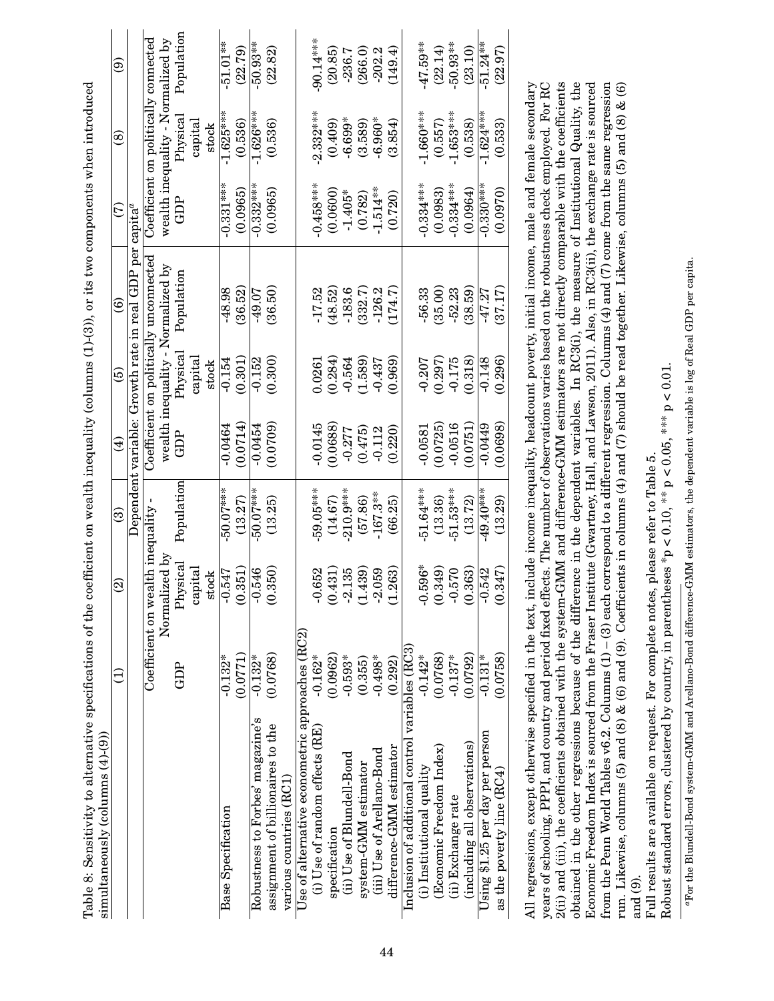Table 8: Sensitivity to alternative specifications of the coefficient on wealth inequality (columns (1)-(3)), or its two components when introduced Table 8: Sensitivity to alternative specifications of the coefficient on wealth inequality (columns (1)-(3)), or its two components when introduced simultaneously (columns  $(4)-(9)$ ) simultaneously (columns (4)-(9))

|                                                                    | Э              | $\odot$                            | ල           | $\bigoplus$ | $\widehat{e}$ | $\widehat{\mathfrak{s}}$                                            | $\widehat{C}$ | $\circledast$                        | ම          |
|--------------------------------------------------------------------|----------------|------------------------------------|-------------|-------------|---------------|---------------------------------------------------------------------|---------------|--------------------------------------|------------|
|                                                                    |                |                                    |             |             |               | Dependent variable: Growth rate in real GDP per capita <sup>a</sup> |               |                                      |            |
|                                                                    |                | Coefficient on wealth inequality - |             |             |               | Coefficient on politically unconnected                              |               | Coefficient on politically connected |            |
|                                                                    |                | Normalized by                      |             |             |               | wealth inequality - Normalized by                                   |               | wealth inequality - Normalized by    |            |
|                                                                    | GDP            | Physical                           | Population  | GDP         | Physical      | Population                                                          | GDP           | Physical                             | Population |
|                                                                    |                | capital                            |             |             | capita        |                                                                     |               | capital                              |            |
|                                                                    |                | stock                              |             |             | stock         |                                                                     |               | stock                                |            |
| Base Specification                                                 | $-0.132*$      | $-0.547$                           | $50.07***$  | $-0.0464$   | $-0.154$      | 48.98                                                               | $-0.331***$   | $-1.625***$                          | 51.01**    |
|                                                                    | (0.0771)       | 0.351)                             | (13.27)     | (0.0714)    | (0.301)       | (36.52)                                                             | (0.0965)      | (0.536)                              | (22.79)    |
| Robustness to Forbes' magazine's                                   | $-0.132*$      | 0.546                              | $-50.07***$ | $-0.0454$   | $-0.152$      | -49.07                                                              | $-0.332***$   | $-1.626***$                          | $50.93***$ |
| assignment of billionaires to the                                  | (0.0768)       | 350)                               | (13.25)     | (0.0709)    | (0.300)       | (36.50)                                                             | (0.0965)      | (0.536)                              | (22.82)    |
| various countries (RC1)                                            |                |                                    |             |             |               |                                                                     |               |                                      |            |
| Use of alternative econometric approaches ( $\operatorname{RC2}$ ) |                |                                    |             |             |               |                                                                     |               |                                      |            |
| (i) Use of random effects $(RE)$                                   | $-0.162*$      | 0.652                              | 59.05****   | $-0.0145$   | 0.261         | $-17.52$                                                            | $-0.458***$   | $2.332***$                           | $90.14***$ |
| specification                                                      | (0.0962)       | (131)                              | (14.67)     | (0.0688)    | (0.284)       | (48.52)                                                             | (0.0600)      | (0.409)                              | (20.85)    |
| (ii) Use of Blundell-Bond                                          | $-0.593*$      | $-2.135$                           | $-210.9***$ | $-0.277$    | $-0.564$      | $-183.6$                                                            | $-1.405*$     | $-6.693$                             | $-236.7$   |
| system-GMM estimator                                               | (0.355)        | .439                               | (57.86)     | (0.475)     | (1.589)       | (332.7)                                                             | (0.782)       | (3.589)                              | (266.0)    |
| (iii) Use of Arellano-Bond                                         | $-0.498*$      | $-2.059$                           | $-167.3**$  | $-0.112$    | $-0.437$      | $-126.2$                                                            | $-1.514**$    | $-6.960*$                            | $-202.2$   |
| difference-GMM estimator                                           | (0.292)        | .263                               | (66.25)     | (0.220)     | 0.969         | 174.7                                                               | (0.720)       | (3.854)                              | (149.4)    |
| Inclusion of additional control variables (RC3)                    |                |                                    |             |             |               |                                                                     |               |                                      |            |
| (i) Institutional quality                                          | $-0.142*$      | 1,596*<br>ု                        | $51.64***$  | $-0.0581$   | $-0.207$      | $-56.33$                                                            | $-0.334***$   | $-1.660***$                          | 47.59**    |
| (Economic Freedom Index)                                           | (0.0768)       | 1.349)                             | (13.36)     | (0.0725)    | (0.297)       | (35.00)                                                             | (0.0983)      | (0.557)                              | (22.14)    |
| (ii) Exchange rate                                                 | $-0.137*$      | 0.570                              | $-51.53***$ | $-0.0516$   | $-0.175$      | $-52.23$                                                            | $-0.334***$   | $-1.653***$                          | $50.93***$ |
| (including all observations)                                       | (0.0792)       | .363)                              | (13.72)     | (0.0751)    | (0.318)       | (38.59)                                                             | (0.0964)      | (0.538)                              | (23.10)    |
| Using \$1.25 per day per person                                    | $-0.131\,{}^*$ | 0.542                              | $-49.40***$ | $-0.0449$   | $-0.148$      | -47.27                                                              | $-0.330***$   | $-1.624***$                          | $51.24***$ |
| as the poverty line (RC4)                                          | (0.0758)       | .347                               | (13.29)     | (0.0698)    | (0.296)       | (37.17)                                                             | (0.0970)      | (0.533)                              | (22.97)    |
|                                                                    |                |                                    |             |             |               |                                                                     |               |                                      |            |

2(ii) and (iii), the coefficients obtained with the system-GMM and difference-GMM estimators are not directly comparable with the coefficients obtained in the other regressions because of the difference in the dependent variables. In RC3(i), the measure of Institutional Quality, the years of schooling, PPPI, and country and period fixed effects. The number of observations varies based on the robustness check employed. For RC Economic Freedom Index is sourced from the Fraser Institute (Gwartney, Hall, and Lawson, 2011). Also, in RC3(ii), the exchange rate is sourced All regressions, except otherwise specified in the text, include income inequality, headcount poverty, initial income, male and female secondary All regressions, except otherwise specified in the text, include income inequality, headcount poverty, initial income, male and female secondary years of schooling, PPPI, and country and period fixed effects. The number of observations varies based on the robustness check employed. For RC 2(ii) and (iii), the coefficients obtained with the system-GMM and difference-GMM estimators are not directly comparable with the coefficients obtained in the other regressions because of the difference in the dependent variables. In RC3(i), the measure of Institutional Quality, the Economic Freedom Index is sourced from the Fraser Institute (Gwartney, Hall, and Lawson, 2011). Also, in RC3(ii), the exchange rate is sourced from the Penn World Tables v6.2. Columns (1) – (3) each correspond to a different regression. Columns (4) and (7) come from the same regression from the Penn World Tables v6.2. Columns (1) – (3) each correspond to a different regression. Columns (4) and (7) come from the same regression run. Likewise, columns (5) and (8) & (6) and (9). Coefficients in columns (4) and (7) should be read together. Likewise, columns (5) and (8) & (6) run. Likewise, columns (5) and (8) & (6) and (9). Coefficients in columns (4) and (7) should be read together. Likewise, columns (5) and (8) & (6) and (9).<br>Full results are available on request. For complete notes, please refer to Table 5.

Full results are available on request. For complete notes, please refer to Table 5.

Robust standard errors, clustered by country, in parentheses \*p < 0.10, \*\*\* p < 0.05, \*\*\* p < 0.01. Robust standard errors, clustered by country, in parentheses \*p < 0.10, \*\* p < 0.05, \*\*\* p < 0.01.

<sup>&</sup>lt;sup>a</sup>For the Blundell-Bond system-GMM and Arellano-Bond difference-GMM estimators, the dependent variable is log of Real GDP per capita. *a*For the Blundell-Bond system-GMM and Arellano-Bond difference-GMM estimators, the dependent variable is log of Real GDP per capita.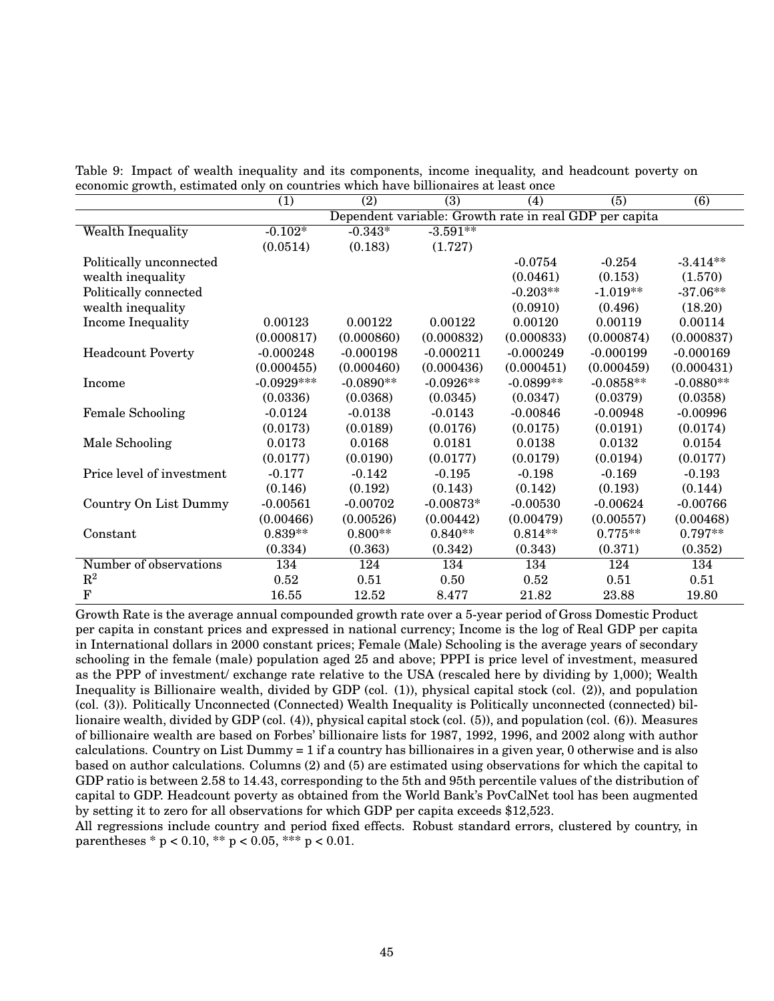Table 9: Impact of wealth inequality and its components, income inequality, and headcount poverty on economic growth, estimated only on countries which have billionaires at least once

|                           | $\overline{(1)}$ | $\overline{(2)}$ | $\overline{(3)}$ | (4)                                                    | $\overline{(5)}$ | $\overline{(6)}$ |
|---------------------------|------------------|------------------|------------------|--------------------------------------------------------|------------------|------------------|
|                           |                  |                  |                  | Dependent variable: Growth rate in real GDP per capita |                  |                  |
| <b>Wealth Inequality</b>  | $-0.102*$        | $-0.343*$        | $-3.591**$       |                                                        |                  |                  |
|                           | (0.0514)         | (0.183)          | (1.727)          |                                                        |                  |                  |
| Politically unconnected   |                  |                  |                  | $-0.0754$                                              | $-0.254$         | $-3.414**$       |
| wealth inequality         |                  |                  |                  | (0.0461)                                               | (0.153)          | (1.570)          |
| Politically connected     |                  |                  |                  | $-0.203**$                                             | $-1.019**$       | $-37.06**$       |
| wealth inequality         |                  |                  |                  | (0.0910)                                               | (0.496)          | (18.20)          |
| Income Inequality         | 0.00123          | 0.00122          | 0.00122          | 0.00120                                                | 0.00119          | 0.00114          |
|                           | (0.000817)       | (0.000860)       | (0.000832)       | (0.000833)                                             | (0.000874)       | (0.000837)       |
| <b>Headcount Poverty</b>  | $-0.000248$      | $-0.000198$      | $-0.000211$      | $-0.000249$                                            | $-0.000199$      | $-0.000169$      |
|                           | (0.000455)       | (0.000460)       | (0.000436)       | (0.000451)                                             | (0.000459)       | (0.000431)       |
| Income                    | $-0.0929***$     | $-0.0890**$      | $-0.0926**$      | $-0.0899**$                                            | $-0.0858**$      | $-0.0880**$      |
|                           | (0.0336)         | (0.0368)         | (0.0345)         | (0.0347)                                               | (0.0379)         | (0.0358)         |
| Female Schooling          | $-0.0124$        | $-0.0138$        | $-0.0143$        | $-0.00846$                                             | $-0.00948$       | $-0.00996$       |
|                           | (0.0173)         | (0.0189)         | (0.0176)         | (0.0175)                                               | (0.0191)         | (0.0174)         |
| Male Schooling            | 0.0173           | 0.0168           | 0.0181           | 0.0138                                                 | 0.0132           | 0.0154           |
|                           | (0.0177)         | (0.0190)         | (0.0177)         | (0.0179)                                               | (0.0194)         | (0.0177)         |
| Price level of investment | $-0.177$         | $-0.142$         | $-0.195$         | $-0.198$                                               | $-0.169$         | $-0.193$         |
|                           | (0.146)          | (0.192)          | (0.143)          | (0.142)                                                | (0.193)          | (0.144)          |
| Country On List Dummy     | $-0.00561$       | $-0.00702$       | $-0.00873*$      | $-0.00530$                                             | $-0.00624$       | $-0.00766$       |
|                           | (0.00466)        | (0.00526)        | (0.00442)        | (0.00479)                                              | (0.00557)        | (0.00468)        |
| Constant                  | $0.839**$        | $0.800**$        | $0.840**$        | $0.814**$                                              | $0.775**$        | $0.797**$        |
|                           | (0.334)          | (0.363)          | (0.342)          | (0.343)                                                | (0.371)          | (0.352)          |
| Number of observations    | 134              | 124              | 134              | 134                                                    | 124              | 134              |
| $\mathrm{R}^2$            | 0.52             | 0.51             | 0.50             | 0.52                                                   | 0.51             | 0.51             |
| F                         | 16.55            | 12.52            | 8.477            | 21.82                                                  | 23.88            | 19.80            |

Growth Rate is the average annual compounded growth rate over a 5-year period of Gross Domestic Product per capita in constant prices and expressed in national currency; Income is the log of Real GDP per capita in International dollars in 2000 constant prices; Female (Male) Schooling is the average years of secondary schooling in the female (male) population aged 25 and above; PPPI is price level of investment, measured as the PPP of investment/ exchange rate relative to the USA (rescaled here by dividing by 1,000); Wealth Inequality is Billionaire wealth, divided by GDP (col. (1)), physical capital stock (col. (2)), and population (col. (3)). Politically Unconnected (Connected) Wealth Inequality is Politically unconnected (connected) billionaire wealth, divided by GDP (col. (4)), physical capital stock (col. (5)), and population (col. (6)). Measures of billionaire wealth are based on Forbes' billionaire lists for 1987, 1992, 1996, and 2002 along with author calculations. Country on List Dummy = 1 if a country has billionaires in a given year, 0 otherwise and is also based on author calculations. Columns (2) and (5) are estimated using observations for which the capital to GDP ratio is between 2.58 to 14.43, corresponding to the 5th and 95th percentile values of the distribution of capital to GDP. Headcount poverty as obtained from the World Bank's PovCalNet tool has been augmented by setting it to zero for all observations for which GDP per capita exceeds \$12,523.

All regressions include country and period fixed effects. Robust standard errors, clustered by country, in parentheses  $* p < 0.10, ** p < 0.05, ** p < 0.01$ .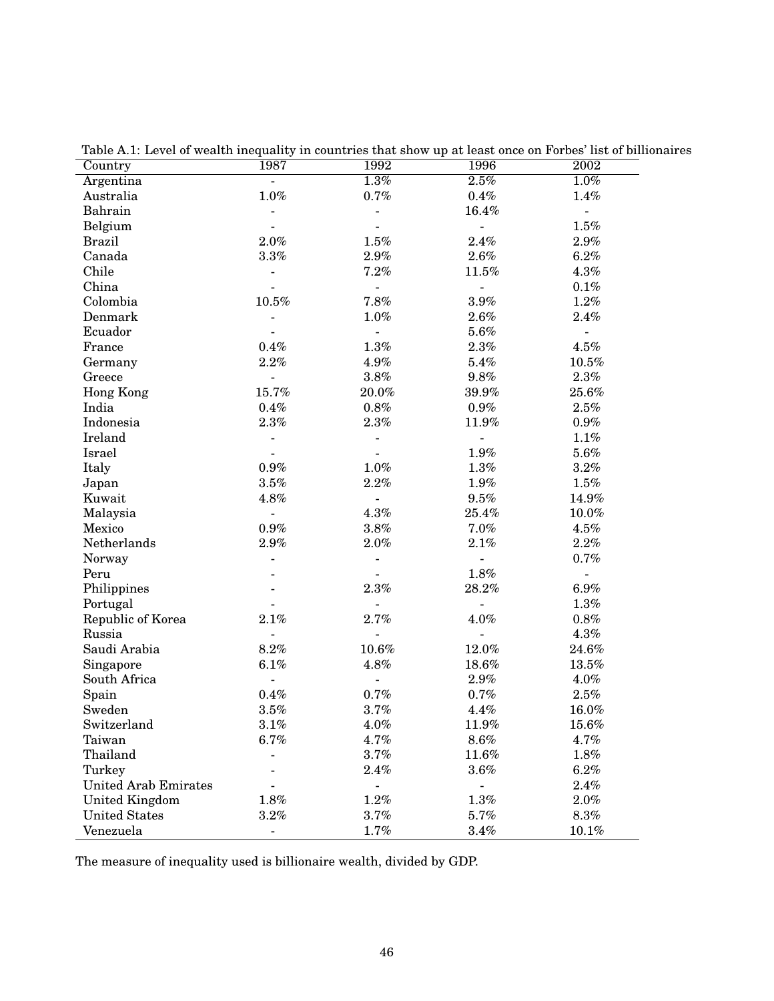| Country                     | 1987                     | 1992               | 1996                         | 2002           |
|-----------------------------|--------------------------|--------------------|------------------------------|----------------|
| Argentina                   | $\overline{\phantom{0}}$ | $\overline{1.3\%}$ | 2.5%                         | 1.0%           |
| Australia                   | $1.0\%$                  | $0.7\%$            | $0.4\%$                      | $1.4\%$        |
| Bahrain                     |                          |                    | 16.4%                        |                |
| Belgium                     |                          |                    | $\qquad \qquad \blacksquare$ | $1.5\%$        |
| <b>Brazil</b>               | $2.0\%$                  | $1.5\%$            | $2.4\%$                      | $2.9\%$        |
| Canada                      | $3.3\%$                  | $2.9\%$            | $2.6\%$                      | $6.2\%$        |
| Chile                       |                          | $7.2\%$            | 11.5%                        | $4.3\%$        |
| China                       |                          | $\overline{a}$     | $\qquad \qquad \blacksquare$ | $0.1\%$        |
| Colombia                    | $10.5\%$                 | 7.8%               | $3.9\%$                      | $1.2\%$        |
| Denmark                     |                          | 1.0%               | $2.6\%$                      | $2.4\%$        |
| Ecuador                     |                          | $\blacksquare$     | $5.6\%$                      | $\frac{1}{2}$  |
| France                      | $0.4\%$                  | 1.3%               | $2.3\%$                      | $4.5\%$        |
| Germany                     | 2.2%                     | $4.9\%$            | $5.4\%$                      | 10.5%          |
| Greece                      | $\overline{\phantom{0}}$ | $3.8\%$            | $9.8\%$                      | $2.3\%$        |
| <b>Hong Kong</b>            | 15.7%                    | $20.0\%$           | 39.9%                        | $25.6\%$       |
| India                       | $0.4\%$                  | $0.8\%$            | $0.9\%$                      | $2.5\%$        |
| Indonesia                   | $2.3\%$                  | $2.3\%$            | 11.9%                        | $0.9\%$        |
| Ireland                     |                          |                    |                              | $1.1\%$        |
| Israel                      |                          |                    | $1.9\%$                      | $5.6\%$        |
| Italy                       | $0.9\%$                  | $1.0\%$            | $1.3\%$                      | $3.2\%$        |
| Japan                       | $3.5\%$                  | 2.2%               | $1.9\%$                      | $1.5\%$        |
| Kuwait                      | 4.8%                     | $\blacksquare$     | $9.5\%$                      | 14.9%          |
| Malaysia                    | $\blacksquare$           | $4.3\%$            | $25.4\%$                     | 10.0%          |
| Mexico                      | $0.9\%$                  | $3.8\%$            | $7.0\%$                      | $4.5\%$        |
| Netherlands                 | $2.9\%$                  | $2.0\%$            | $2.1\%$                      | 2.2%           |
| Norway                      |                          |                    |                              | $0.7\%$        |
| Peru                        |                          |                    | $1.8\%$                      | $\blacksquare$ |
| Philippines                 |                          | $2.3\%$            | 28.2%                        | $6.9\%$        |
| Portugal                    |                          |                    |                              | $1.3\%$        |
| Republic of Korea           | $2.1\%$                  | 2.7%               | $4.0\%$                      | $0.8\%$        |
| Russia                      |                          |                    |                              | $4.3\%$        |
| Saudi Arabia                | $8.2\%$                  | $10.6\%$           | 12.0%                        | 24.6%          |
| Singapore                   | $6.1\%$                  | $4.8\%$            | 18.6%                        | 13.5%          |
| South Africa                |                          |                    | $2.9\%$                      | $4.0\%$        |
| Spain                       | $0.4\%$                  | $0.7\%$            | $0.7\%$                      | $2.5\%$        |
| Sweden                      | $3.5\%$                  | $3.7\%$            | 4.4%                         | 16.0%          |
| Switzerland                 | $3.1\%$                  | $4.0\%$            | $11.9\%$                     | $15.6\%$       |
| Taiwan                      | 6.7%                     | 4.7%               | $8.6\%$                      | 4.7%           |
| Thailand                    |                          | $3.7\%$            | 11.6%                        | 1.8%           |
| Turkey                      |                          | 2.4%               | $3.6\%$                      | 6.2%           |
| <b>United Arab Emirates</b> |                          |                    |                              | 2.4%           |
| <b>United Kingdom</b>       | 1.8%                     | 1.2%               | 1.3%                         | $2.0\%$        |
| <b>United States</b>        | 3.2%                     | 3.7%               | 5.7%                         | 8.3%           |
| Venezuela                   | $\overline{\phantom{0}}$ | 1.7%               | $3.4\%$                      | 10.1%          |

Table A.1: Level of wealth inequality in countries that show up at least once on Forbes' list of billionaires

The measure of inequality used is billionaire wealth, divided by GDP.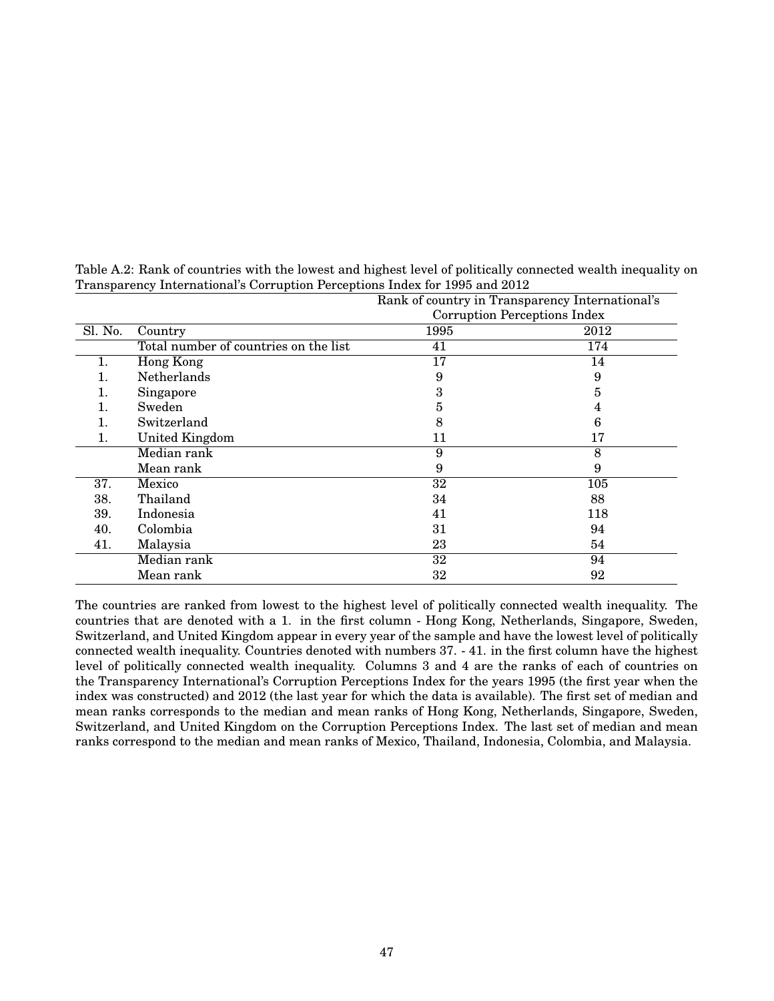|         |                                       | Rank of country in Transparency International's |      |  |
|---------|---------------------------------------|-------------------------------------------------|------|--|
|         |                                       | <b>Corruption Perceptions Index</b>             |      |  |
| Sl. No. | Country                               | 1995                                            | 2012 |  |
|         | Total number of countries on the list | 41                                              | 174  |  |
| 1.      | Hong Kong                             | 17                                              | 14   |  |
|         | Netherlands                           | 9                                               | 9    |  |
|         | Singapore                             | 3                                               | 5    |  |
|         | Sweden                                | 5                                               | 4    |  |
|         | Switzerland                           | 8                                               | 6    |  |
|         | United Kingdom                        | 11                                              | 17   |  |
|         | Median rank                           | 9                                               | 8    |  |
|         | Mean rank                             | 9                                               | 9    |  |
| 37.     | Mexico                                | 32                                              | 105  |  |
| 38.     | Thailand                              | 34                                              | 88   |  |
| 39.     | Indonesia                             | 41                                              | 118  |  |
| 40.     | Colombia                              | 31                                              | 94   |  |
| 41.     | Malaysia                              | 23                                              | 54   |  |
|         | Median rank                           | $32\,$                                          | 94   |  |
|         | Mean rank                             | 32                                              | 92   |  |

Table A.2: Rank of countries with the lowest and highest level of politically connected wealth inequality on Transparency International's Corruption Perceptions Index for 1995 and 2012

The countries are ranked from lowest to the highest level of politically connected wealth inequality. The countries that are denoted with a 1. in the first column - Hong Kong, Netherlands, Singapore, Sweden, Switzerland, and United Kingdom appear in every year of the sample and have the lowest level of politically connected wealth inequality. Countries denoted with numbers 37. - 41. in the first column have the highest level of politically connected wealth inequality. Columns 3 and 4 are the ranks of each of countries on the Transparency International's Corruption Perceptions Index for the years 1995 (the first year when the index was constructed) and 2012 (the last year for which the data is available). The first set of median and mean ranks corresponds to the median and mean ranks of Hong Kong, Netherlands, Singapore, Sweden, Switzerland, and United Kingdom on the Corruption Perceptions Index. The last set of median and mean ranks correspond to the median and mean ranks of Mexico, Thailand, Indonesia, Colombia, and Malaysia.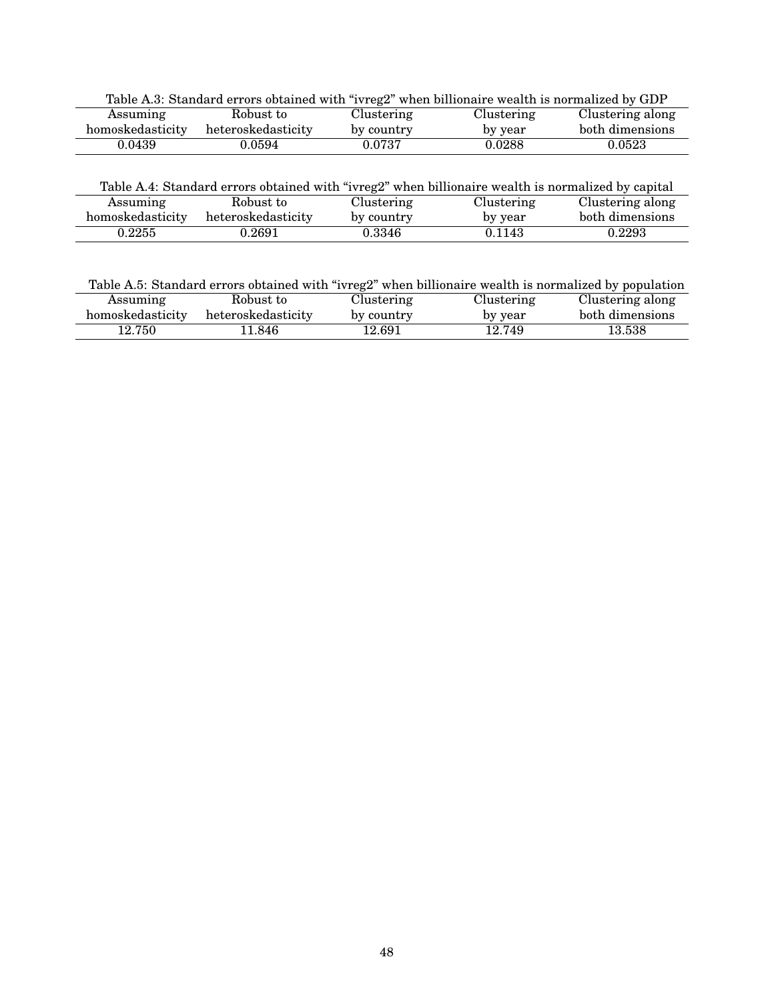| Table A.3: Standard errors obtained with "ivreg2" when billionaire wealth is normalized by GDP     |                    |            |            |                  |  |  |  |  |
|----------------------------------------------------------------------------------------------------|--------------------|------------|------------|------------------|--|--|--|--|
| Assuming                                                                                           | Robust to          | Clustering | Clustering | Clustering along |  |  |  |  |
| homoskedasticity                                                                                   | heteroskedasticity | by country | by year    | both dimensions  |  |  |  |  |
| 0.0439                                                                                             | 0.0594             | 0.0737     | 0.0288     | 0.0523           |  |  |  |  |
|                                                                                                    |                    |            |            |                  |  |  |  |  |
| Table A.4: Standard errors obtained with "ivreg2" when billionaire wealth is normalized by capital |                    |            |            |                  |  |  |  |  |
| Assuming                                                                                           | Robust to          | Clustering | Clustering | Clustering along |  |  |  |  |
| homoskedasticity                                                                                   | heteroskedasticity | by country | by year    | both dimensions  |  |  |  |  |
| 0.2255                                                                                             | 0.2691             | 0.3346     | 0.1143     | 0.2293           |  |  |  |  |

| Table A.5: Standard errors obtained with "ivreg2" when billionaire wealth is normalized by population |                    |            |            |                  |  |  |  |
|-------------------------------------------------------------------------------------------------------|--------------------|------------|------------|------------------|--|--|--|
| Assuming                                                                                              | Robust to          | Clustering | Clustering | Clustering along |  |  |  |
| homoskedasticity                                                                                      | heteroskedasticity | by country | by year    | both dimensions  |  |  |  |
| 12.750                                                                                                | 11.846             | 12.691     | 12.749     | 13.538           |  |  |  |